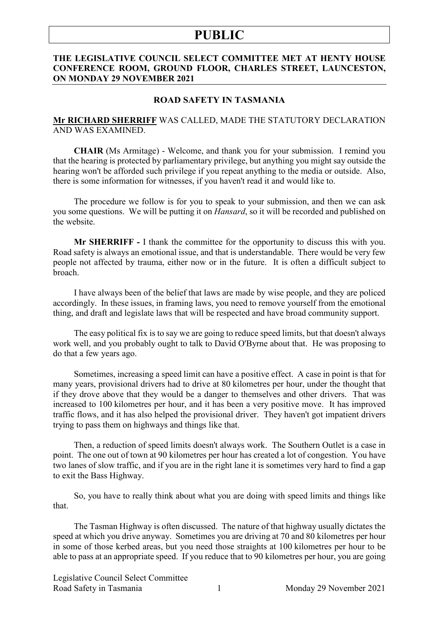### **THE LEGISLATIVE COUNCIL SELECT COMMITTEE MET AT HENTY HOUSE CONFERENCE ROOM, GROUND FLOOR, CHARLES STREET, LAUNCESTON, ON MONDAY 29 NOVEMBER 2021**

### **ROAD SAFETY IN TASMANIA**

**Mr RICHARD SHERRIFF** WAS CALLED, MADE THE STATUTORY DECLARATION AND WAS EXAMINED.

**CHAIR** (Ms Armitage) - Welcome, and thank you for your submission. I remind you that the hearing is protected by parliamentary privilege, but anything you might say outside the hearing won't be afforded such privilege if you repeat anything to the media or outside. Also, there is some information for witnesses, if you haven't read it and would like to.

The procedure we follow is for you to speak to your submission, and then we can ask you some questions. We will be putting it on *Hansard*, so it will be recorded and published on the website.

**Mr SHERRIFF -** I thank the committee for the opportunity to discuss this with you. Road safety is always an emotional issue, and that is understandable. There would be very few people not affected by trauma, either now or in the future. It is often a difficult subject to broach.

I have always been of the belief that laws are made by wise people, and they are policed accordingly. In these issues, in framing laws, you need to remove yourself from the emotional thing, and draft and legislate laws that will be respected and have broad community support.

The easy political fix is to say we are going to reduce speed limits, but that doesn't always work well, and you probably ought to talk to David O'Byrne about that. He was proposing to do that a few years ago.

Sometimes, increasing a speed limit can have a positive effect. A case in point is that for many years, provisional drivers had to drive at 80 kilometres per hour, under the thought that if they drove above that they would be a danger to themselves and other drivers. That was increased to 100 kilometres per hour, and it has been a very positive move. It has improved traffic flows, and it has also helped the provisional driver. They haven't got impatient drivers trying to pass them on highways and things like that.

Then, a reduction of speed limits doesn't always work. The Southern Outlet is a case in point. The one out of town at 90 kilometres per hour has created a lot of congestion. You have two lanes of slow traffic, and if you are in the right lane it is sometimes very hard to find a gap to exit the Bass Highway.

So, you have to really think about what you are doing with speed limits and things like that.

The Tasman Highway is often discussed. The nature of that highway usually dictates the speed at which you drive anyway. Sometimes you are driving at 70 and 80 kilometres per hour in some of those kerbed areas, but you need those straights at 100 kilometres per hour to be able to pass at an appropriate speed. If you reduce that to 90 kilometres per hour, you are going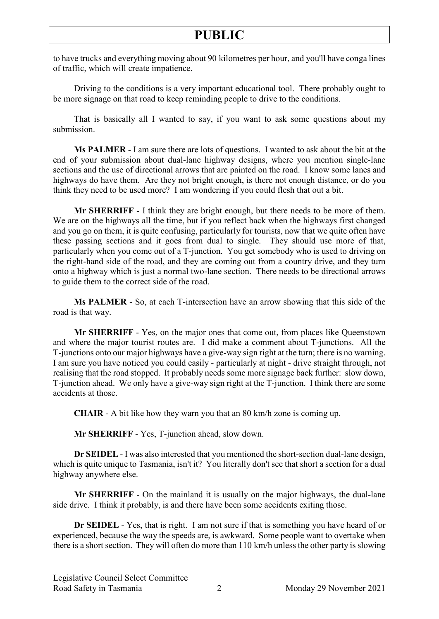to have trucks and everything moving about 90 kilometres per hour, and you'll have conga lines of traffic, which will create impatience.

Driving to the conditions is a very important educational tool. There probably ought to be more signage on that road to keep reminding people to drive to the conditions.

That is basically all I wanted to say, if you want to ask some questions about my submission.

**Ms PALMER** - I am sure there are lots of questions. I wanted to ask about the bit at the end of your submission about dual-lane highway designs, where you mention single-lane sections and the use of directional arrows that are painted on the road. I know some lanes and highways do have them. Are they not bright enough, is there not enough distance, or do you think they need to be used more? I am wondering if you could flesh that out a bit.

**Mr SHERRIFF** - I think they are bright enough, but there needs to be more of them. We are on the highways all the time, but if you reflect back when the highways first changed and you go on them, it is quite confusing, particularly for tourists, now that we quite often have these passing sections and it goes from dual to single. They should use more of that, particularly when you come out of a T-junction. You get somebody who is used to driving on the right-hand side of the road, and they are coming out from a country drive, and they turn onto a highway which is just a normal two-lane section. There needs to be directional arrows to guide them to the correct side of the road.

**Ms PALMER** - So, at each T-intersection have an arrow showing that this side of the road is that way.

**Mr SHERRIFF** - Yes, on the major ones that come out, from places like Queenstown and where the major tourist routes are. I did make a comment about T-junctions. All the T-junctions onto our major highways have a give-way sign right at the turn; there is no warning. I am sure you have noticed you could easily - particularly at night - drive straight through, not realising that the road stopped. It probably needs some more signage back further: slow down, T-junction ahead. We only have a give-way sign right at the T-junction. I think there are some accidents at those.

**CHAIR** - A bit like how they warn you that an 80 km/h zone is coming up.

**Mr SHERRIFF** - Yes, T-junction ahead, slow down.

**Dr SEIDEL** - I was also interested that you mentioned the short-section dual-lane design, which is quite unique to Tasmania, isn't it? You literally don't see that short a section for a dual highway anywhere else.

**Mr SHERRIFF** - On the mainland it is usually on the major highways, the dual-lane side drive. I think it probably, is and there have been some accidents exiting those.

**Dr SEIDEL** - Yes, that is right. I am not sure if that is something you have heard of or experienced, because the way the speeds are, is awkward. Some people want to overtake when there is a short section. They will often do more than 110 km/h unless the other party is slowing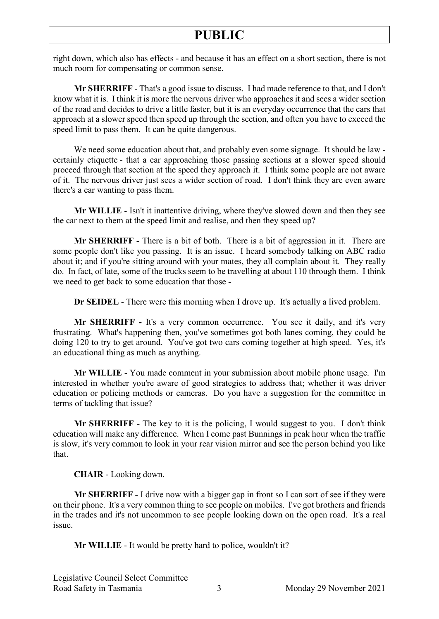right down, which also has effects - and because it has an effect on a short section, there is not much room for compensating or common sense.

**Mr SHERRIFF** - That's a good issue to discuss. I had made reference to that, and I don't know what it is. I think it is more the nervous driver who approaches it and sees a wider section of the road and decides to drive a little faster, but it is an everyday occurrence that the cars that approach at a slower speed then speed up through the section, and often you have to exceed the speed limit to pass them. It can be quite dangerous.

We need some education about that, and probably even some signage. It should be law certainly etiquette - that a car approaching those passing sections at a slower speed should proceed through that section at the speed they approach it. I think some people are not aware of it. The nervous driver just sees a wider section of road. I don't think they are even aware there's a car wanting to pass them.

**Mr WILLIE** - Isn't it inattentive driving, where they've slowed down and then they see the car next to them at the speed limit and realise, and then they speed up?

**Mr SHERRIFF -** There is a bit of both. There is a bit of aggression in it. There are some people don't like you passing. It is an issue. I heard somebody talking on ABC radio about it; and if you're sitting around with your mates, they all complain about it. They really do. In fact, of late, some of the trucks seem to be travelling at about 110 through them. I think we need to get back to some education that those -

**Dr SEIDEL** - There were this morning when I drove up. It's actually a lived problem.

**Mr SHERRIFF -** It's a very common occurrence. You see it daily, and it's very frustrating. What's happening then, you've sometimes got both lanes coming, they could be doing 120 to try to get around. You've got two cars coming together at high speed. Yes, it's an educational thing as much as anything.

**Mr WILLIE** - You made comment in your submission about mobile phone usage. I'm interested in whether you're aware of good strategies to address that; whether it was driver education or policing methods or cameras. Do you have a suggestion for the committee in terms of tackling that issue?

**Mr SHERRIFF -** The key to it is the policing, I would suggest to you. I don't think education will make any difference. When I come past Bunnings in peak hour when the traffic is slow, it's very common to look in your rear vision mirror and see the person behind you like that.

**CHAIR** - Looking down.

**Mr SHERRIFF -** I drive now with a bigger gap in front so I can sort of see if they were on their phone. It's a very common thing to see people on mobiles. I've got brothers and friends in the trades and it's not uncommon to see people looking down on the open road. It's a real issue.

**Mr WILLIE** - It would be pretty hard to police, wouldn't it?

Legislative Council Select Committee Road Safety in Tasmania 3 Monday 29 November 2021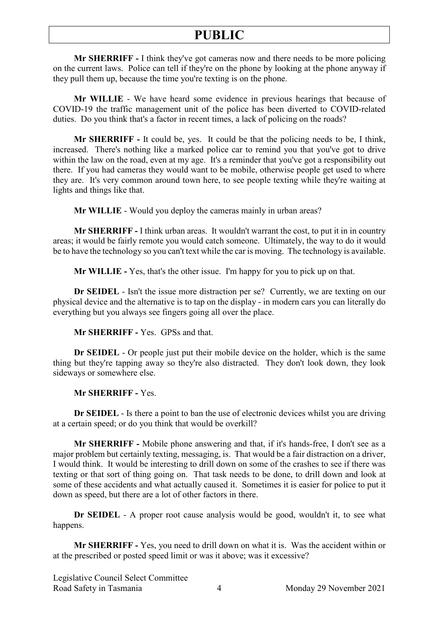**Mr SHERRIFF -** I think they've got cameras now and there needs to be more policing on the current laws. Police can tell if they're on the phone by looking at the phone anyway if they pull them up, because the time you're texting is on the phone.

**Mr WILLIE** - We have heard some evidence in previous hearings that because of COVID-19 the traffic management unit of the police has been diverted to COVID-related duties. Do you think that's a factor in recent times, a lack of policing on the roads?

**Mr SHERRIFF -** It could be, yes. It could be that the policing needs to be, I think, increased. There's nothing like a marked police car to remind you that you've got to drive within the law on the road, even at my age. It's a reminder that you've got a responsibility out there. If you had cameras they would want to be mobile, otherwise people get used to where they are. It's very common around town here, to see people texting while they're waiting at lights and things like that.

**Mr WILLIE** - Would you deploy the cameras mainly in urban areas?

**Mr SHERRIFF -** I think urban areas. It wouldn't warrant the cost, to put it in in country areas; it would be fairly remote you would catch someone. Ultimately, the way to do it would be to have the technology so you can't text while the car is moving. The technology is available.

**Mr WILLIE -** Yes, that's the other issue. I'm happy for you to pick up on that.

**Dr SEIDEL** - Isn't the issue more distraction per se? Currently, we are texting on our physical device and the alternative is to tap on the display - in modern cars you can literally do everything but you always see fingers going all over the place.

**Mr SHERRIFF -** Yes. GPSs and that.

**Dr SEIDEL** - Or people just put their mobile device on the holder, which is the same thing but they're tapping away so they're also distracted. They don't look down, they look sideways or somewhere else.

**Mr SHERRIFF -** Yes.

**Dr SEIDEL** - Is there a point to ban the use of electronic devices whilst you are driving at a certain speed; or do you think that would be overkill?

**Mr SHERRIFF -** Mobile phone answering and that, if it's hands-free, I don't see as a major problem but certainly texting, messaging, is. That would be a fair distraction on a driver, I would think. It would be interesting to drill down on some of the crashes to see if there was texting or that sort of thing going on. That task needs to be done, to drill down and look at some of these accidents and what actually caused it. Sometimes it is easier for police to put it down as speed, but there are a lot of other factors in there.

**Dr SEIDEL** - A proper root cause analysis would be good, wouldn't it, to see what happens.

**Mr SHERRIFF -** Yes, you need to drill down on what it is. Was the accident within or at the prescribed or posted speed limit or was it above; was it excessive?

Legislative Council Select Committee Road Safety in Tasmania  $\overline{4}$  Monday 29 November 2021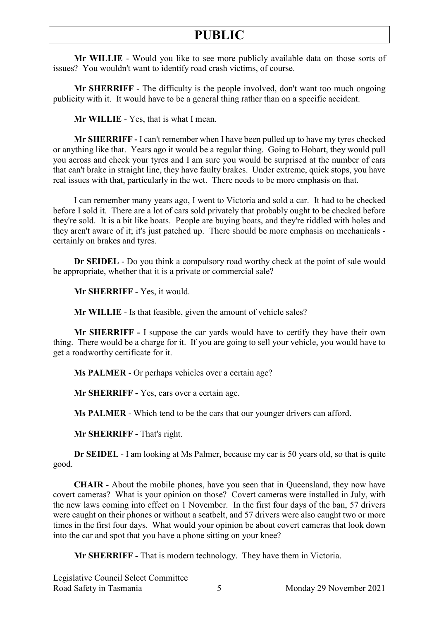**Mr WILLIE** - Would you like to see more publicly available data on those sorts of issues? You wouldn't want to identify road crash victims, of course.

**Mr SHERRIFF -** The difficulty is the people involved, don't want too much ongoing publicity with it. It would have to be a general thing rather than on a specific accident.

**Mr WILLIE** - Yes, that is what I mean.

**Mr SHERRIFF -** I can't remember when I have been pulled up to have my tyres checked or anything like that. Years ago it would be a regular thing. Going to Hobart, they would pull you across and check your tyres and I am sure you would be surprised at the number of cars that can't brake in straight line, they have faulty brakes. Under extreme, quick stops, you have real issues with that, particularly in the wet. There needs to be more emphasis on that.

I can remember many years ago, I went to Victoria and sold a car. It had to be checked before I sold it. There are a lot of cars sold privately that probably ought to be checked before they're sold. It is a bit like boats. People are buying boats, and they're riddled with holes and they aren't aware of it; it's just patched up. There should be more emphasis on mechanicals certainly on brakes and tyres.

**Dr SEIDEL** - Do you think a compulsory road worthy check at the point of sale would be appropriate, whether that it is a private or commercial sale?

**Mr SHERRIFF -** Yes, it would.

**Mr WILLIE** - Is that feasible, given the amount of vehicle sales?

**Mr SHERRIFF -** I suppose the car yards would have to certify they have their own thing. There would be a charge for it. If you are going to sell your vehicle, you would have to get a roadworthy certificate for it.

**Ms PALMER** - Or perhaps vehicles over a certain age?

**Mr SHERRIFF -** Yes, cars over a certain age.

**Ms PALMER** - Which tend to be the cars that our younger drivers can afford.

**Mr SHERRIFF -** That's right.

**Dr SEIDEL** - I am looking at Ms Palmer, because my car is 50 years old, so that is quite good.

**CHAIR** - About the mobile phones, have you seen that in Queensland, they now have covert cameras? What is your opinion on those? Covert cameras were installed in July, with the new laws coming into effect on 1 November. In the first four days of the ban, 57 drivers were caught on their phones or without a seatbelt, and 57 drivers were also caught two or more times in the first four days. What would your opinion be about covert cameras that look down into the car and spot that you have a phone sitting on your knee?

**Mr SHERRIFF -** That is modern technology. They have them in Victoria.

Legislative Council Select Committee Road Safety in Tasmania 5 Monday 29 November 2021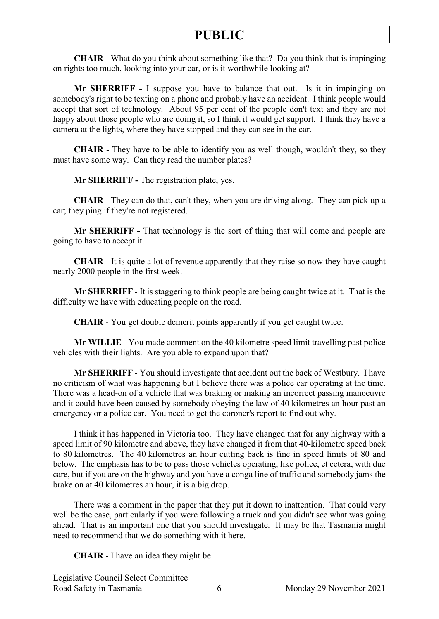**CHAIR** - What do you think about something like that? Do you think that is impinging on rights too much, looking into your car, or is it worthwhile looking at?

**Mr SHERRIFF -** I suppose you have to balance that out. Is it in impinging on somebody's right to be texting on a phone and probably have an accident. I think people would accept that sort of technology. About 95 per cent of the people don't text and they are not happy about those people who are doing it, so I think it would get support. I think they have a camera at the lights, where they have stopped and they can see in the car.

**CHAIR** - They have to be able to identify you as well though, wouldn't they, so they must have some way. Can they read the number plates?

**Mr SHERRIFF -** The registration plate, yes.

**CHAIR** - They can do that, can't they, when you are driving along. They can pick up a car; they ping if they're not registered.

**Mr SHERRIFF -** That technology is the sort of thing that will come and people are going to have to accept it.

**CHAIR** - It is quite a lot of revenue apparently that they raise so now they have caught nearly 2000 people in the first week.

**Mr SHERRIFF** - It is staggering to think people are being caught twice at it. That is the difficulty we have with educating people on the road.

**CHAIR** - You get double demerit points apparently if you get caught twice.

**Mr WILLIE** - You made comment on the 40 kilometre speed limit travelling past police vehicles with their lights. Are you able to expand upon that?

**Mr SHERRIFF** - You should investigate that accident out the back of Westbury. I have no criticism of what was happening but I believe there was a police car operating at the time. There was a head-on of a vehicle that was braking or making an incorrect passing manoeuvre and it could have been caused by somebody obeying the law of 40 kilometres an hour past an emergency or a police car. You need to get the coroner's report to find out why.

I think it has happened in Victoria too. They have changed that for any highway with a speed limit of 90 kilometre and above, they have changed it from that 40-kilometre speed back to 80 kilometres. The 40 kilometres an hour cutting back is fine in speed limits of 80 and below. The emphasis has to be to pass those vehicles operating, like police, et cetera, with due care, but if you are on the highway and you have a conga line of traffic and somebody jams the brake on at 40 kilometres an hour, it is a big drop.

There was a comment in the paper that they put it down to inattention. That could very well be the case, particularly if you were following a truck and you didn't see what was going ahead. That is an important one that you should investigate. It may be that Tasmania might need to recommend that we do something with it here.

**CHAIR** - I have an idea they might be.

Legislative Council Select Committee Road Safety in Tasmania  $\overline{6}$  Monday 29 November 2021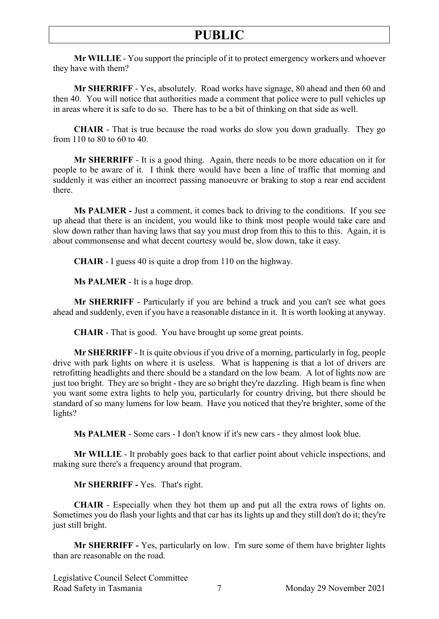**Mr WILLIE** - You support the principle of it to protect emergency workers and whoever they have with them?

**Mr SHERRIFF** - Yes, absolutely. Road works have signage, 80 ahead and then 60 and then 40. You will notice that authorities made a comment that police were to pull vehicles up in areas where it is safe to do so. There has to be a bit of thinking on that side as well.

**CHAIR** - That is true because the road works do slow you down gradually. They go from 110 to 80 to 60 to 40.

**Mr SHERRIFF** - It is a good thing. Again, there needs to be more education on it for people to be aware of it. I think there would have been a line of traffic that morning and suddenly it was either an incorrect passing manoeuvre or braking to stop a rear end accident there.

**Ms PALMER -** Just a comment, it comes back to driving to the conditions. If you see up ahead that there is an incident, you would like to think most people would take care and slow down rather than having laws that say you must drop from this to this to this. Again, it is about commonsense and what decent courtesy would be, slow down, take it easy.

**CHAIR** - I guess 40 is quite a drop from 110 on the highway.

**Ms PALMER** - It is a huge drop.

**Mr SHERRIFF** - Particularly if you are behind a truck and you can't see what goes ahead and suddenly, even if you have a reasonable distance in it. It is worth looking at anyway.

**CHAIR** - That is good. You have brought up some great points.

**Mr SHERRIFF** - It is quite obvious if you drive of a morning, particularly in fog, people drive with park lights on where it is useless. What is happening is that a lot of drivers are retrofitting headlights and there should be a standard on the low beam. A lot of lights now are just too bright. They are so bright - they are so bright they're dazzling. High beam is fine when you want some extra lights to help you, particularly for country driving, but there should be standard of so many lumens for low beam. Have you noticed that they're brighter, some of the lights?

**Ms PALMER** - Some cars - I don't know if it's new cars - they almost look blue.

**Mr WILLIE** - It probably goes back to that earlier point about vehicle inspections, and making sure there's a frequency around that program.

**Mr SHERRIFF -** Yes. That's right.

**CHAIR** - Especially when they hot them up and put all the extra rows of lights on. Sometimes you do flash your lights and that car has its lights up and they still don't do it; they're just still bright.

**Mr SHERRIFF -** Yes, particularly on low. I'm sure some of them have brighter lights than are reasonable on the road.

Legislative Council Select Committee Road Safety in Tasmania  $\overline{7}$  Monday 29 November 2021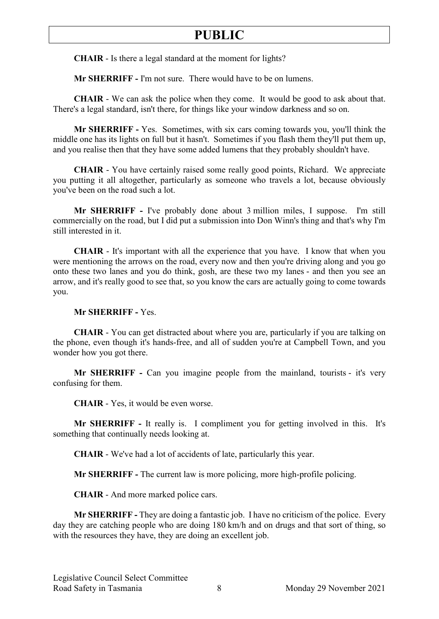**CHAIR** - Is there a legal standard at the moment for lights?

**Mr SHERRIFF -** I'm not sure. There would have to be on lumens.

**CHAIR** - We can ask the police when they come. It would be good to ask about that. There's a legal standard, isn't there, for things like your window darkness and so on.

**Mr SHERRIFF -** Yes. Sometimes, with six cars coming towards you, you'll think the middle one has its lights on full but it hasn't. Sometimes if you flash them they'll put them up, and you realise then that they have some added lumens that they probably shouldn't have.

**CHAIR** - You have certainly raised some really good points, Richard. We appreciate you putting it all altogether, particularly as someone who travels a lot, because obviously you've been on the road such a lot.

**Mr SHERRIFF -** I've probably done about 3 million miles, I suppose. I'm still commercially on the road, but I did put a submission into Don Winn's thing and that's why I'm still interested in it.

**CHAIR** - It's important with all the experience that you have. I know that when you were mentioning the arrows on the road, every now and then you're driving along and you go onto these two lanes and you do think, gosh, are these two my lanes - and then you see an arrow, and it's really good to see that, so you know the cars are actually going to come towards you.

#### **Mr SHERRIFF -** Yes.

**CHAIR** - You can get distracted about where you are, particularly if you are talking on the phone, even though it's hands-free, and all of sudden you're at Campbell Town, and you wonder how you got there.

**Mr SHERRIFF -** Can you imagine people from the mainland, tourists - it's very confusing for them.

**CHAIR** - Yes, it would be even worse.

**Mr SHERRIFF -** It really is. I compliment you for getting involved in this. It's something that continually needs looking at.

**CHAIR** - We've had a lot of accidents of late, particularly this year.

**Mr SHERRIFF -** The current law is more policing, more high-profile policing.

**CHAIR** - And more marked police cars.

**Mr SHERRIFF -** They are doing a fantastic job. I have no criticism of the police. Every day they are catching people who are doing 180 km/h and on drugs and that sort of thing, so with the resources they have, they are doing an excellent job.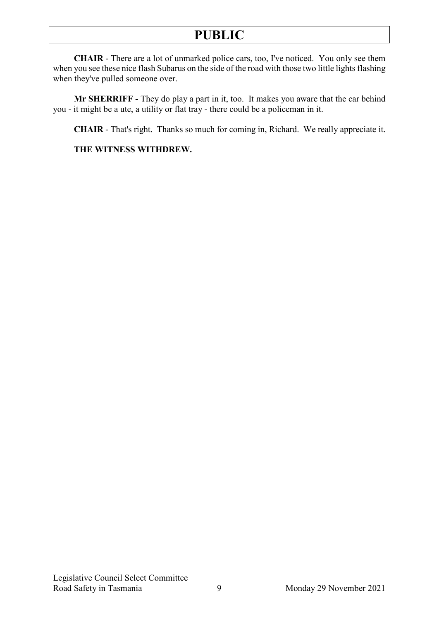**CHAIR** - There are a lot of unmarked police cars, too, I've noticed. You only see them when you see these nice flash Subarus on the side of the road with those two little lights flashing when they've pulled someone over.

**Mr SHERRIFF -** They do play a part in it, too. It makes you aware that the car behind you - it might be a ute, a utility or flat tray - there could be a policeman in it.

**CHAIR** - That's right. Thanks so much for coming in, Richard. We really appreciate it.

### **THE WITNESS WITHDREW.**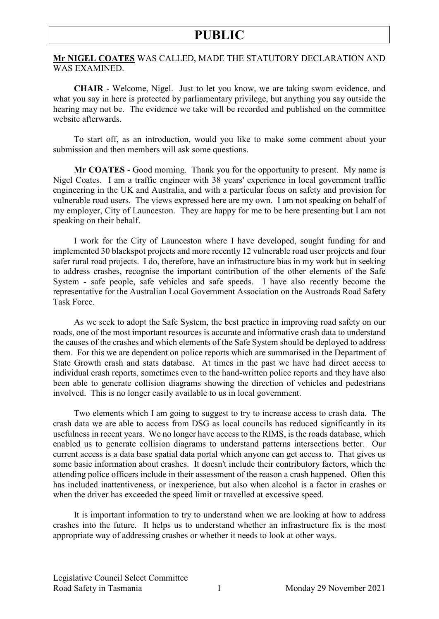#### **Mr NIGEL COATES** WAS CALLED, MADE THE STATUTORY DECLARATION AND WAS EXAMINED.

**CHAIR** - Welcome, Nigel. Just to let you know, we are taking sworn evidence, and what you say in here is protected by parliamentary privilege, but anything you say outside the hearing may not be. The evidence we take will be recorded and published on the committee website afterwards.

To start off, as an introduction, would you like to make some comment about your submission and then members will ask some questions.

**Mr COATES** - Good morning. Thank you for the opportunity to present. My name is Nigel Coates. I am a traffic engineer with 38 years' experience in local government traffic engineering in the UK and Australia, and with a particular focus on safety and provision for vulnerable road users. The views expressed here are my own. I am not speaking on behalf of my employer, City of Launceston. They are happy for me to be here presenting but I am not speaking on their behalf.

I work for the City of Launceston where I have developed, sought funding for and implemented 30 blackspot projects and more recently 12 vulnerable road user projects and four safer rural road projects. I do, therefore, have an infrastructure bias in my work but in seeking to address crashes, recognise the important contribution of the other elements of the Safe System - safe people, safe vehicles and safe speeds. I have also recently become the representative for the Australian Local Government Association on the Austroads Road Safety Task Force.

As we seek to adopt the Safe System, the best practice in improving road safety on our roads, one of the most important resources is accurate and informative crash data to understand the causes of the crashes and which elements of the Safe System should be deployed to address them. For this we are dependent on police reports which are summarised in the Department of State Growth crash and stats database. At times in the past we have had direct access to individual crash reports, sometimes even to the hand-written police reports and they have also been able to generate collision diagrams showing the direction of vehicles and pedestrians involved. This is no longer easily available to us in local government.

Two elements which I am going to suggest to try to increase access to crash data. The crash data we are able to access from DSG as local councils has reduced significantly in its usefulness in recent years. We no longer have access to the RIMS, is the roads database, which enabled us to generate collision diagrams to understand patterns intersections better. Our current access is a data base spatial data portal which anyone can get access to. That gives us some basic information about crashes. It doesn't include their contributory factors, which the attending police officers include in their assessment of the reason a crash happened. Often this has included inattentiveness, or inexperience, but also when alcohol is a factor in crashes or when the driver has exceeded the speed limit or travelled at excessive speed.

It is important information to try to understand when we are looking at how to address crashes into the future. It helps us to understand whether an infrastructure fix is the most appropriate way of addressing crashes or whether it needs to look at other ways.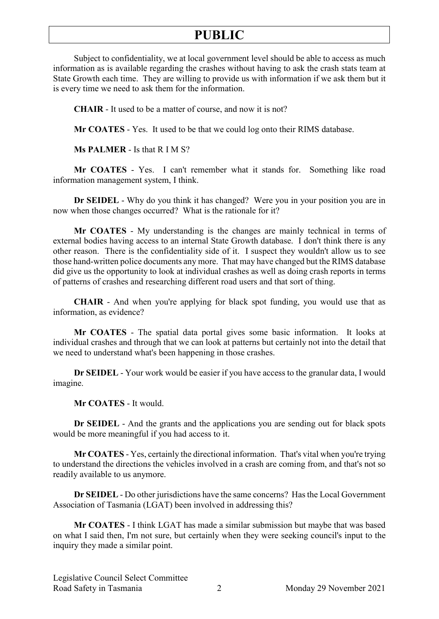Subject to confidentiality, we at local government level should be able to access as much information as is available regarding the crashes without having to ask the crash stats team at State Growth each time. They are willing to provide us with information if we ask them but it is every time we need to ask them for the information.

**CHAIR** - It used to be a matter of course, and now it is not?

**Mr COATES** - Yes. It used to be that we could log onto their RIMS database.

**Ms PALMER** - Is that R I M S?

**Mr COATES** - Yes. I can't remember what it stands for. Something like road information management system, I think.

**Dr SEIDEL** - Why do you think it has changed? Were you in your position you are in now when those changes occurred? What is the rationale for it?

**Mr COATES** - My understanding is the changes are mainly technical in terms of external bodies having access to an internal State Growth database. I don't think there is any other reason. There is the confidentiality side of it. I suspect they wouldn't allow us to see those hand-written police documents any more. That may have changed but the RIMS database did give us the opportunity to look at individual crashes as well as doing crash reports in terms of patterns of crashes and researching different road users and that sort of thing.

**CHAIR** - And when you're applying for black spot funding, you would use that as information, as evidence?

**Mr COATES** - The spatial data portal gives some basic information. It looks at individual crashes and through that we can look at patterns but certainly not into the detail that we need to understand what's been happening in those crashes.

**Dr SEIDEL** - Your work would be easier if you have access to the granular data, I would imagine.

**Mr COATES** - It would.

**Dr SEIDEL** - And the grants and the applications you are sending out for black spots would be more meaningful if you had access to it.

**Mr COATES** - Yes, certainly the directional information. That's vital when you're trying to understand the directions the vehicles involved in a crash are coming from, and that's not so readily available to us anymore.

**Dr SEIDEL** - Do other jurisdictions have the same concerns? Has the Local Government Association of Tasmania (LGAT) been involved in addressing this?

**Mr COATES** - I think LGAT has made a similar submission but maybe that was based on what I said then, I'm not sure, but certainly when they were seeking council's input to the inquiry they made a similar point.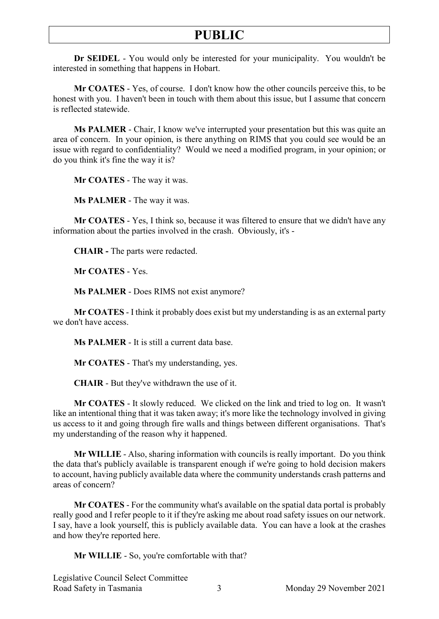**Dr SEIDEL** - You would only be interested for your municipality. You wouldn't be interested in something that happens in Hobart.

**Mr COATES** - Yes, of course. I don't know how the other councils perceive this, to be honest with you. I haven't been in touch with them about this issue, but I assume that concern is reflected statewide.

**Ms PALMER** - Chair, I know we've interrupted your presentation but this was quite an area of concern. In your opinion, is there anything on RIMS that you could see would be an issue with regard to confidentiality? Would we need a modified program, in your opinion; or do you think it's fine the way it is?

**Mr COATES** - The way it was.

**Ms PALMER** - The way it was.

**Mr COATES** - Yes, I think so, because it was filtered to ensure that we didn't have any information about the parties involved in the crash. Obviously, it's -

**CHAIR -** The parts were redacted.

**Mr COATES** - Yes.

**Ms PALMER** - Does RIMS not exist anymore?

**Mr COATES** - I think it probably does exist but my understanding is as an external party we don't have access.

**Ms PALMER** - It is still a current data base.

**Mr COATES** - That's my understanding, yes.

**CHAIR** - But they've withdrawn the use of it.

**Mr COATES** - It slowly reduced. We clicked on the link and tried to log on. It wasn't like an intentional thing that it was taken away; it's more like the technology involved in giving us access to it and going through fire walls and things between different organisations. That's my understanding of the reason why it happened.

**Mr WILLIE** - Also, sharing information with councils is really important. Do you think the data that's publicly available is transparent enough if we're going to hold decision makers to account, having publicly available data where the community understands crash patterns and areas of concern?

**Mr COATES** - For the community what's available on the spatial data portal is probably really good and I refer people to it if they're asking me about road safety issues on our network. I say, have a look yourself, this is publicly available data. You can have a look at the crashes and how they're reported here.

**Mr WILLIE** - So, you're comfortable with that?

Legislative Council Select Committee Road Safety in Tasmania 3 Monday 29 November 2021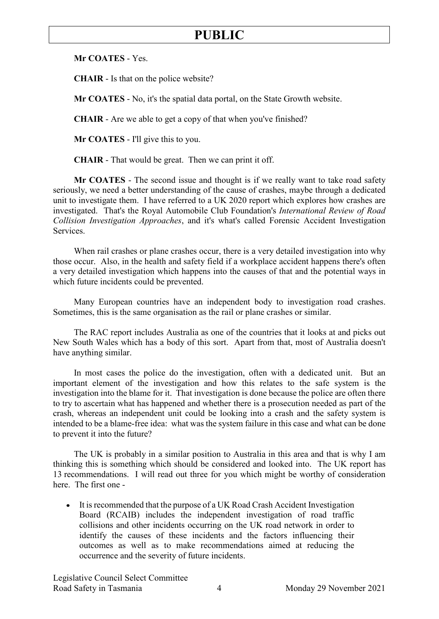**Mr COATES** - Yes.

**CHAIR** - Is that on the police website?

**Mr COATES** - No, it's the spatial data portal, on the State Growth website.

**CHAIR** - Are we able to get a copy of that when you've finished?

**Mr COATES** - I'll give this to you.

**CHAIR** - That would be great. Then we can print it off.

**Mr COATES** - The second issue and thought is if we really want to take road safety seriously, we need a better understanding of the cause of crashes, maybe through a dedicated unit to investigate them. I have referred to a UK 2020 report which explores how crashes are investigated. That's the Royal Automobile Club Foundation's *International Review of Road Collision Investigation Approaches*, and it's what's called Forensic Accident Investigation Services.

When rail crashes or plane crashes occur, there is a very detailed investigation into why those occur. Also, in the health and safety field if a workplace accident happens there's often a very detailed investigation which happens into the causes of that and the potential ways in which future incidents could be prevented.

Many European countries have an independent body to investigation road crashes. Sometimes, this is the same organisation as the rail or plane crashes or similar.

The RAC report includes Australia as one of the countries that it looks at and picks out New South Wales which has a body of this sort. Apart from that, most of Australia doesn't have anything similar.

In most cases the police do the investigation, often with a dedicated unit. But an important element of the investigation and how this relates to the safe system is the investigation into the blame for it. That investigation is done because the police are often there to try to ascertain what has happened and whether there is a prosecution needed as part of the crash, whereas an independent unit could be looking into a crash and the safety system is intended to be a blame-free idea: what was the system failure in this case and what can be done to prevent it into the future?

The UK is probably in a similar position to Australia in this area and that is why I am thinking this is something which should be considered and looked into. The UK report has 13 recommendations. I will read out three for you which might be worthy of consideration here. The first one -

• It is recommended that the purpose of a UK Road Crash Accident Investigation Board (RCAIB) includes the independent investigation of road traffic collisions and other incidents occurring on the UK road network in order to identify the causes of these incidents and the factors influencing their outcomes as well as to make recommendations aimed at reducing the occurrence and the severity of future incidents.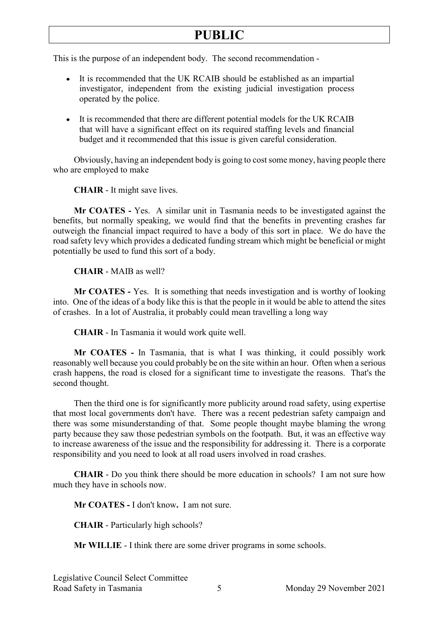This is the purpose of an independent body. The second recommendation -

- It is recommended that the UK RCAIB should be established as an impartial investigator, independent from the existing judicial investigation process operated by the police.
- It is recommended that there are different potential models for the UK RCAIB that will have a significant effect on its required staffing levels and financial budget and it recommended that this issue is given careful consideration.

Obviously, having an independent body is going to cost some money, having people there who are employed to make

**CHAIR** - It might save lives.

**Mr COATES -** Yes. A similar unit in Tasmania needs to be investigated against the benefits, but normally speaking, we would find that the benefits in preventing crashes far outweigh the financial impact required to have a body of this sort in place. We do have the road safety levy which provides a dedicated funding stream which might be beneficial or might potentially be used to fund this sort of a body.

**CHAIR** - MAIB as well?

**Mr COATES -** Yes. It is something that needs investigation and is worthy of looking into. One of the ideas of a body like this is that the people in it would be able to attend the sites of crashes. In a lot of Australia, it probably could mean travelling a long way

**CHAIR** - In Tasmania it would work quite well.

**Mr COATES -** In Tasmania, that is what I was thinking, it could possibly work reasonably well because you could probably be on the site within an hour. Often when a serious crash happens, the road is closed for a significant time to investigate the reasons. That's the second thought.

Then the third one is for significantly more publicity around road safety, using expertise that most local governments don't have. There was a recent pedestrian safety campaign and there was some misunderstanding of that. Some people thought maybe blaming the wrong party because they saw those pedestrian symbols on the footpath. But, it was an effective way to increase awareness of the issue and the responsibility for addressing it. There is a corporate responsibility and you need to look at all road users involved in road crashes.

**CHAIR** - Do you think there should be more education in schools? I am not sure how much they have in schools now.

**Mr COATES -** I don't know**.** I am not sure.

**CHAIR** - Particularly high schools?

**Mr WILLIE** - I think there are some driver programs in some schools.

Legislative Council Select Committee Road Safety in Tasmania 5 5 Monday 29 November 2021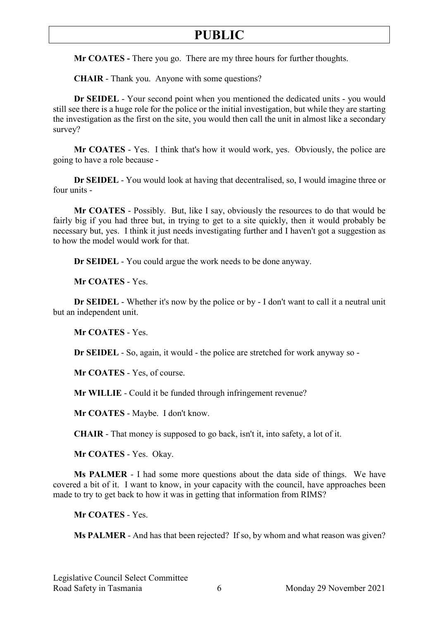**Mr COATES -** There you go. There are my three hours for further thoughts.

**CHAIR** - Thank you. Anyone with some questions?

**Dr SEIDEL** - Your second point when you mentioned the dedicated units - you would still see there is a huge role for the police or the initial investigation, but while they are starting the investigation as the first on the site, you would then call the unit in almost like a secondary survey?

**Mr COATES** - Yes. I think that's how it would work, yes. Obviously, the police are going to have a role because -

**Dr SEIDEL** - You would look at having that decentralised, so, I would imagine three or four units -

**Mr COATES** - Possibly. But, like I say, obviously the resources to do that would be fairly big if you had three but, in trying to get to a site quickly, then it would probably be necessary but, yes. I think it just needs investigating further and I haven't got a suggestion as to how the model would work for that.

**Dr SEIDEL** - You could argue the work needs to be done anyway.

**Mr COATES** - Yes.

**Dr SEIDEL** - Whether it's now by the police or by - I don't want to call it a neutral unit but an independent unit.

**Mr COATES** - Yes.

**Dr SEIDEL** - So, again, it would - the police are stretched for work anyway so -

**Mr COATES** - Yes, of course.

**Mr WILLIE** - Could it be funded through infringement revenue?

**Mr COATES** - Maybe. I don't know.

**CHAIR** - That money is supposed to go back, isn't it, into safety, a lot of it.

**Mr COATES** - Yes. Okay.

**Ms PALMER** - I had some more questions about the data side of things. We have covered a bit of it. I want to know, in your capacity with the council, have approaches been made to try to get back to how it was in getting that information from RIMS?

**Mr COATES** - Yes.

**Ms PALMER** - And has that been rejected? If so, by whom and what reason was given?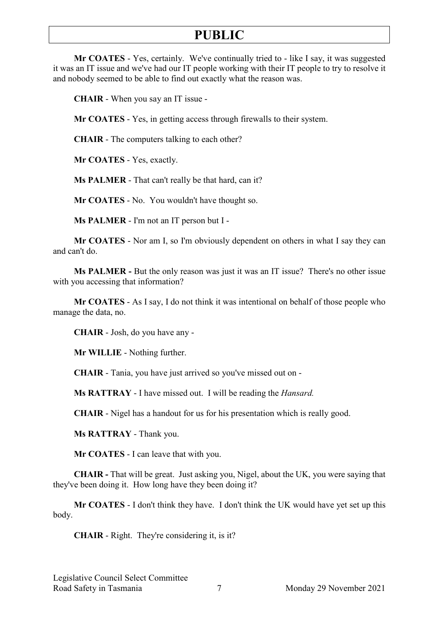**Mr COATES** - Yes, certainly. We've continually tried to - like I say, it was suggested it was an IT issue and we've had our IT people working with their IT people to try to resolve it and nobody seemed to be able to find out exactly what the reason was.

**CHAIR** - When you say an IT issue -

**Mr COATES** - Yes, in getting access through firewalls to their system.

**CHAIR** - The computers talking to each other?

**Mr COATES** - Yes, exactly.

**Ms PALMER** - That can't really be that hard, can it?

**Mr COATES** - No. You wouldn't have thought so.

**Ms PALMER** - I'm not an IT person but I -

**Mr COATES** - Nor am I, so I'm obviously dependent on others in what I say they can and can't do.

**Ms PALMER -** But the only reason was just it was an IT issue? There's no other issue with you accessing that information?

**Mr COATES** - As I say, I do not think it was intentional on behalf of those people who manage the data, no.

**CHAIR** - Josh, do you have any -

**Mr WILLIE** - Nothing further.

**CHAIR** - Tania, you have just arrived so you've missed out on -

**Ms RATTRAY** - I have missed out. I will be reading the *Hansard.*

**CHAIR** - Nigel has a handout for us for his presentation which is really good.

**Ms RATTRAY** - Thank you.

**Mr COATES** - I can leave that with you.

**CHAIR -** That will be great. Just asking you, Nigel, about the UK, you were saying that they've been doing it. How long have they been doing it?

**Mr COATES** - I don't think they have. I don't think the UK would have yet set up this body.

**CHAIR** - Right. They're considering it, is it?

Legislative Council Select Committee Road Safety in Tasmania  $\overline{7}$  Monday 29 November 2021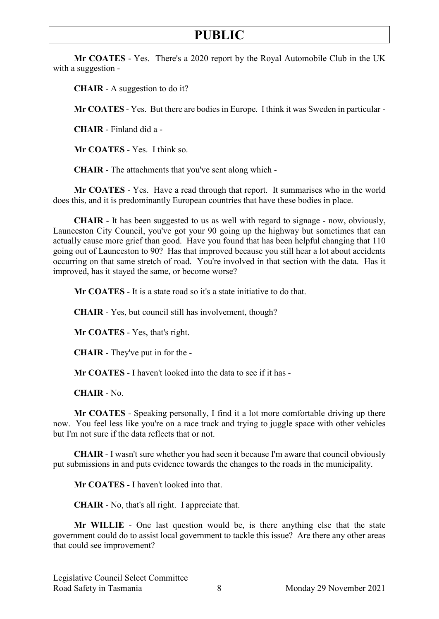**Mr COATES** - Yes. There's a 2020 report by the Royal Automobile Club in the UK with a suggestion -

**CHAIR** - A suggestion to do it?

**Mr COATES** - Yes. But there are bodies in Europe. I think it was Sweden in particular -

**CHAIR** - Finland did a -

**Mr COATES** - Yes. I think so.

**CHAIR** - The attachments that you've sent along which -

**Mr COATES** - Yes. Have a read through that report. It summarises who in the world does this, and it is predominantly European countries that have these bodies in place.

**CHAIR** - It has been suggested to us as well with regard to signage - now, obviously, Launceston City Council, you've got your 90 going up the highway but sometimes that can actually cause more grief than good. Have you found that has been helpful changing that 110 going out of Launceston to 90? Has that improved because you still hear a lot about accidents occurring on that same stretch of road. You're involved in that section with the data. Has it improved, has it stayed the same, or become worse?

**Mr COATES** - It is a state road so it's a state initiative to do that.

**CHAIR** - Yes, but council still has involvement, though?

**Mr COATES** - Yes, that's right.

**CHAIR** - They've put in for the -

**Mr COATES** - I haven't looked into the data to see if it has -

**CHAIR** - No.

**Mr COATES** - Speaking personally, I find it a lot more comfortable driving up there now. You feel less like you're on a race track and trying to juggle space with other vehicles but I'm not sure if the data reflects that or not.

**CHAIR** - I wasn't sure whether you had seen it because I'm aware that council obviously put submissions in and puts evidence towards the changes to the roads in the municipality.

**Mr COATES** - I haven't looked into that.

**CHAIR** - No, that's all right. I appreciate that.

**Mr WILLIE** - One last question would be, is there anything else that the state government could do to assist local government to tackle this issue? Are there any other areas that could see improvement?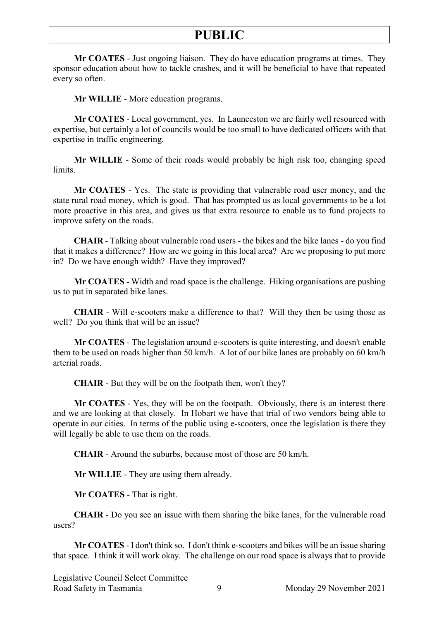**Mr COATES** - Just ongoing liaison. They do have education programs at times. They sponsor education about how to tackle crashes, and it will be beneficial to have that repeated every so often.

**Mr WILLIE** - More education programs.

**Mr COATES** - Local government, yes. In Launceston we are fairly well resourced with expertise, but certainly a lot of councils would be too small to have dedicated officers with that expertise in traffic engineering.

**Mr WILLIE** - Some of their roads would probably be high risk too, changing speed limits.

**Mr COATES** - Yes. The state is providing that vulnerable road user money, and the state rural road money, which is good. That has prompted us as local governments to be a lot more proactive in this area, and gives us that extra resource to enable us to fund projects to improve safety on the roads.

**CHAIR** - Talking about vulnerable road users - the bikes and the bike lanes - do you find that it makes a difference? How are we going in this local area? Are we proposing to put more in? Do we have enough width? Have they improved?

**Mr COATES** - Width and road space is the challenge. Hiking organisations are pushing us to put in separated bike lanes.

**CHAIR** - Will e-scooters make a difference to that? Will they then be using those as well? Do you think that will be an issue?

**Mr COATES** - The legislation around e-scooters is quite interesting, and doesn't enable them to be used on roads higher than 50 km/h. A lot of our bike lanes are probably on 60 km/h arterial roads.

**CHAIR** - But they will be on the footpath then, won't they?

**Mr COATES** - Yes, they will be on the footpath. Obviously, there is an interest there and we are looking at that closely. In Hobart we have that trial of two vendors being able to operate in our cities. In terms of the public using e-scooters, once the legislation is there they will legally be able to use them on the roads.

**CHAIR** - Around the suburbs, because most of those are 50 km/h.

**Mr WILLIE** - They are using them already.

**Mr COATES** - That is right.

**CHAIR** - Do you see an issue with them sharing the bike lanes, for the vulnerable road users?

**Mr COATES** - I don't think so. I don't think e-scooters and bikes will be an issue sharing that space. I think it will work okay. The challenge on our road space is always that to provide

Legislative Council Select Committee Road Safety in Tasmania 9 Monday 29 November 2021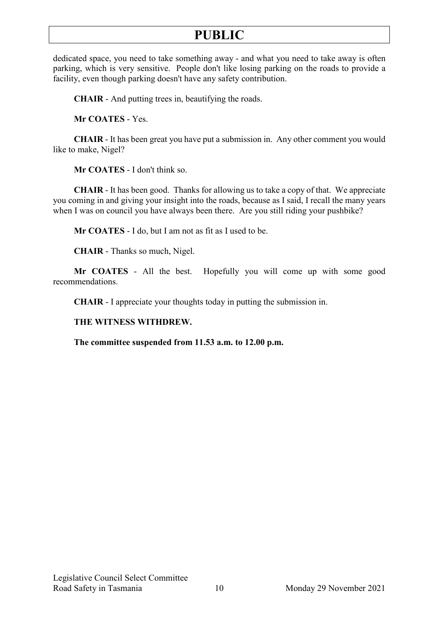dedicated space, you need to take something away - and what you need to take away is often parking, which is very sensitive. People don't like losing parking on the roads to provide a facility, even though parking doesn't have any safety contribution.

**CHAIR** - And putting trees in, beautifying the roads.

**Mr COATES** - Yes.

**CHAIR** - It has been great you have put a submission in. Any other comment you would like to make, Nigel?

**Mr COATES** - I don't think so.

**CHAIR** - It has been good. Thanks for allowing us to take a copy of that. We appreciate you coming in and giving your insight into the roads, because as I said, I recall the many years when I was on council you have always been there. Are you still riding your pushbike?

**Mr COATES** - I do, but I am not as fit as I used to be.

**CHAIR** - Thanks so much, Nigel.

**Mr COATES** - All the best. Hopefully you will come up with some good recommendations.

**CHAIR** - I appreciate your thoughts today in putting the submission in.

### **THE WITNESS WITHDREW.**

**The committee suspended from 11.53 a.m. to 12.00 p.m.**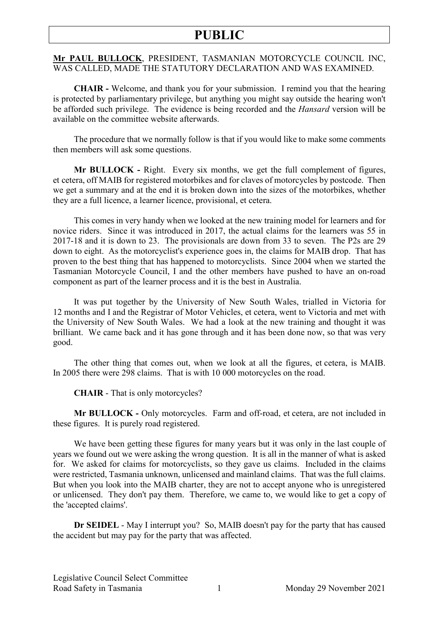### **Mr PAUL BULLOCK**, PRESIDENT, TASMANIAN MOTORCYCLE COUNCIL INC, WAS CALLED, MADE THE STATUTORY DECLARATION AND WAS EXAMINED.

**CHAIR -** Welcome, and thank you for your submission. I remind you that the hearing is protected by parliamentary privilege, but anything you might say outside the hearing won't be afforded such privilege. The evidence is being recorded and the *Hansard* version will be available on the committee website afterwards.

The procedure that we normally follow is that if you would like to make some comments then members will ask some questions.

**Mr BULLOCK -** Right. Every six months, we get the full complement of figures, et cetera, off MAIB for registered motorbikes and for claves of motorcycles by postcode. Then we get a summary and at the end it is broken down into the sizes of the motorbikes, whether they are a full licence, a learner licence, provisional, et cetera.

This comes in very handy when we looked at the new training model for learners and for novice riders. Since it was introduced in 2017, the actual claims for the learners was 55 in 2017-18 and it is down to 23. The provisionals are down from 33 to seven. The P2s are 29 down to eight. As the motorcyclist's experience goes in, the claims for MAIB drop. That has proven to the best thing that has happened to motorcyclists. Since 2004 when we started the Tasmanian Motorcycle Council, I and the other members have pushed to have an on-road component as part of the learner process and it is the best in Australia.

It was put together by the University of New South Wales, trialled in Victoria for 12 months and I and the Registrar of Motor Vehicles, et cetera, went to Victoria and met with the University of New South Wales. We had a look at the new training and thought it was brilliant. We came back and it has gone through and it has been done now, so that was very good.

The other thing that comes out, when we look at all the figures, et cetera, is MAIB. In 2005 there were 298 claims. That is with 10 000 motorcycles on the road.

**CHAIR** - That is only motorcycles?

**Mr BULLOCK -** Only motorcycles. Farm and off-road, et cetera, are not included in these figures. It is purely road registered.

We have been getting these figures for many years but it was only in the last couple of years we found out we were asking the wrong question. It is all in the manner of what is asked for. We asked for claims for motorcyclists, so they gave us claims. Included in the claims were restricted, Tasmania unknown, unlicensed and mainland claims. That was the full claims. But when you look into the MAIB charter, they are not to accept anyone who is unregistered or unlicensed. They don't pay them. Therefore, we came to, we would like to get a copy of the 'accepted claims'.

**Dr SEIDEL** - May I interrupt you? So, MAIB doesn't pay for the party that has caused the accident but may pay for the party that was affected.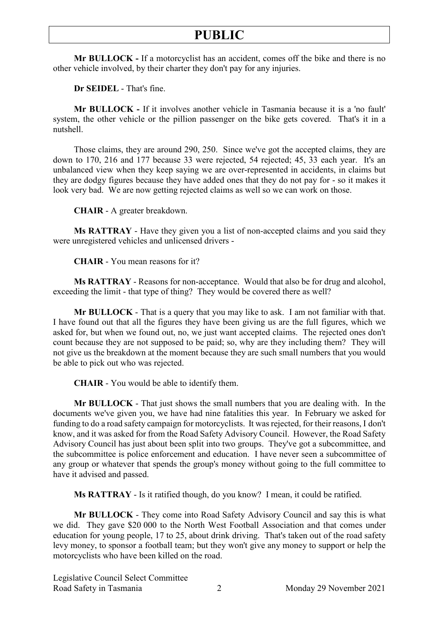**Mr BULLOCK -** If a motorcyclist has an accident, comes off the bike and there is no other vehicle involved, by their charter they don't pay for any injuries.

**Dr SEIDEL** - That's fine.

**Mr BULLOCK -** If it involves another vehicle in Tasmania because it is a 'no fault' system, the other vehicle or the pillion passenger on the bike gets covered. That's it in a nutshell.

Those claims, they are around 290, 250. Since we've got the accepted claims, they are down to 170, 216 and 177 because 33 were rejected, 54 rejected; 45, 33 each year. It's an unbalanced view when they keep saying we are over-represented in accidents, in claims but they are dodgy figures because they have added ones that they do not pay for - so it makes it look very bad. We are now getting rejected claims as well so we can work on those.

**CHAIR** - A greater breakdown.

**Ms RATTRAY** - Have they given you a list of non-accepted claims and you said they were unregistered vehicles and unlicensed drivers -

**CHAIR** - You mean reasons for it?

**Ms RATTRAY** - Reasons for non-acceptance. Would that also be for drug and alcohol, exceeding the limit - that type of thing? They would be covered there as well?

**Mr BULLOCK** - That is a query that you may like to ask. I am not familiar with that. I have found out that all the figures they have been giving us are the full figures, which we asked for, but when we found out, no, we just want accepted claims. The rejected ones don't count because they are not supposed to be paid; so, why are they including them? They will not give us the breakdown at the moment because they are such small numbers that you would be able to pick out who was rejected.

**CHAIR** - You would be able to identify them.

**Mr BULLOCK** - That just shows the small numbers that you are dealing with. In the documents we've given you, we have had nine fatalities this year. In February we asked for funding to do a road safety campaign for motorcyclists. It was rejected, for their reasons, I don't know, and it was asked for from the Road Safety Advisory Council. However, the Road Safety Advisory Council has just about been split into two groups. They've got a subcommittee, and the subcommittee is police enforcement and education. I have never seen a subcommittee of any group or whatever that spends the group's money without going to the full committee to have it advised and passed.

**Ms RATTRAY** - Is it ratified though, do you know? I mean, it could be ratified.

**Mr BULLOCK** - They come into Road Safety Advisory Council and say this is what we did. They gave \$20 000 to the North West Football Association and that comes under education for young people, 17 to 25, about drink driving. That's taken out of the road safety levy money, to sponsor a football team; but they won't give any money to support or help the motorcyclists who have been killed on the road.

Legislative Council Select Committee Road Safety in Tasmania 2 2 Monday 29 November 2021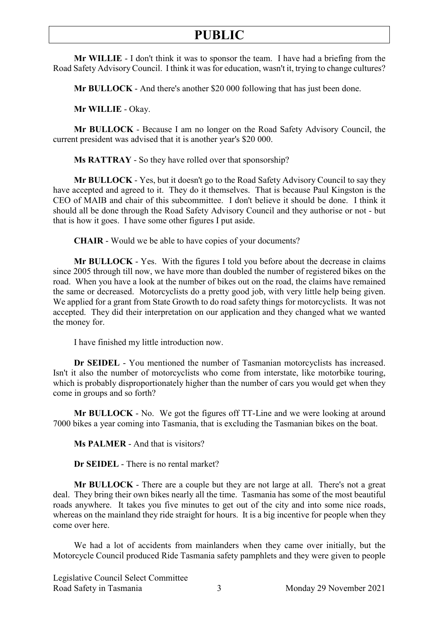**Mr WILLIE** - I don't think it was to sponsor the team. I have had a briefing from the Road Safety Advisory Council. I think it was for education, wasn't it, trying to change cultures?

**Mr BULLOCK** - And there's another \$20 000 following that has just been done.

**Mr WILLIE** - Okay.

**Mr BULLOCK** - Because I am no longer on the Road Safety Advisory Council, the current president was advised that it is another year's \$20 000.

**Ms RATTRAY** - So they have rolled over that sponsorship?

**Mr BULLOCK** - Yes, but it doesn't go to the Road Safety Advisory Council to say they have accepted and agreed to it. They do it themselves. That is because Paul Kingston is the CEO of MAIB and chair of this subcommittee. I don't believe it should be done. I think it should all be done through the Road Safety Advisory Council and they authorise or not - but that is how it goes. I have some other figures I put aside.

**CHAIR** - Would we be able to have copies of your documents?

**Mr BULLOCK** - Yes. With the figures I told you before about the decrease in claims since 2005 through till now, we have more than doubled the number of registered bikes on the road. When you have a look at the number of bikes out on the road, the claims have remained the same or decreased. Motorcyclists do a pretty good job, with very little help being given. We applied for a grant from State Growth to do road safety things for motorcyclists. It was not accepted. They did their interpretation on our application and they changed what we wanted the money for.

I have finished my little introduction now.

**Dr SEIDEL** - You mentioned the number of Tasmanian motorcyclists has increased. Isn't it also the number of motorcyclists who come from interstate, like motorbike touring, which is probably disproportionately higher than the number of cars you would get when they come in groups and so forth?

**Mr BULLOCK** - No. We got the figures off TT-Line and we were looking at around 7000 bikes a year coming into Tasmania, that is excluding the Tasmanian bikes on the boat.

**Ms PALMER** - And that is visitors?

**Dr SEIDEL** - There is no rental market?

**Mr BULLOCK** - There are a couple but they are not large at all. There's not a great deal. They bring their own bikes nearly all the time. Tasmania has some of the most beautiful roads anywhere. It takes you five minutes to get out of the city and into some nice roads, whereas on the mainland they ride straight for hours. It is a big incentive for people when they come over here.

We had a lot of accidents from mainlanders when they came over initially, but the Motorcycle Council produced Ride Tasmania safety pamphlets and they were given to people

Legislative Council Select Committee Road Safety in Tasmania 3 Monday 29 November 2021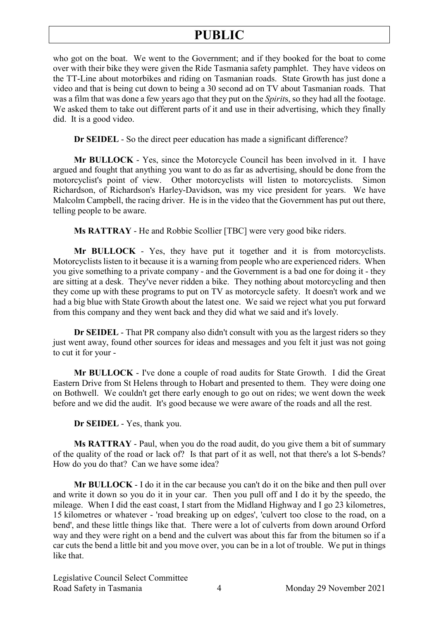who got on the boat. We went to the Government; and if they booked for the boat to come over with their bike they were given the Ride Tasmania safety pamphlet. They have videos on the TT-Line about motorbikes and riding on Tasmanian roads. State Growth has just done a video and that is being cut down to being a 30 second ad on TV about Tasmanian roads. That was a film that was done a few years ago that they put on the *Spirit*s, so they had all the footage. We asked them to take out different parts of it and use in their advertising, which they finally did. It is a good video.

**Dr SEIDEL** - So the direct peer education has made a significant difference?

**Mr BULLOCK** - Yes, since the Motorcycle Council has been involved in it. I have argued and fought that anything you want to do as far as advertising, should be done from the motorcyclist's point of view. Other motorcyclists will listen to motorcyclists. Simon Richardson, of Richardson's Harley-Davidson, was my vice president for years. We have Malcolm Campbell, the racing driver. He is in the video that the Government has put out there, telling people to be aware.

**Ms RATTRAY** - He and Robbie Scollier [TBC] were very good bike riders.

**Mr BULLOCK** - Yes, they have put it together and it is from motorcyclists. Motorcyclists listen to it because it is a warning from people who are experienced riders. When you give something to a private company - and the Government is a bad one for doing it - they are sitting at a desk. They've never ridden a bike. They nothing about motorcycling and then they come up with these programs to put on TV as motorcycle safety. It doesn't work and we had a big blue with State Growth about the latest one. We said we reject what you put forward from this company and they went back and they did what we said and it's lovely.

**Dr SEIDEL** - That PR company also didn't consult with you as the largest riders so they just went away, found other sources for ideas and messages and you felt it just was not going to cut it for your -

**Mr BULLOCK** - I've done a couple of road audits for State Growth. I did the Great Eastern Drive from St Helens through to Hobart and presented to them. They were doing one on Bothwell. We couldn't get there early enough to go out on rides; we went down the week before and we did the audit. It's good because we were aware of the roads and all the rest.

**Dr SEIDEL** - Yes, thank you.

**Ms RATTRAY** - Paul, when you do the road audit, do you give them a bit of summary of the quality of the road or lack of? Is that part of it as well, not that there's a lot S-bends? How do you do that? Can we have some idea?

**Mr BULLOCK** - I do it in the car because you can't do it on the bike and then pull over and write it down so you do it in your car. Then you pull off and I do it by the speedo, the mileage. When I did the east coast, I start from the Midland Highway and I go 23 kilometres, 15 kilometres or whatever - 'road breaking up on edges', 'culvert too close to the road, on a bend', and these little things like that. There were a lot of culverts from down around Orford way and they were right on a bend and the culvert was about this far from the bitumen so if a car cuts the bend a little bit and you move over, you can be in a lot of trouble. We put in things like that.

Legislative Council Select Committee Road Safety in Tasmania  $\overline{4}$  Monday 29 November 2021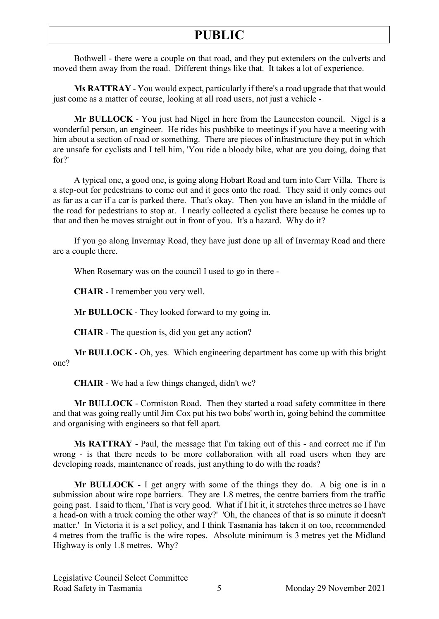Bothwell - there were a couple on that road, and they put extenders on the culverts and moved them away from the road. Different things like that. It takes a lot of experience.

**Ms RATTRAY** - You would expect, particularly if there's a road upgrade that that would just come as a matter of course, looking at all road users, not just a vehicle -

**Mr BULLOCK** - You just had Nigel in here from the Launceston council. Nigel is a wonderful person, an engineer. He rides his pushbike to meetings if you have a meeting with him about a section of road or something. There are pieces of infrastructure they put in which are unsafe for cyclists and I tell him, 'You ride a bloody bike, what are you doing, doing that for?'

A typical one, a good one, is going along Hobart Road and turn into Carr Villa. There is a step-out for pedestrians to come out and it goes onto the road. They said it only comes out as far as a car if a car is parked there. That's okay. Then you have an island in the middle of the road for pedestrians to stop at. I nearly collected a cyclist there because he comes up to that and then he moves straight out in front of you. It's a hazard. Why do it?

If you go along Invermay Road, they have just done up all of Invermay Road and there are a couple there.

When Rosemary was on the council I used to go in there -

**CHAIR** - I remember you very well.

**Mr BULLOCK** - They looked forward to my going in.

**CHAIR** - The question is, did you get any action?

**Mr BULLOCK** - Oh, yes. Which engineering department has come up with this bright one?

**CHAIR** - We had a few things changed, didn't we?

**Mr BULLOCK** - Cormiston Road. Then they started a road safety committee in there and that was going really until Jim Cox put his two bobs' worth in, going behind the committee and organising with engineers so that fell apart.

**Ms RATTRAY** - Paul, the message that I'm taking out of this - and correct me if I'm wrong - is that there needs to be more collaboration with all road users when they are developing roads, maintenance of roads, just anything to do with the roads?

**Mr BULLOCK** - I get angry with some of the things they do. A big one is in a submission about wire rope barriers. They are 1.8 metres, the centre barriers from the traffic going past. I said to them, 'That is very good. What if I hit it, it stretches three metres so I have a head-on with a truck coming the other way?' 'Oh, the chances of that is so minute it doesn't matter.' In Victoria it is a set policy, and I think Tasmania has taken it on too, recommended 4 metres from the traffic is the wire ropes. Absolute minimum is 3 metres yet the Midland Highway is only 1.8 metres. Why?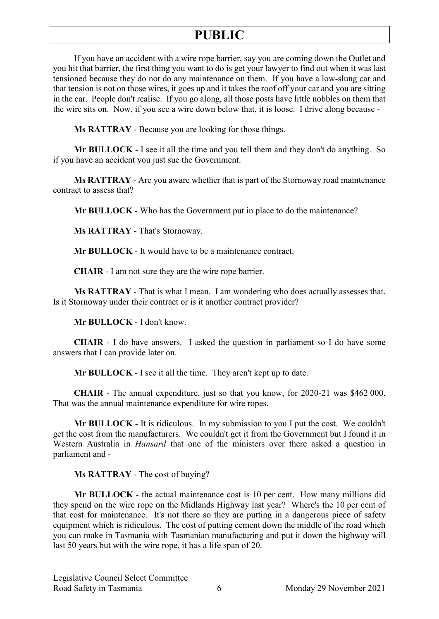If you have an accident with a wire rope barrier, say you are coming down the Outlet and you hit that barrier, the first thing you want to do is get your lawyer to find out when it was last tensioned because they do not do any maintenance on them. If you have a low-slung car and that tension is not on those wires, it goes up and it takes the roof off your car and you are sitting in the car. People don't realise. If you go along, all those posts have little nobbles on them that the wire sits on. Now, if you see a wire down below that, it is loose. I drive along because -

**Ms RATTRAY** - Because you are looking for those things.

**Mr BULLOCK** - I see it all the time and you tell them and they don't do anything. So if you have an accident you just sue the Government.

**Ms RATTRAY** - Are you aware whether that is part of the Stornoway road maintenance contract to assess that?

**Mr BULLOCK** - Who has the Government put in place to do the maintenance?

**Ms RATTRAY** - That's Stornoway.

**Mr BULLOCK** - It would have to be a maintenance contract.

**CHAIR** - I am not sure they are the wire rope barrier.

**Ms RATTRAY** - That is what I mean. I am wondering who does actually assesses that. Is it Stornoway under their contract or is it another contract provider?

**Mr BULLOCK** - I don't know.

**CHAIR** - I do have answers. I asked the question in parliament so I do have some answers that I can provide later on.

**Mr BULLOCK** - I see it all the time. They aren't kept up to date.

**CHAIR** - The annual expenditure, just so that you know, for 2020-21 was \$462 000. That was the annual maintenance expenditure for wire ropes.

**Mr BULLOCK** - It is ridiculous. In my submission to you I put the cost. We couldn't get the cost from the manufacturers. We couldn't get it from the Government but I found it in Western Australia in *Hansard* that one of the ministers over there asked a question in parliament and -

**Ms RATTRAY** - The cost of buying?

**Mr BULLOCK** - the actual maintenance cost is 10 per cent. How many millions did they spend on the wire rope on the Midlands Highway last year? Where's the 10 per cent of that cost for maintenance. It's not there so they are putting in a dangerous piece of safety equipment which is ridiculous. The cost of putting cement down the middle of the road which you can make in Tasmania with Tasmanian manufacturing and put it down the highway will last 50 years but with the wire rope, it has a life span of 20.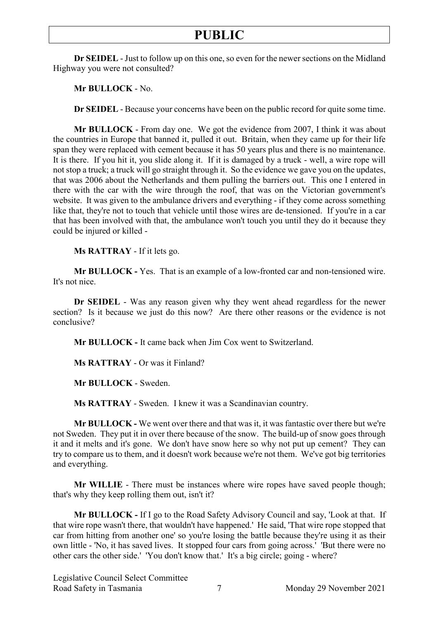**Dr SEIDEL** -Just to follow up on this one, so even for the newer sections on the Midland Highway you were not consulted?

**Mr BULLOCK** - No.

**Dr SEIDEL** - Because your concerns have been on the public record for quite some time.

**Mr BULLOCK** - From day one. We got the evidence from 2007, I think it was about the countries in Europe that banned it, pulled it out. Britain, when they came up for their life span they were replaced with cement because it has 50 years plus and there is no maintenance. It is there. If you hit it, you slide along it. If it is damaged by a truck - well, a wire rope will not stop a truck; a truck will go straight through it. So the evidence we gave you on the updates, that was 2006 about the Netherlands and them pulling the barriers out. This one I entered in there with the car with the wire through the roof, that was on the Victorian government's website. It was given to the ambulance drivers and everything - if they come across something like that, they're not to touch that vehicle until those wires are de-tensioned. If you're in a car that has been involved with that, the ambulance won't touch you until they do it because they could be injured or killed -

**Ms RATTRAY** - If it lets go.

**Mr BULLOCK -** Yes. That is an example of a low-fronted car and non-tensioned wire. It's not nice.

**Dr SEIDEL** - Was any reason given why they went ahead regardless for the newer section? Is it because we just do this now? Are there other reasons or the evidence is not conclusive?

**Mr BULLOCK -** It came back when Jim Cox went to Switzerland.

**Ms RATTRAY** - Or was it Finland?

**Mr BULLOCK** - Sweden.

**Ms RATTRAY** - Sweden. I knew it was a Scandinavian country.

**Mr BULLOCK -** We went over there and that was it, it was fantastic over there but we're not Sweden. They put it in over there because of the snow. The build-up of snow goes through it and it melts and it's gone. We don't have snow here so why not put up cement? They can try to compare us to them, and it doesn't work because we're not them. We've got big territories and everything.

**Mr WILLIE** - There must be instances where wire ropes have saved people though; that's why they keep rolling them out, isn't it?

**Mr BULLOCK -** If I go to the Road Safety Advisory Council and say, 'Look at that. If that wire rope wasn't there, that wouldn't have happened.' He said, 'That wire rope stopped that car from hitting from another one' so you're losing the battle because they're using it as their own little - 'No, it has saved lives. It stopped four cars from going across.' 'But there were no other cars the other side.' 'You don't know that.' It's a big circle; going - where?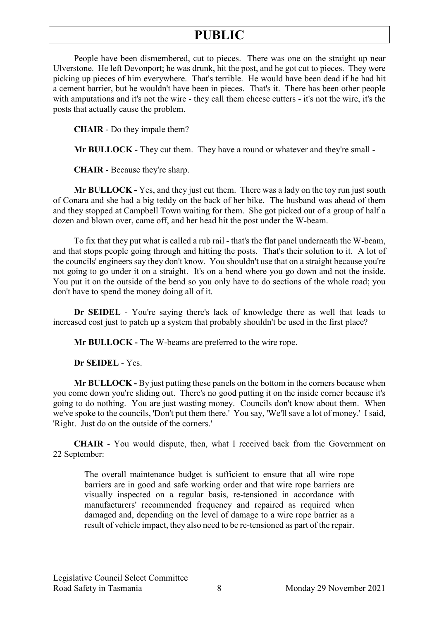People have been dismembered, cut to pieces. There was one on the straight up near Ulverstone. He left Devonport; he was drunk, hit the post, and he got cut to pieces. They were picking up pieces of him everywhere. That's terrible. He would have been dead if he had hit a cement barrier, but he wouldn't have been in pieces. That's it. There has been other people with amputations and it's not the wire - they call them cheese cutters - it's not the wire, it's the posts that actually cause the problem.

**CHAIR** - Do they impale them?

**Mr BULLOCK -** They cut them. They have a round or whatever and they're small -

**CHAIR** - Because they're sharp.

**Mr BULLOCK -** Yes, and they just cut them. There was a lady on the toy run just south of Conara and she had a big teddy on the back of her bike. The husband was ahead of them and they stopped at Campbell Town waiting for them. She got picked out of a group of half a dozen and blown over, came off, and her head hit the post under the W-beam.

To fix that they put what is called a rub rail - that's the flat panel underneath the W-beam, and that stops people going through and hitting the posts. That's their solution to it. A lot of the councils' engineers say they don't know. You shouldn't use that on a straight because you're not going to go under it on a straight. It's on a bend where you go down and not the inside. You put it on the outside of the bend so you only have to do sections of the whole road; you don't have to spend the money doing all of it.

**Dr SEIDEL** - You're saying there's lack of knowledge there as well that leads to increased cost just to patch up a system that probably shouldn't be used in the first place?

**Mr BULLOCK -** The W-beams are preferred to the wire rope.

**Dr SEIDEL** - Yes.

**Mr BULLOCK -** By just putting these panels on the bottom in the corners because when you come down you're sliding out. There's no good putting it on the inside corner because it's going to do nothing. You are just wasting money. Councils don't know about them. When we've spoke to the councils, 'Don't put them there.' You say, 'We'll save a lot of money.' I said, 'Right. Just do on the outside of the corners.'

**CHAIR** - You would dispute, then, what I received back from the Government on 22 September:

The overall maintenance budget is sufficient to ensure that all wire rope barriers are in good and safe working order and that wire rope barriers are visually inspected on a regular basis, re-tensioned in accordance with manufacturers' recommended frequency and repaired as required when damaged and, depending on the level of damage to a wire rope barrier as a result of vehicle impact, they also need to be re-tensioned as part of the repair.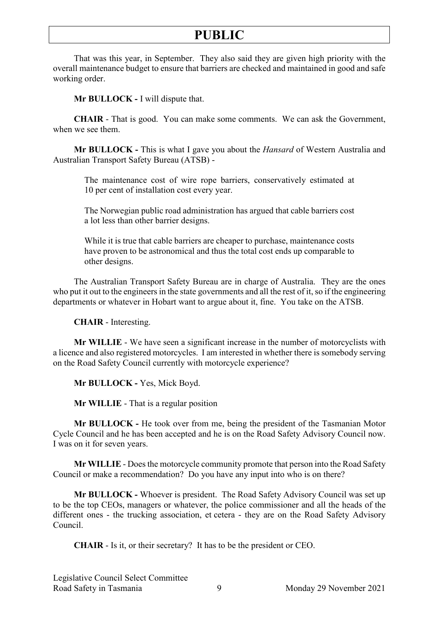That was this year, in September. They also said they are given high priority with the overall maintenance budget to ensure that barriers are checked and maintained in good and safe working order.

**Mr BULLOCK -** I will dispute that.

**CHAIR** - That is good. You can make some comments. We can ask the Government, when we see them.

**Mr BULLOCK -** This is what I gave you about the *Hansard* of Western Australia and Australian Transport Safety Bureau (ATSB) -

The maintenance cost of wire rope barriers, conservatively estimated at 10 per cent of installation cost every year.

The Norwegian public road administration has argued that cable barriers cost a lot less than other barrier designs.

While it is true that cable barriers are cheaper to purchase, maintenance costs have proven to be astronomical and thus the total cost ends up comparable to other designs.

The Australian Transport Safety Bureau are in charge of Australia. They are the ones who put it out to the engineers in the state governments and all the rest of it, so if the engineering departments or whatever in Hobart want to argue about it, fine. You take on the ATSB.

**CHAIR** - Interesting.

**Mr WILLIE** - We have seen a significant increase in the number of motorcyclists with a licence and also registered motorcycles. I am interested in whether there is somebody serving on the Road Safety Council currently with motorcycle experience?

**Mr BULLOCK -** Yes, Mick Boyd.

**Mr WILLIE** - That is a regular position

**Mr BULLOCK -** He took over from me, being the president of the Tasmanian Motor Cycle Council and he has been accepted and he is on the Road Safety Advisory Council now. I was on it for seven years.

**Mr WILLIE** - Does the motorcycle community promote that person into the Road Safety Council or make a recommendation? Do you have any input into who is on there?

**Mr BULLOCK -** Whoever is president. The Road Safety Advisory Council was set up to be the top CEOs, managers or whatever, the police commissioner and all the heads of the different ones - the trucking association, et cetera - they are on the Road Safety Advisory Council.

**CHAIR** - Is it, or their secretary? It has to be the president or CEO.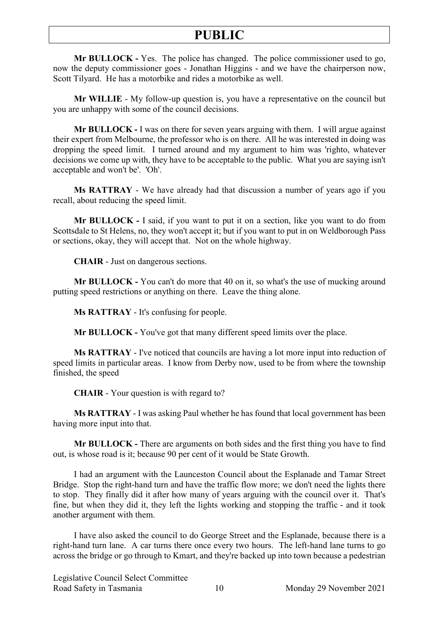**Mr BULLOCK -** Yes. The police has changed. The police commissioner used to go, now the deputy commissioner goes - Jonathan Higgins - and we have the chairperson now, Scott Tilyard. He has a motorbike and rides a motorbike as well.

**Mr WILLIE** - My follow-up question is, you have a representative on the council but you are unhappy with some of the council decisions.

**Mr BULLOCK -** I was on there for seven years arguing with them. I will argue against their expert from Melbourne, the professor who is on there. All he was interested in doing was dropping the speed limit. I turned around and my argument to him was 'righto, whatever decisions we come up with, they have to be acceptable to the public. What you are saying isn't acceptable and won't be'. 'Oh'.

**Ms RATTRAY** - We have already had that discussion a number of years ago if you recall, about reducing the speed limit.

**Mr BULLOCK -** I said, if you want to put it on a section, like you want to do from Scottsdale to St Helens, no, they won't accept it; but if you want to put in on Weldborough Pass or sections, okay, they will accept that. Not on the whole highway.

**CHAIR** - Just on dangerous sections.

**Mr BULLOCK -** You can't do more that 40 on it, so what's the use of mucking around putting speed restrictions or anything on there. Leave the thing alone.

**Ms RATTRAY** - It's confusing for people.

**Mr BULLOCK -** You've got that many different speed limits over the place.

**Ms RATTRAY** - I've noticed that councils are having a lot more input into reduction of speed limits in particular areas. I know from Derby now, used to be from where the township finished, the speed

**CHAIR** - Your question is with regard to?

**Ms RATTRAY** - I was asking Paul whether he has found that local government has been having more input into that.

**Mr BULLOCK -** There are arguments on both sides and the first thing you have to find out, is whose road is it; because 90 per cent of it would be State Growth.

I had an argument with the Launceston Council about the Esplanade and Tamar Street Bridge. Stop the right-hand turn and have the traffic flow more; we don't need the lights there to stop. They finally did it after how many of years arguing with the council over it. That's fine, but when they did it, they left the lights working and stopping the traffic - and it took another argument with them.

I have also asked the council to do George Street and the Esplanade, because there is a right-hand turn lane. A car turns there once every two hours. The left-hand lane turns to go across the bridge or go through to Kmart, and they're backed up into town because a pedestrian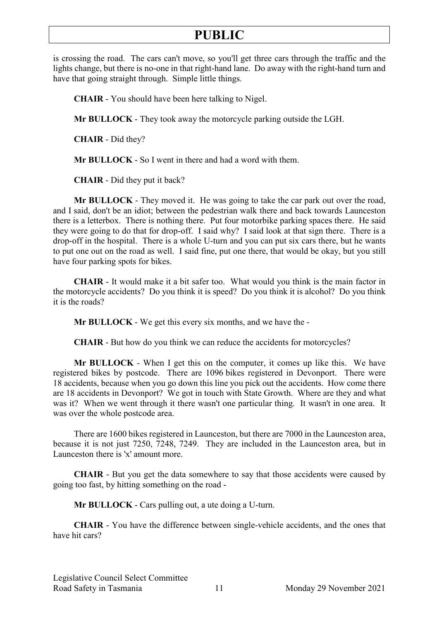is crossing the road. The cars can't move, so you'll get three cars through the traffic and the lights change, but there is no-one in that right-hand lane. Do away with the right-hand turn and have that going straight through. Simple little things.

**CHAIR** - You should have been here talking to Nigel.

**Mr BULLOCK** - They took away the motorcycle parking outside the LGH.

**CHAIR** - Did they?

**Mr BULLOCK** - So I went in there and had a word with them.

**CHAIR** - Did they put it back?

**Mr BULLOCK** - They moved it. He was going to take the car park out over the road, and I said, don't be an idiot; between the pedestrian walk there and back towards Launceston there is a letterbox. There is nothing there. Put four motorbike parking spaces there. He said they were going to do that for drop-off. I said why? I said look at that sign there. There is a drop-off in the hospital. There is a whole U-turn and you can put six cars there, but he wants to put one out on the road as well. I said fine, put one there, that would be okay, but you still have four parking spots for bikes.

**CHAIR** - It would make it a bit safer too. What would you think is the main factor in the motorcycle accidents? Do you think it is speed? Do you think it is alcohol? Do you think it is the roads?

**Mr BULLOCK** - We get this every six months, and we have the -

**CHAIR** - But how do you think we can reduce the accidents for motorcycles?

**Mr BULLOCK** - When I get this on the computer, it comes up like this. We have registered bikes by postcode. There are 1096 bikes registered in Devonport. There were 18 accidents, because when you go down this line you pick out the accidents. How come there are 18 accidents in Devonport? We got in touch with State Growth. Where are they and what was it? When we went through it there wasn't one particular thing. It wasn't in one area. It was over the whole postcode area.

There are 1600 bikes registered in Launceston, but there are 7000 in the Launceston area, because it is not just 7250, 7248, 7249. They are included in the Launceston area, but in Launceston there is 'x' amount more.

**CHAIR** - But you get the data somewhere to say that those accidents were caused by going too fast, by hitting something on the road -

**Mr BULLOCK** - Cars pulling out, a ute doing a U-turn.

**CHAIR** - You have the difference between single-vehicle accidents, and the ones that have hit cars?

Legislative Council Select Committee Road Safety in Tasmania 11 Monday 29 November 2021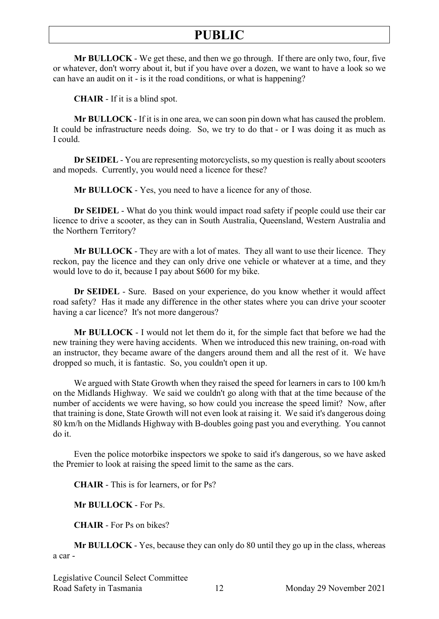**Mr BULLOCK** - We get these, and then we go through. If there are only two, four, five or whatever, don't worry about it, but if you have over a dozen, we want to have a look so we can have an audit on it - is it the road conditions, or what is happening?

**CHAIR** - If it is a blind spot.

**Mr BULLOCK** - If it is in one area, we can soon pin down what has caused the problem. It could be infrastructure needs doing. So, we try to do that - or I was doing it as much as I could.

**Dr SEIDEL** - You are representing motorcyclists, so my question is really about scooters and mopeds. Currently, you would need a licence for these?

**Mr BULLOCK** - Yes, you need to have a licence for any of those.

**Dr SEIDEL** - What do you think would impact road safety if people could use their car licence to drive a scooter, as they can in South Australia, Queensland, Western Australia and the Northern Territory?

**Mr BULLOCK** - They are with a lot of mates. They all want to use their licence. They reckon, pay the licence and they can only drive one vehicle or whatever at a time, and they would love to do it, because I pay about \$600 for my bike.

**Dr SEIDEL** - Sure. Based on your experience, do you know whether it would affect road safety? Has it made any difference in the other states where you can drive your scooter having a car licence? It's not more dangerous?

**Mr BULLOCK** - I would not let them do it, for the simple fact that before we had the new training they were having accidents. When we introduced this new training, on-road with an instructor, they became aware of the dangers around them and all the rest of it. We have dropped so much, it is fantastic. So, you couldn't open it up.

We argued with State Growth when they raised the speed for learners in cars to 100 km/h on the Midlands Highway. We said we couldn't go along with that at the time because of the number of accidents we were having, so how could you increase the speed limit? Now, after that training is done, State Growth will not even look at raising it. We said it's dangerous doing 80 km/h on the Midlands Highway with B-doubles going past you and everything. You cannot do it.

Even the police motorbike inspectors we spoke to said it's dangerous, so we have asked the Premier to look at raising the speed limit to the same as the cars.

**CHAIR** - This is for learners, or for Ps?

**Mr BULLOCK** - For Ps.

**CHAIR** - For Ps on bikes?

**Mr BULLOCK** - Yes, because they can only do 80 until they go up in the class, whereas a car -

Legislative Council Select Committee Road Safety in Tasmania 12 Monday 29 November 2021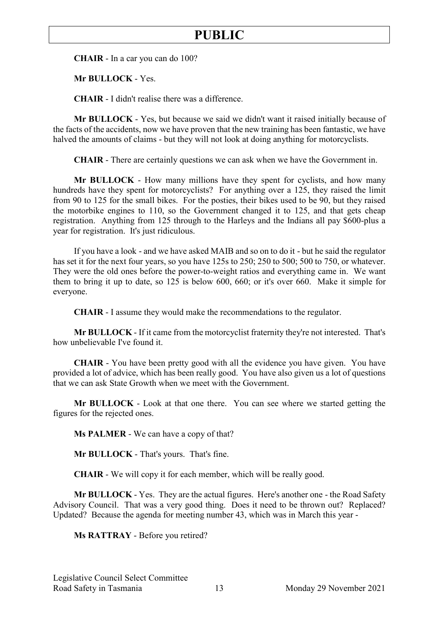**CHAIR** - In a car you can do 100?

**Mr BULLOCK** - Yes.

**CHAIR** - I didn't realise there was a difference.

**Mr BULLOCK** - Yes, but because we said we didn't want it raised initially because of the facts of the accidents, now we have proven that the new training has been fantastic, we have halved the amounts of claims - but they will not look at doing anything for motorcyclists.

**CHAIR** - There are certainly questions we can ask when we have the Government in.

**Mr BULLOCK** - How many millions have they spent for cyclists, and how many hundreds have they spent for motorcyclists? For anything over a 125, they raised the limit from 90 to 125 for the small bikes. For the posties, their bikes used to be 90, but they raised the motorbike engines to 110, so the Government changed it to 125, and that gets cheap registration. Anything from 125 through to the Harleys and the Indians all pay \$600-plus a year for registration. It's just ridiculous.

If you have a look - and we have asked MAIB and so on to do it - but he said the regulator has set it for the next four years, so you have 125s to 250; 250 to 500; 500 to 750, or whatever. They were the old ones before the power-to-weight ratios and everything came in. We want them to bring it up to date, so 125 is below 600, 660; or it's over 660. Make it simple for everyone.

**CHAIR** - I assume they would make the recommendations to the regulator.

**Mr BULLOCK** - If it came from the motorcyclist fraternity they're not interested. That's how unbelievable I've found it.

**CHAIR** - You have been pretty good with all the evidence you have given. You have provided a lot of advice, which has been really good. You have also given us a lot of questions that we can ask State Growth when we meet with the Government.

**Mr BULLOCK** - Look at that one there. You can see where we started getting the figures for the rejected ones.

**Ms PALMER** - We can have a copy of that?

**Mr BULLOCK** - That's yours. That's fine.

**CHAIR** - We will copy it for each member, which will be really good.

**Mr BULLOCK** - Yes. They are the actual figures. Here's another one - the Road Safety Advisory Council. That was a very good thing. Does it need to be thrown out? Replaced? Updated? Because the agenda for meeting number 43, which was in March this year -

**Ms RATTRAY** - Before you retired?

Legislative Council Select Committee Road Safety in Tasmania 13 Monday 29 November 2021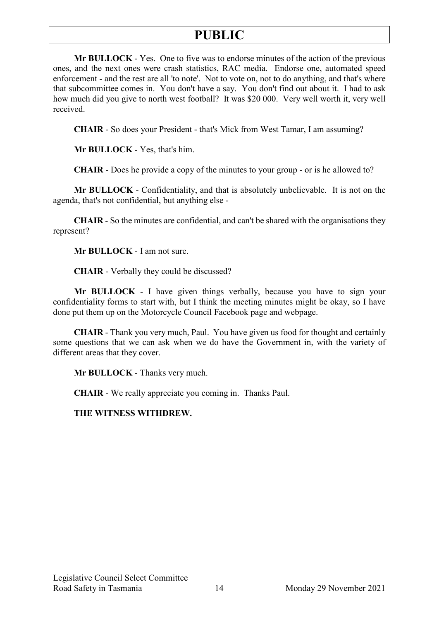**Mr BULLOCK** - Yes. One to five was to endorse minutes of the action of the previous ones, and the next ones were crash statistics, RAC media. Endorse one, automated speed enforcement - and the rest are all 'to note'. Not to vote on, not to do anything, and that's where that subcommittee comes in. You don't have a say. You don't find out about it. I had to ask how much did you give to north west football? It was \$20 000. Very well worth it, very well received.

**CHAIR** - So does your President - that's Mick from West Tamar, I am assuming?

**Mr BULLOCK** - Yes, that's him.

**CHAIR** - Does he provide a copy of the minutes to your group - or is he allowed to?

**Mr BULLOCK** - Confidentiality, and that is absolutely unbelievable. It is not on the agenda, that's not confidential, but anything else -

**CHAIR** - So the minutes are confidential, and can't be shared with the organisations they represent?

**Mr BULLOCK** - I am not sure.

**CHAIR** - Verbally they could be discussed?

**Mr BULLOCK** - I have given things verbally, because you have to sign your confidentiality forms to start with, but I think the meeting minutes might be okay, so I have done put them up on the Motorcycle Council Facebook page and webpage.

**CHAIR** - Thank you very much, Paul. You have given us food for thought and certainly some questions that we can ask when we do have the Government in, with the variety of different areas that they cover.

**Mr BULLOCK** - Thanks very much.

**CHAIR** - We really appreciate you coming in. Thanks Paul.

**THE WITNESS WITHDREW.**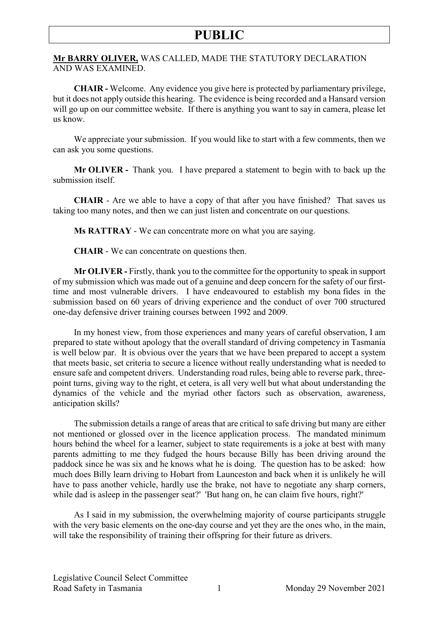### **Mr BARRY OLIVER,** WAS CALLED, MADE THE STATUTORY DECLARATION AND WAS EXAMINED.

**CHAIR -** Welcome. Any evidence you give here is protected by parliamentary privilege, but it does not apply outside this hearing. The evidence is being recorded and a Hansard version will go up on our committee website. If there is anything you want to say in camera, please let us know.

We appreciate your submission. If you would like to start with a few comments, then we can ask you some questions.

**Mr OLIVER -** Thank you. I have prepared a statement to begin with to back up the submission itself.

**CHAIR** - Are we able to have a copy of that after you have finished? That saves us taking too many notes, and then we can just listen and concentrate on our questions.

**Ms RATTRAY** - We can concentrate more on what you are saying.

**CHAIR** - We can concentrate on questions then.

**Mr OLIVER -** Firstly, thank you to the committee for the opportunity to speak in support of my submission which was made out of a genuine and deep concern for the safety of our firsttime and most vulnerable drivers. I have endeavoured to establish my bona fides in the submission based on 60 years of driving experience and the conduct of over 700 structured one-day defensive driver training courses between 1992 and 2009.

In my honest view, from those experiences and many years of careful observation, I am prepared to state without apology that the overall standard of driving competency in Tasmania is well below par. It is obvious over the years that we have been prepared to accept a system that meets basic, set criteria to secure a licence without really understanding what is needed to ensure safe and competent drivers. Understanding road rules, being able to reverse park, threepoint turns, giving way to the right, et cetera, is all very well but what about understanding the dynamics of the vehicle and the myriad other factors such as observation, awareness, anticipation skills?

The submission details a range of areas that are critical to safe driving but many are either not mentioned or glossed over in the licence application process. The mandated minimum hours behind the wheel for a learner, subject to state requirements is a joke at best with many parents admitting to me they fudged the hours because Billy has been driving around the paddock since he was six and he knows what he is doing. The question has to be asked: how much does Billy learn driving to Hobart from Launceston and back when it is unlikely he will have to pass another vehicle, hardly use the brake, not have to negotiate any sharp corners, while dad is asleep in the passenger seat?' 'But hang on, he can claim five hours, right?'

As I said in my submission, the overwhelming majority of course participants struggle with the very basic elements on the one-day course and yet they are the ones who, in the main, will take the responsibility of training their offspring for their future as drivers.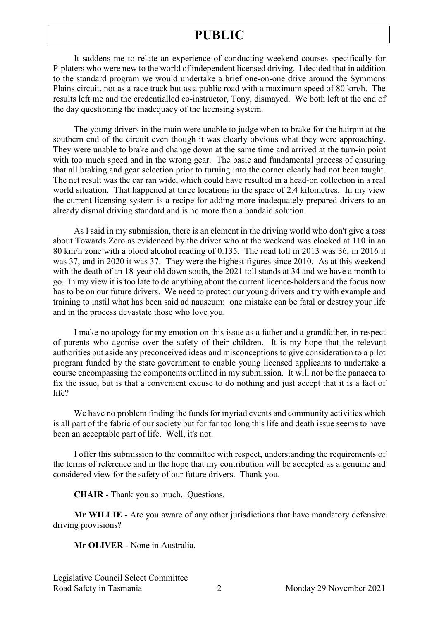It saddens me to relate an experience of conducting weekend courses specifically for P-platers who were new to the world of independent licensed driving. I decided that in addition to the standard program we would undertake a brief one-on-one drive around the Symmons Plains circuit, not as a race track but as a public road with a maximum speed of 80 km/h. The results left me and the credentialled co-instructor, Tony, dismayed. We both left at the end of the day questioning the inadequacy of the licensing system.

The young drivers in the main were unable to judge when to brake for the hairpin at the southern end of the circuit even though it was clearly obvious what they were approaching. They were unable to brake and change down at the same time and arrived at the turn-in point with too much speed and in the wrong gear. The basic and fundamental process of ensuring that all braking and gear selection prior to turning into the corner clearly had not been taught. The net result was the car ran wide, which could have resulted in a head-on collection in a real world situation. That happened at three locations in the space of 2.4 kilometres. In my view the current licensing system is a recipe for adding more inadequately-prepared drivers to an already dismal driving standard and is no more than a bandaid solution.

As I said in my submission, there is an element in the driving world who don't give a toss about Towards Zero as evidenced by the driver who at the weekend was clocked at 110 in an 80 km/h zone with a blood alcohol reading of 0.135. The road toll in 2013 was 36, in 2016 it was 37, and in 2020 it was 37. They were the highest figures since 2010. As at this weekend with the death of an 18-year old down south, the 2021 toll stands at 34 and we have a month to go. In my view it is too late to do anything about the current licence-holders and the focus now has to be on our future drivers. We need to protect our young drivers and try with example and training to instil what has been said ad nauseum: one mistake can be fatal or destroy your life and in the process devastate those who love you.

I make no apology for my emotion on this issue as a father and a grandfather, in respect of parents who agonise over the safety of their children. It is my hope that the relevant authorities put aside any preconceived ideas and misconceptions to give consideration to a pilot program funded by the state government to enable young licensed applicants to undertake a course encompassing the components outlined in my submission. It will not be the panacea to fix the issue, but is that a convenient excuse to do nothing and just accept that it is a fact of life?

We have no problem finding the funds for myriad events and community activities which is all part of the fabric of our society but for far too long this life and death issue seems to have been an acceptable part of life. Well, it's not.

I offer this submission to the committee with respect, understanding the requirements of the terms of reference and in the hope that my contribution will be accepted as a genuine and considered view for the safety of our future drivers. Thank you.

**CHAIR** - Thank you so much. Questions.

**Mr WILLIE** - Are you aware of any other jurisdictions that have mandatory defensive driving provisions?

**Mr OLIVER -** None in Australia.

Legislative Council Select Committee Road Safety in Tasmania 2 2 Monday 29 November 2021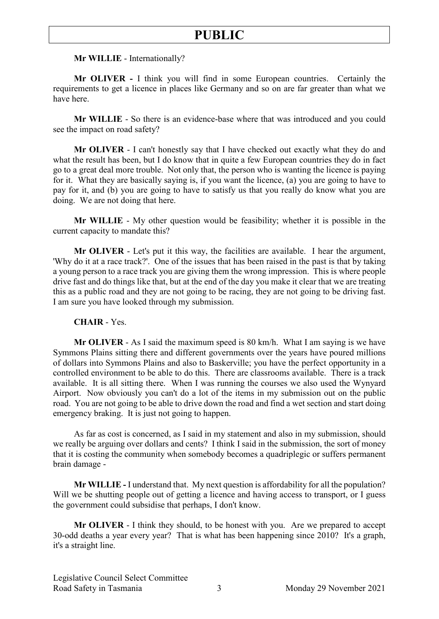#### **Mr WILLIE** - Internationally?

**Mr OLIVER -** I think you will find in some European countries. Certainly the requirements to get a licence in places like Germany and so on are far greater than what we have here.

**Mr WILLIE** - So there is an evidence-base where that was introduced and you could see the impact on road safety?

**Mr OLIVER** - I can't honestly say that I have checked out exactly what they do and what the result has been, but I do know that in quite a few European countries they do in fact go to a great deal more trouble. Not only that, the person who is wanting the licence is paying for it. What they are basically saying is, if you want the licence, (a) you are going to have to pay for it, and (b) you are going to have to satisfy us that you really do know what you are doing. We are not doing that here.

**Mr WILLIE** - My other question would be feasibility; whether it is possible in the current capacity to mandate this?

**Mr OLIVER** - Let's put it this way, the facilities are available. I hear the argument, 'Why do it at a race track?'. One of the issues that has been raised in the past is that by taking a young person to a race track you are giving them the wrong impression. This is where people drive fast and do things like that, but at the end of the day you make it clear that we are treating this as a public road and they are not going to be racing, they are not going to be driving fast. I am sure you have looked through my submission.

**CHAIR** - Yes.

**Mr OLIVER** - As I said the maximum speed is 80 km/h. What I am saying is we have Symmons Plains sitting there and different governments over the years have poured millions of dollars into Symmons Plains and also to Baskerville; you have the perfect opportunity in a controlled environment to be able to do this. There are classrooms available. There is a track available. It is all sitting there. When I was running the courses we also used the Wynyard Airport. Now obviously you can't do a lot of the items in my submission out on the public road. You are not going to be able to drive down the road and find a wet section and start doing emergency braking. It is just not going to happen.

As far as cost is concerned, as I said in my statement and also in my submission, should we really be arguing over dollars and cents? I think I said in the submission, the sort of money that it is costing the community when somebody becomes a quadriplegic or suffers permanent brain damage -

**Mr WILLIE -** I understand that. My next question is affordability for all the population? Will we be shutting people out of getting a licence and having access to transport, or I guess the government could subsidise that perhaps, I don't know.

**Mr OLIVER** - I think they should, to be honest with you. Are we prepared to accept 30-odd deaths a year every year? That is what has been happening since 2010? It's a graph, it's a straight line.

Legislative Council Select Committee Road Safety in Tasmania 3 Monday 29 November 2021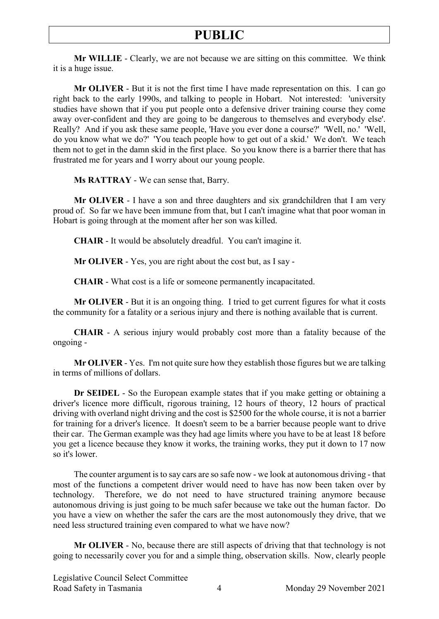**Mr WILLIE** - Clearly, we are not because we are sitting on this committee. We think it is a huge issue.

**Mr OLIVER** - But it is not the first time I have made representation on this. I can go right back to the early 1990s, and talking to people in Hobart. Not interested: 'university studies have shown that if you put people onto a defensive driver training course they come away over-confident and they are going to be dangerous to themselves and everybody else'. Really? And if you ask these same people, 'Have you ever done a course?' 'Well, no.' 'Well, do you know what we do?' 'You teach people how to get out of a skid.' We don't. We teach them not to get in the damn skid in the first place. So you know there is a barrier there that has frustrated me for years and I worry about our young people.

**Ms RATTRAY** - We can sense that, Barry.

**Mr OLIVER** - I have a son and three daughters and six grandchildren that I am very proud of. So far we have been immune from that, but I can't imagine what that poor woman in Hobart is going through at the moment after her son was killed.

**CHAIR** - It would be absolutely dreadful. You can't imagine it.

**Mr OLIVER** - Yes, you are right about the cost but, as I say -

**CHAIR** - What cost is a life or someone permanently incapacitated.

**Mr OLIVER** - But it is an ongoing thing. I tried to get current figures for what it costs the community for a fatality or a serious injury and there is nothing available that is current.

**CHAIR** - A serious injury would probably cost more than a fatality because of the ongoing -

**Mr OLIVER** - Yes. I'm not quite sure how they establish those figures but we are talking in terms of millions of dollars.

**Dr SEIDEL** - So the European example states that if you make getting or obtaining a driver's licence more difficult, rigorous training, 12 hours of theory, 12 hours of practical driving with overland night driving and the cost is \$2500 for the whole course, it is not a barrier for training for a driver's licence. It doesn't seem to be a barrier because people want to drive their car. The German example was they had age limits where you have to be at least 18 before you get a licence because they know it works, the training works, they put it down to 17 now so it's lower.

The counter argument is to say cars are so safe now - we look at autonomous driving - that most of the functions a competent driver would need to have has now been taken over by technology. Therefore, we do not need to have structured training anymore because autonomous driving is just going to be much safer because we take out the human factor. Do you have a view on whether the safer the cars are the most autonomously they drive, that we need less structured training even compared to what we have now?

**Mr OLIVER** - No, because there are still aspects of driving that that technology is not going to necessarily cover you for and a simple thing, observation skills. Now, clearly people

Legislative Council Select Committee Road Safety in Tasmania  $\overline{4}$  Monday 29 November 2021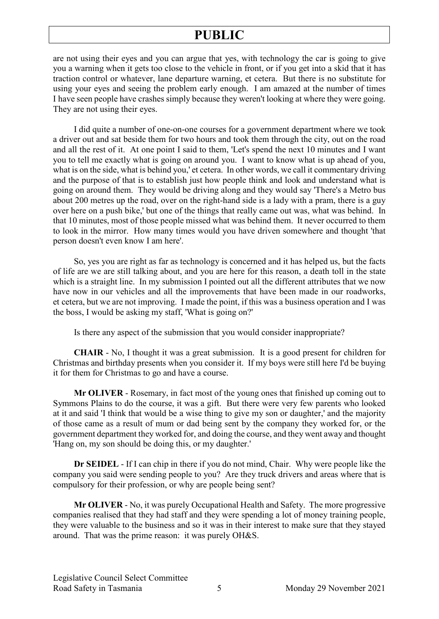are not using their eyes and you can argue that yes, with technology the car is going to give you a warning when it gets too close to the vehicle in front, or if you get into a skid that it has traction control or whatever, lane departure warning, et cetera. But there is no substitute for using your eyes and seeing the problem early enough. I am amazed at the number of times I have seen people have crashes simply because they weren't looking at where they were going. They are not using their eyes.

I did quite a number of one-on-one courses for a government department where we took a driver out and sat beside them for two hours and took them through the city, out on the road and all the rest of it. At one point I said to them, 'Let's spend the next 10 minutes and I want you to tell me exactly what is going on around you. I want to know what is up ahead of you, what is on the side, what is behind you,' et cetera. In other words, we call it commentary driving and the purpose of that is to establish just how people think and look and understand what is going on around them. They would be driving along and they would say 'There's a Metro bus about 200 metres up the road, over on the right-hand side is a lady with a pram, there is a guy over here on a push bike,' but one of the things that really came out was, what was behind. In that 10 minutes, most of those people missed what was behind them. It never occurred to them to look in the mirror. How many times would you have driven somewhere and thought 'that person doesn't even know I am here'.

So, yes you are right as far as technology is concerned and it has helped us, but the facts of life are we are still talking about, and you are here for this reason, a death toll in the state which is a straight line. In my submission I pointed out all the different attributes that we now have now in our vehicles and all the improvements that have been made in our roadworks, et cetera, but we are not improving. I made the point, if this was a business operation and I was the boss, I would be asking my staff, 'What is going on?'

Is there any aspect of the submission that you would consider inappropriate?

**CHAIR** - No, I thought it was a great submission. It is a good present for children for Christmas and birthday presents when you consider it. If my boys were still here I'd be buying it for them for Christmas to go and have a course.

**Mr OLIVER** - Rosemary, in fact most of the young ones that finished up coming out to Symmons Plains to do the course, it was a gift. But there were very few parents who looked at it and said 'I think that would be a wise thing to give my son or daughter,' and the majority of those came as a result of mum or dad being sent by the company they worked for, or the government department they worked for, and doing the course, and they went away and thought 'Hang on, my son should be doing this, or my daughter.'

**Dr SEIDEL** - If I can chip in there if you do not mind, Chair. Why were people like the company you said were sending people to you? Are they truck drivers and areas where that is compulsory for their profession, or why are people being sent?

**Mr OLIVER** - No, it was purely Occupational Health and Safety. The more progressive companies realised that they had staff and they were spending a lot of money training people, they were valuable to the business and so it was in their interest to make sure that they stayed around. That was the prime reason: it was purely OH&S.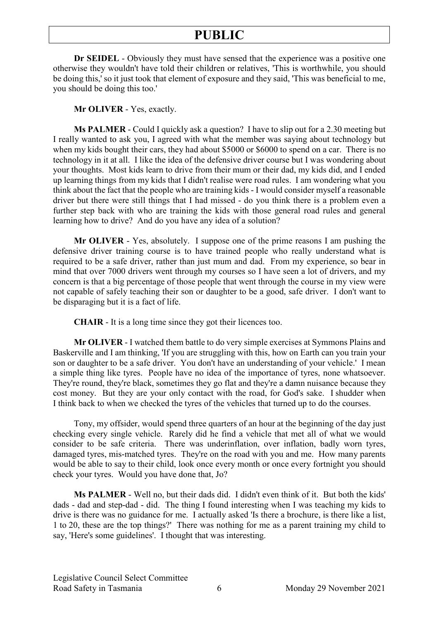**Dr SEIDEL** - Obviously they must have sensed that the experience was a positive one otherwise they wouldn't have told their children or relatives, 'This is worthwhile, you should be doing this,' so it just took that element of exposure and they said, 'This was beneficial to me, you should be doing this too.'

**Mr OLIVER** - Yes, exactly.

**Ms PALMER** - Could I quickly ask a question? I have to slip out for a 2.30 meeting but I really wanted to ask you, I agreed with what the member was saying about technology but when my kids bought their cars, they had about \$5000 or \$6000 to spend on a car. There is no technology in it at all. I like the idea of the defensive driver course but I was wondering about your thoughts. Most kids learn to drive from their mum or their dad, my kids did, and I ended up learning things from my kids that I didn't realise were road rules. I am wondering what you think about the fact that the people who are training kids - I would consider myself a reasonable driver but there were still things that I had missed - do you think there is a problem even a further step back with who are training the kids with those general road rules and general learning how to drive? And do you have any idea of a solution?

**Mr OLIVER** - Yes, absolutely. I suppose one of the prime reasons I am pushing the defensive driver training course is to have trained people who really understand what is required to be a safe driver, rather than just mum and dad. From my experience, so bear in mind that over 7000 drivers went through my courses so I have seen a lot of drivers, and my concern is that a big percentage of those people that went through the course in my view were not capable of safely teaching their son or daughter to be a good, safe driver. I don't want to be disparaging but it is a fact of life.

**CHAIR** - It is a long time since they got their licences too.

**Mr OLIVER** - I watched them battle to do very simple exercises at Symmons Plains and Baskerville and I am thinking, 'If you are struggling with this, how on Earth can you train your son or daughter to be a safe driver. You don't have an understanding of your vehicle.' I mean a simple thing like tyres. People have no idea of the importance of tyres, none whatsoever. They're round, they're black, sometimes they go flat and they're a damn nuisance because they cost money. But they are your only contact with the road, for God's sake. I shudder when I think back to when we checked the tyres of the vehicles that turned up to do the courses.

Tony, my offsider, would spend three quarters of an hour at the beginning of the day just checking every single vehicle. Rarely did he find a vehicle that met all of what we would consider to be safe criteria. There was underinflation, over inflation, badly worn tyres, damaged tyres, mis-matched tyres. They're on the road with you and me. How many parents would be able to say to their child, look once every month or once every fortnight you should check your tyres. Would you have done that, Jo?

**Ms PALMER** - Well no, but their dads did. I didn't even think of it. But both the kids' dads - dad and step-dad - did. The thing I found interesting when I was teaching my kids to drive is there was no guidance for me. I actually asked 'Is there a brochure, is there like a list, 1 to 20, these are the top things?' There was nothing for me as a parent training my child to say, 'Here's some guidelines'. I thought that was interesting.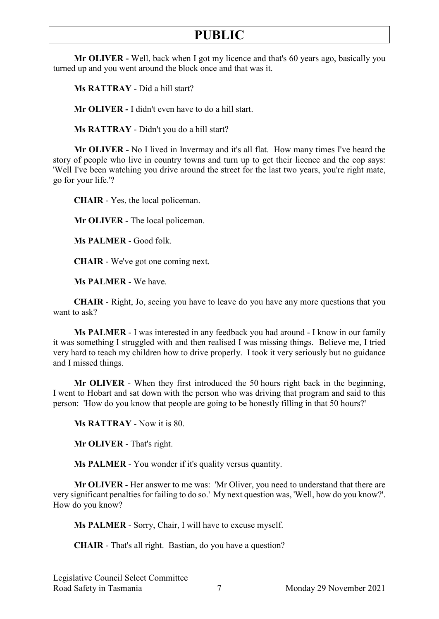**Mr OLIVER -** Well, back when I got my licence and that's 60 years ago, basically you turned up and you went around the block once and that was it.

**Ms RATTRAY -** Did a hill start?

**Mr OLIVER -** I didn't even have to do a hill start.

**Ms RATTRAY** - Didn't you do a hill start?

**Mr OLIVER -** No I lived in Invermay and it's all flat. How many times I've heard the story of people who live in country towns and turn up to get their licence and the cop says: 'Well I've been watching you drive around the street for the last two years, you're right mate, go for your life.'?

**CHAIR** - Yes, the local policeman.

**Mr OLIVER -** The local policeman.

**Ms PALMER** - Good folk.

**CHAIR** - We've got one coming next.

**Ms PALMER** - We have.

**CHAIR** - Right, Jo, seeing you have to leave do you have any more questions that you want to ask?

**Ms PALMER** - I was interested in any feedback you had around - I know in our family it was something I struggled with and then realised I was missing things. Believe me, I tried very hard to teach my children how to drive properly. I took it very seriously but no guidance and I missed things.

**Mr OLIVER** - When they first introduced the 50 hours right back in the beginning, I went to Hobart and sat down with the person who was driving that program and said to this person: 'How do you know that people are going to be honestly filling in that 50 hours?'

**Ms RATTRAY** - Now it is 80.

**Mr OLIVER** - That's right.

**Ms PALMER** - You wonder if it's quality versus quantity.

**Mr OLIVER** - Her answer to me was: 'Mr Oliver, you need to understand that there are very significant penalties for failing to do so.' My next question was, 'Well, how do you know?'. How do you know?

**Ms PALMER** - Sorry, Chair, I will have to excuse myself.

**CHAIR** - That's all right. Bastian, do you have a question?

Legislative Council Select Committee Road Safety in Tasmania  $\overline{7}$  Monday 29 November 2021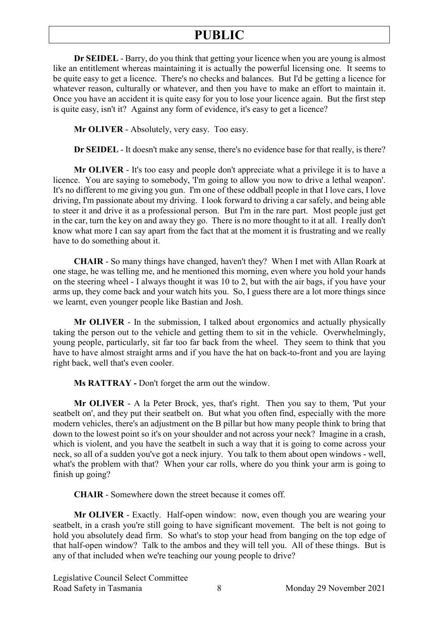**Dr SEIDEL** - Barry, do you think that getting your licence when you are young is almost like an entitlement whereas maintaining it is actually the powerful licensing one. It seems to be quite easy to get a licence. There's no checks and balances. But I'd be getting a licence for whatever reason, culturally or whatever, and then you have to make an effort to maintain it. Once you have an accident it is quite easy for you to lose your licence again. But the first step is quite easy, isn't it? Against any form of evidence, it's easy to get a licence?

**Mr OLIVER** - Absolutely, very easy. Too easy.

**Dr SEIDEL** - It doesn't make any sense, there's no evidence base for that really, is there?

**Mr OLIVER** - It's too easy and people don't appreciate what a privilege it is to have a licence. You are saying to somebody, 'I'm going to allow you now to drive a lethal weapon'. It's no different to me giving you gun. I'm one of these oddball people in that I love cars, I love driving, I'm passionate about my driving. I look forward to driving a car safely, and being able to steer it and drive it as a professional person. But I'm in the rare part. Most people just get in the car, turn the key on and away they go. There is no more thought to it at all. I really don't know what more I can say apart from the fact that at the moment it is frustrating and we really have to do something about it.

**CHAIR** - So many things have changed, haven't they? When I met with Allan Roark at one stage, he was telling me, and he mentioned this morning, even where you hold your hands on the steering wheel - I always thought it was 10 to 2, but with the air bags, if you have your arms up, they come back and your watch hits you. So, I guess there are a lot more things since we learnt, even younger people like Bastian and Josh.

**Mr OLIVER** - In the submission, I talked about ergonomics and actually physically taking the person out to the vehicle and getting them to sit in the vehicle. Overwhelmingly, young people, particularly, sit far too far back from the wheel. They seem to think that you have to have almost straight arms and if you have the hat on back-to-front and you are laying right back, well that's even cooler.

**Ms RATTRAY -** Don't forget the arm out the window.

**Mr OLIVER** - A la Peter Brock, yes, that's right. Then you say to them, 'Put your seatbelt on', and they put their seatbelt on. But what you often find, especially with the more modern vehicles, there's an adjustment on the B pillar but how many people think to bring that down to the lowest point so it's on your shoulder and not across your neck? Imagine in a crash, which is violent, and you have the seatbelt in such a way that it is going to come across your neck, so all of a sudden you've got a neck injury. You talk to them about open windows - well, what's the problem with that? When your car rolls, where do you think your arm is going to finish up going?

**CHAIR** - Somewhere down the street because it comes off.

**Mr OLIVER** - Exactly. Half-open window: now, even though you are wearing your seatbelt, in a crash you're still going to have significant movement. The belt is not going to hold you absolutely dead firm. So what's to stop your head from banging on the top edge of that half-open window? Talk to the ambos and they will tell you. All of these things. But is any of that included when we're teaching our young people to drive?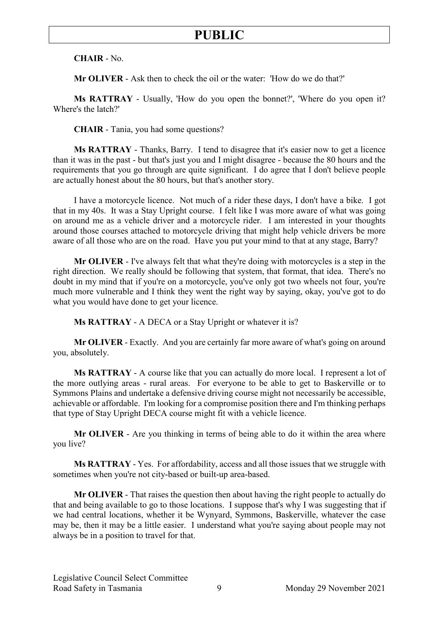**CHAIR** - No.

**Mr OLIVER** - Ask then to check the oil or the water: 'How do we do that?'

**Ms RATTRAY** - Usually, 'How do you open the bonnet?', 'Where do you open it? Where's the latch?'

**CHAIR** - Tania, you had some questions?

**Ms RATTRAY** - Thanks, Barry. I tend to disagree that it's easier now to get a licence than it was in the past - but that's just you and I might disagree - because the 80 hours and the requirements that you go through are quite significant. I do agree that I don't believe people are actually honest about the 80 hours, but that's another story.

I have a motorcycle licence. Not much of a rider these days, I don't have a bike. I got that in my 40s. It was a Stay Upright course. I felt like I was more aware of what was going on around me as a vehicle driver and a motorcycle rider. I am interested in your thoughts around those courses attached to motorcycle driving that might help vehicle drivers be more aware of all those who are on the road. Have you put your mind to that at any stage, Barry?

**Mr OLIVER** - I've always felt that what they're doing with motorcycles is a step in the right direction. We really should be following that system, that format, that idea. There's no doubt in my mind that if you're on a motorcycle, you've only got two wheels not four, you're much more vulnerable and I think they went the right way by saying, okay, you've got to do what you would have done to get your licence.

**Ms RATTRAY** - A DECA or a Stay Upright or whatever it is?

**Mr OLIVER** - Exactly. And you are certainly far more aware of what's going on around you, absolutely.

**Ms RATTRAY** - A course like that you can actually do more local. I represent a lot of the more outlying areas - rural areas. For everyone to be able to get to Baskerville or to Symmons Plains and undertake a defensive driving course might not necessarily be accessible, achievable or affordable. I'm looking for a compromise position there and I'm thinking perhaps that type of Stay Upright DECA course might fit with a vehicle licence.

**Mr OLIVER** - Are you thinking in terms of being able to do it within the area where you live?

**Ms RATTRAY** - Yes. For affordability, access and all those issues that we struggle with sometimes when you're not city-based or built-up area-based.

**Mr OLIVER** - That raises the question then about having the right people to actually do that and being available to go to those locations. I suppose that's why I was suggesting that if we had central locations, whether it be Wynyard, Symmons, Baskerville, whatever the case may be, then it may be a little easier. I understand what you're saying about people may not always be in a position to travel for that.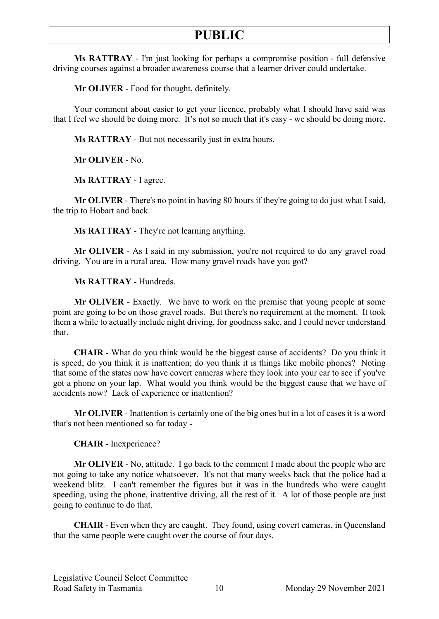**Ms RATTRAY** - I'm just looking for perhaps a compromise position - full defensive driving courses against a broader awareness course that a learner driver could undertake.

**Mr OLIVER** - Food for thought, definitely.

Your comment about easier to get your licence, probably what I should have said was that I feel we should be doing more. It's not so much that it's easy - we should be doing more.

**Ms RATTRAY** - But not necessarily just in extra hours.

**Mr OLIVER** - No.

**Ms RATTRAY** - I agree.

**Mr OLIVER** - There's no point in having 80 hours if they're going to do just what I said, the trip to Hobart and back.

**Ms RATTRAY** - They're not learning anything.

**Mr OLIVER** - As I said in my submission, you're not required to do any gravel road driving. You are in a rural area. How many gravel roads have you got?

**Ms RATTRAY** - Hundreds.

**Mr OLIVER** - Exactly. We have to work on the premise that young people at some point are going to be on those gravel roads. But there's no requirement at the moment. It took them a while to actually include night driving, for goodness sake, and I could never understand that.

**CHAIR** - What do you think would be the biggest cause of accidents? Do you think it is speed; do you think it is inattention; do you think it is things like mobile phones? Noting that some of the states now have covert cameras where they look into your car to see if you've got a phone on your lap. What would you think would be the biggest cause that we have of accidents now? Lack of experience or inattention?

**Mr OLIVER** - Inattention is certainly one of the big ones but in a lot of cases it is a word that's not been mentioned so far today -

**CHAIR -** Inexperience?

**Mr OLIVER** - No, attitude. I go back to the comment I made about the people who are not going to take any notice whatsoever. It's not that many weeks back that the police had a weekend blitz. I can't remember the figures but it was in the hundreds who were caught speeding, using the phone, inattentive driving, all the rest of it. A lot of those people are just going to continue to do that.

**CHAIR** - Even when they are caught. They found, using covert cameras, in Queensland that the same people were caught over the course of four days.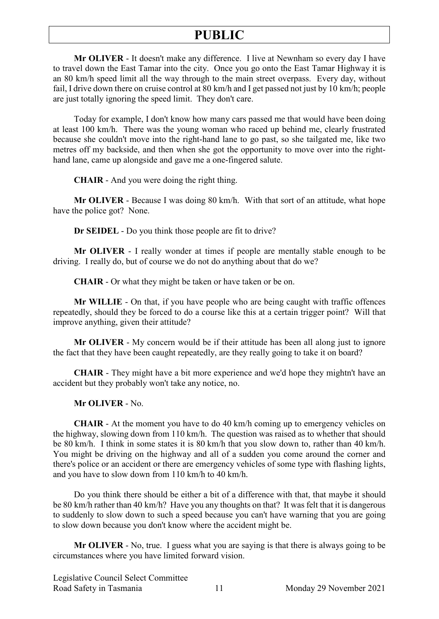**Mr OLIVER** - It doesn't make any difference. I live at Newnham so every day I have to travel down the East Tamar into the city. Once you go onto the East Tamar Highway it is an 80 km/h speed limit all the way through to the main street overpass. Every day, without fail, I drive down there on cruise control at 80 km/h and I get passed not just by 10 km/h; people are just totally ignoring the speed limit. They don't care.

Today for example, I don't know how many cars passed me that would have been doing at least 100 km/h. There was the young woman who raced up behind me, clearly frustrated because she couldn't move into the right-hand lane to go past, so she tailgated me, like two metres off my backside, and then when she got the opportunity to move over into the righthand lane, came up alongside and gave me a one-fingered salute.

**CHAIR** - And you were doing the right thing.

**Mr OLIVER** - Because I was doing 80 km/h. With that sort of an attitude, what hope have the police got? None.

**Dr SEIDEL** - Do you think those people are fit to drive?

**Mr OLIVER** - I really wonder at times if people are mentally stable enough to be driving. I really do, but of course we do not do anything about that do we?

**CHAIR** - Or what they might be taken or have taken or be on.

**Mr WILLIE** - On that, if you have people who are being caught with traffic offences repeatedly, should they be forced to do a course like this at a certain trigger point? Will that improve anything, given their attitude?

**Mr OLIVER** - My concern would be if their attitude has been all along just to ignore the fact that they have been caught repeatedly, are they really going to take it on board?

**CHAIR** - They might have a bit more experience and we'd hope they mightn't have an accident but they probably won't take any notice, no.

**Mr OLIVER** - No.

**CHAIR** - At the moment you have to do 40 km/h coming up to emergency vehicles on the highway, slowing down from 110 km/h. The question was raised as to whether that should be 80 km/h. I think in some states it is 80 km/h that you slow down to, rather than 40 km/h. You might be driving on the highway and all of a sudden you come around the corner and there's police or an accident or there are emergency vehicles of some type with flashing lights, and you have to slow down from 110 km/h to 40 km/h.

Do you think there should be either a bit of a difference with that, that maybe it should be 80 km/h rather than 40 km/h? Have you any thoughts on that? It was felt that it is dangerous to suddenly to slow down to such a speed because you can't have warning that you are going to slow down because you don't know where the accident might be.

**Mr OLIVER** - No, true. I guess what you are saying is that there is always going to be circumstances where you have limited forward vision.

Legislative Council Select Committee Road Safety in Tasmania 11 Monday 29 November 2021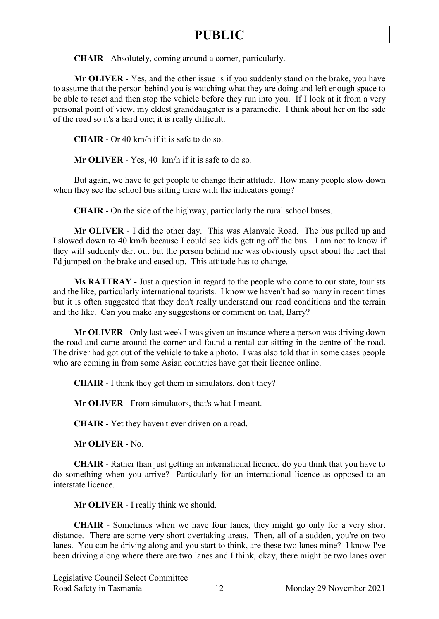**CHAIR** - Absolutely, coming around a corner, particularly.

**Mr OLIVER** - Yes, and the other issue is if you suddenly stand on the brake, you have to assume that the person behind you is watching what they are doing and left enough space to be able to react and then stop the vehicle before they run into you. If I look at it from a very personal point of view, my eldest granddaughter is a paramedic. I think about her on the side of the road so it's a hard one; it is really difficult.

**CHAIR** - Or 40 km/h if it is safe to do so.

**Mr OLIVER** - Yes, 40 km/h if it is safe to do so.

But again, we have to get people to change their attitude. How many people slow down when they see the school bus sitting there with the indicators going?

**CHAIR** - On the side of the highway, particularly the rural school buses.

**Mr OLIVER** - I did the other day. This was Alanvale Road. The bus pulled up and I slowed down to 40 km/h because I could see kids getting off the bus. I am not to know if they will suddenly dart out but the person behind me was obviously upset about the fact that I'd jumped on the brake and eased up. This attitude has to change.

**Ms RATTRAY** - Just a question in regard to the people who come to our state, tourists and the like, particularly international tourists. I know we haven't had so many in recent times but it is often suggested that they don't really understand our road conditions and the terrain and the like. Can you make any suggestions or comment on that, Barry?

**Mr OLIVER** - Only last week I was given an instance where a person was driving down the road and came around the corner and found a rental car sitting in the centre of the road. The driver had got out of the vehicle to take a photo. I was also told that in some cases people who are coming in from some Asian countries have got their licence online.

**CHAIR** - I think they get them in simulators, don't they?

**Mr OLIVER** - From simulators, that's what I meant.

**CHAIR** - Yet they haven't ever driven on a road.

**Mr OLIVER** - No.

**CHAIR** - Rather than just getting an international licence, do you think that you have to do something when you arrive? Particularly for an international licence as opposed to an interstate licence.

**Mr OLIVER** - I really think we should.

**CHAIR** - Sometimes when we have four lanes, they might go only for a very short distance. There are some very short overtaking areas. Then, all of a sudden, you're on two lanes. You can be driving along and you start to think, are these two lanes mine? I know I've been driving along where there are two lanes and I think, okay, there might be two lanes over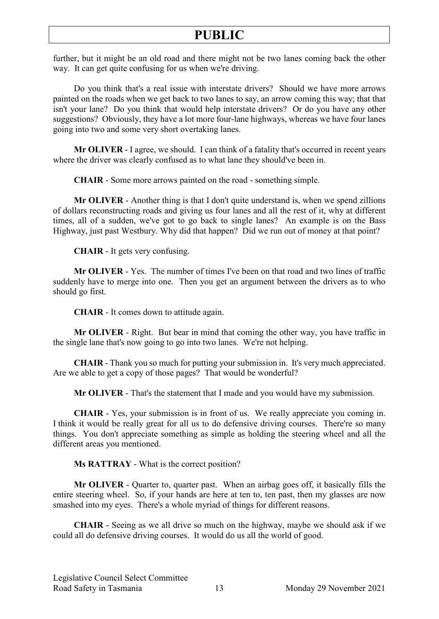further, but it might be an old road and there might not be two lanes coming back the other way. It can get quite confusing for us when we're driving.

Do you think that's a real issue with interstate drivers? Should we have more arrows painted on the roads when we get back to two lanes to say, an arrow coming this way; that that isn't your lane? Do you think that would help interstate drivers? Or do you have any other suggestions? Obviously, they have a lot more four-lane highways, whereas we have four lanes going into two and some very short overtaking lanes.

**Mr OLIVER** - I agree, we should. I can think of a fatality that's occurred in recent years where the driver was clearly confused as to what lane they should've been in.

**CHAIR** - Some more arrows painted on the road - something simple.

**Mr OLIVER** - Another thing is that I don't quite understand is, when we spend zillions of dollars reconstructing roads and giving us four lanes and all the rest of it, why at different times, all of a sudden, we've got to go back to single lanes? An example is on the Bass Highway, just past Westbury. Why did that happen? Did we run out of money at that point?

**CHAIR** - It gets very confusing.

**Mr OLIVER** - Yes. The number of times I've been on that road and two lines of traffic suddenly have to merge into one. Then you get an argument between the drivers as to who should go first.

**CHAIR** - It comes down to attitude again.

**Mr OLIVER** - Right. But bear in mind that coming the other way, you have traffic in the single lane that's now going to go into two lanes. We're not helping.

**CHAIR** - Thank you so much for putting your submission in. It's very much appreciated. Are we able to get a copy of those pages? That would be wonderful?

**Mr OLIVER** - That's the statement that I made and you would have my submission.

**CHAIR** - Yes, your submission is in front of us. We really appreciate you coming in. I think it would be really great for all us to do defensive driving courses. There're so many things. You don't appreciate something as simple as holding the steering wheel and all the different areas you mentioned.

**Ms RATTRAY** - What is the correct position?

**Mr OLIVER** - Quarter to, quarter past. When an airbag goes off, it basically fills the entire steering wheel. So, if your hands are here at ten to, ten past, then my glasses are now smashed into my eyes. There's a whole myriad of things for different reasons.

**CHAIR** - Seeing as we all drive so much on the highway, maybe we should ask if we could all do defensive driving courses. It would do us all the world of good.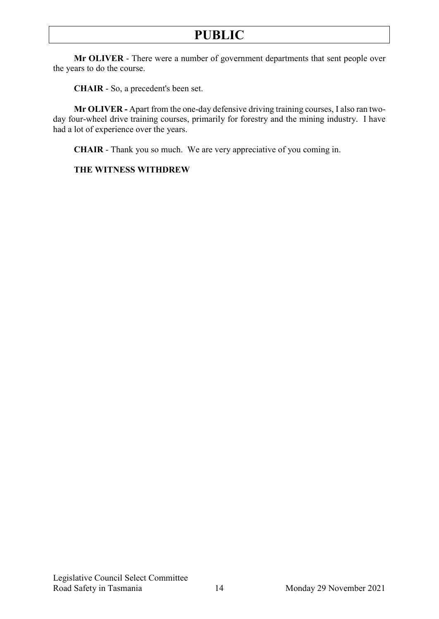**Mr OLIVER** - There were a number of government departments that sent people over the years to do the course.

**CHAIR** - So, a precedent's been set.

**Mr OLIVER -** Apart from the one-day defensive driving training courses, I also ran twoday four-wheel drive training courses, primarily for forestry and the mining industry. I have had a lot of experience over the years.

**CHAIR** - Thank you so much. We are very appreciative of you coming in.

#### **THE WITNESS WITHDREW**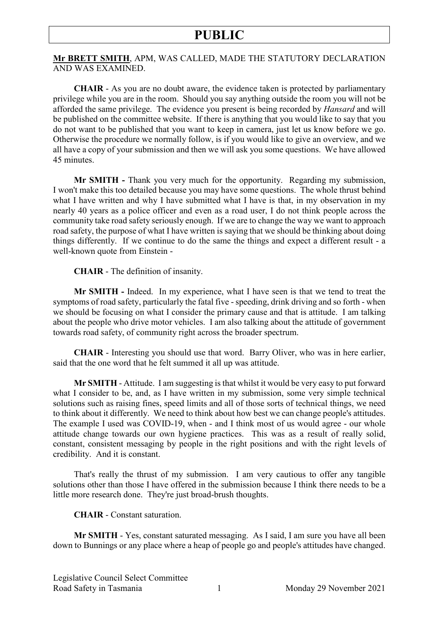#### **Mr BRETT SMITH**, APM, WAS CALLED, MADE THE STATUTORY DECLARATION AND WAS EXAMINED.

**CHAIR** - As you are no doubt aware, the evidence taken is protected by parliamentary privilege while you are in the room. Should you say anything outside the room you will not be afforded the same privilege. The evidence you present is being recorded by *Hansard* and will be published on the committee website. If there is anything that you would like to say that you do not want to be published that you want to keep in camera, just let us know before we go. Otherwise the procedure we normally follow, is if you would like to give an overview, and we all have a copy of your submission and then we will ask you some questions. We have allowed 45 minutes.

**Mr SMITH -** Thank you very much for the opportunity. Regarding my submission, I won't make this too detailed because you may have some questions. The whole thrust behind what I have written and why I have submitted what I have is that, in my observation in my nearly 40 years as a police officer and even as a road user, I do not think people across the community take road safety seriously enough. If we are to change the way we want to approach road safety, the purpose of what I have written is saying that we should be thinking about doing things differently. If we continue to do the same the things and expect a different result - a well-known quote from Einstein -

**CHAIR** - The definition of insanity.

**Mr SMITH -** Indeed. In my experience, what I have seen is that we tend to treat the symptoms of road safety, particularly the fatal five - speeding, drink driving and so forth - when we should be focusing on what I consider the primary cause and that is attitude. I am talking about the people who drive motor vehicles. I am also talking about the attitude of government towards road safety, of community right across the broader spectrum.

**CHAIR** - Interesting you should use that word. Barry Oliver, who was in here earlier, said that the one word that he felt summed it all up was attitude.

**Mr SMITH** - Attitude. I am suggesting is that whilst it would be very easy to put forward what I consider to be, and, as I have written in my submission, some very simple technical solutions such as raising fines, speed limits and all of those sorts of technical things, we need to think about it differently. We need to think about how best we can change people's attitudes. The example I used was COVID-19, when - and I think most of us would agree - our whole attitude change towards our own hygiene practices. This was as a result of really solid, constant, consistent messaging by people in the right positions and with the right levels of credibility. And it is constant.

That's really the thrust of my submission. I am very cautious to offer any tangible solutions other than those I have offered in the submission because I think there needs to be a little more research done. They're just broad-brush thoughts.

#### **CHAIR** - Constant saturation.

**Mr SMITH** - Yes, constant saturated messaging. As I said, I am sure you have all been down to Bunnings or any place where a heap of people go and people's attitudes have changed.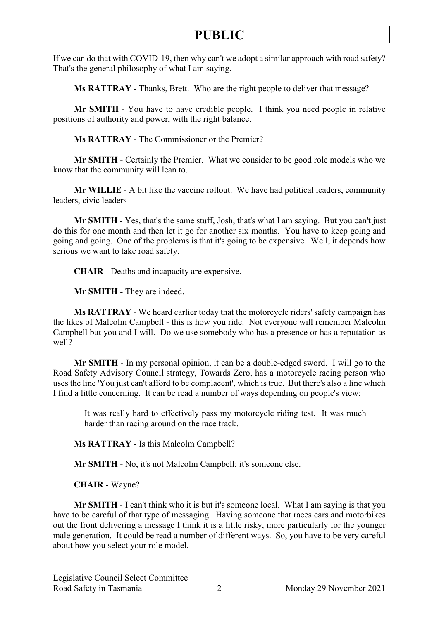If we can do that with COVID-19, then why can't we adopt a similar approach with road safety? That's the general philosophy of what I am saying.

**Ms RATTRAY** - Thanks, Brett. Who are the right people to deliver that message?

**Mr SMITH** - You have to have credible people. I think you need people in relative positions of authority and power, with the right balance.

**Ms RATTRAY** - The Commissioner or the Premier?

**Mr SMITH** - Certainly the Premier. What we consider to be good role models who we know that the community will lean to.

**Mr WILLIE** - A bit like the vaccine rollout. We have had political leaders, community leaders, civic leaders -

**Mr SMITH** - Yes, that's the same stuff, Josh, that's what I am saying. But you can't just do this for one month and then let it go for another six months. You have to keep going and going and going. One of the problems is that it's going to be expensive. Well, it depends how serious we want to take road safety.

**CHAIR** - Deaths and incapacity are expensive.

**Mr SMITH** - They are indeed.

**Ms RATTRAY** - We heard earlier today that the motorcycle riders' safety campaign has the likes of Malcolm Campbell - this is how you ride. Not everyone will remember Malcolm Campbell but you and I will. Do we use somebody who has a presence or has a reputation as well?

**Mr SMITH** - In my personal opinion, it can be a double-edged sword. I will go to the Road Safety Advisory Council strategy, Towards Zero, has a motorcycle racing person who uses the line 'You just can't afford to be complacent', which is true. But there's also a line which I find a little concerning. It can be read a number of ways depending on people's view:

It was really hard to effectively pass my motorcycle riding test. It was much harder than racing around on the race track.

**Ms RATTRAY** - Is this Malcolm Campbell?

**Mr SMITH** - No, it's not Malcolm Campbell; it's someone else.

**CHAIR** - Wayne?

**Mr SMITH** - I can't think who it is but it's someone local. What I am saying is that you have to be careful of that type of messaging. Having someone that races cars and motorbikes out the front delivering a message I think it is a little risky, more particularly for the younger male generation. It could be read a number of different ways. So, you have to be very careful about how you select your role model.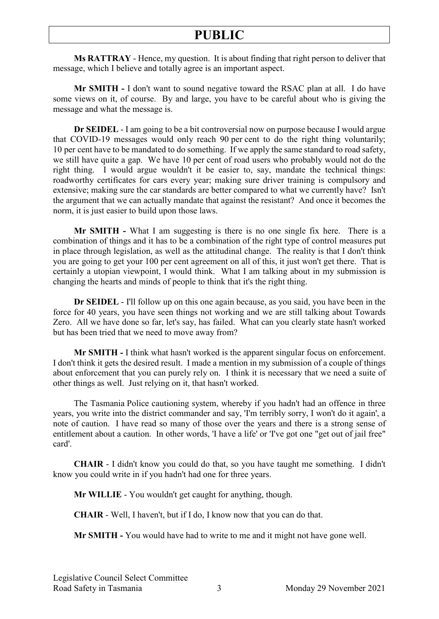**Ms RATTRAY** - Hence, my question. It is about finding that right person to deliver that message, which I believe and totally agree is an important aspect.

**Mr SMITH -** I don't want to sound negative toward the RSAC plan at all. I do have some views on it, of course. By and large, you have to be careful about who is giving the message and what the message is.

**Dr SEIDEL** - I am going to be a bit controversial now on purpose because I would argue that COVID-19 messages would only reach 90 per cent to do the right thing voluntarily; 10 per cent have to be mandated to do something. If we apply the same standard to road safety, we still have quite a gap. We have 10 per cent of road users who probably would not do the right thing. I would argue wouldn't it be easier to, say, mandate the technical things: roadworthy certificates for cars every year; making sure driver training is compulsory and extensive; making sure the car standards are better compared to what we currently have? Isn't the argument that we can actually mandate that against the resistant? And once it becomes the norm, it is just easier to build upon those laws.

**Mr SMITH -** What I am suggesting is there is no one single fix here. There is a combination of things and it has to be a combination of the right type of control measures put in place through legislation, as well as the attitudinal change. The reality is that I don't think you are going to get your 100 per cent agreement on all of this, it just won't get there. That is certainly a utopian viewpoint, I would think. What I am talking about in my submission is changing the hearts and minds of people to think that it's the right thing.

**Dr SEIDEL** - I'll follow up on this one again because, as you said, you have been in the force for 40 years, you have seen things not working and we are still talking about Towards Zero. All we have done so far, let's say, has failed. What can you clearly state hasn't worked but has been tried that we need to move away from?

**Mr SMITH -** I think what hasn't worked is the apparent singular focus on enforcement. I don't think it gets the desired result. I made a mention in my submission of a couple of things about enforcement that you can purely rely on. I think it is necessary that we need a suite of other things as well. Just relying on it, that hasn't worked.

The Tasmania Police cautioning system, whereby if you hadn't had an offence in three years, you write into the district commander and say, 'I'm terribly sorry, I won't do it again', a note of caution. I have read so many of those over the years and there is a strong sense of entitlement about a caution. In other words, 'I have a life' or 'I've got one "get out of jail free" card'.

**CHAIR** - I didn't know you could do that, so you have taught me something. I didn't know you could write in if you hadn't had one for three years.

**Mr WILLIE** - You wouldn't get caught for anything, though.

**CHAIR** - Well, I haven't, but if I do, I know now that you can do that.

**Mr SMITH -** You would have had to write to me and it might not have gone well.

Legislative Council Select Committee Road Safety in Tasmania 3 Monday 29 November 2021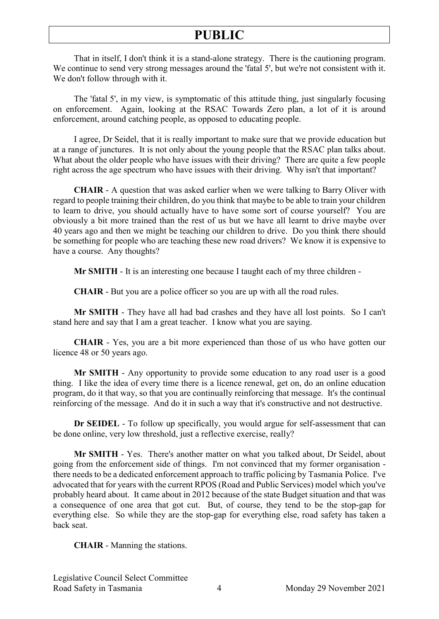That in itself, I don't think it is a stand-alone strategy. There is the cautioning program. We continue to send very strong messages around the 'fatal 5', but we're not consistent with it. We don't follow through with it.

The 'fatal 5', in my view, is symptomatic of this attitude thing, just singularly focusing on enforcement. Again, looking at the RSAC Towards Zero plan, a lot of it is around enforcement, around catching people, as opposed to educating people.

I agree, Dr Seidel, that it is really important to make sure that we provide education but at a range of junctures. It is not only about the young people that the RSAC plan talks about. What about the older people who have issues with their driving? There are quite a few people right across the age spectrum who have issues with their driving. Why isn't that important?

**CHAIR** - A question that was asked earlier when we were talking to Barry Oliver with regard to people training their children, do you think that maybe to be able to train your children to learn to drive, you should actually have to have some sort of course yourself? You are obviously a bit more trained than the rest of us but we have all learnt to drive maybe over 40 years ago and then we might be teaching our children to drive. Do you think there should be something for people who are teaching these new road drivers? We know it is expensive to have a course. Any thoughts?

**Mr SMITH** - It is an interesting one because I taught each of my three children -

**CHAIR** - But you are a police officer so you are up with all the road rules.

**Mr SMITH** - They have all had bad crashes and they have all lost points. So I can't stand here and say that I am a great teacher. I know what you are saying.

**CHAIR** - Yes, you are a bit more experienced than those of us who have gotten our licence 48 or 50 years ago.

**Mr SMITH** - Any opportunity to provide some education to any road user is a good thing. I like the idea of every time there is a licence renewal, get on, do an online education program, do it that way, so that you are continually reinforcing that message. It's the continual reinforcing of the message. And do it in such a way that it's constructive and not destructive.

**Dr SEIDEL** - To follow up specifically, you would argue for self-assessment that can be done online, very low threshold, just a reflective exercise, really?

**Mr SMITH** - Yes. There's another matter on what you talked about, Dr Seidel, about going from the enforcement side of things. I'm not convinced that my former organisation there needs to be a dedicated enforcement approach to traffic policing by Tasmania Police. I've advocated that for years with the current RPOS (Road and Public Services) model which you've probably heard about. It came about in 2012 because of the state Budget situation and that was a consequence of one area that got cut. But, of course, they tend to be the stop-gap for everything else. So while they are the stop-gap for everything else, road safety has taken a back seat.

**CHAIR** - Manning the stations.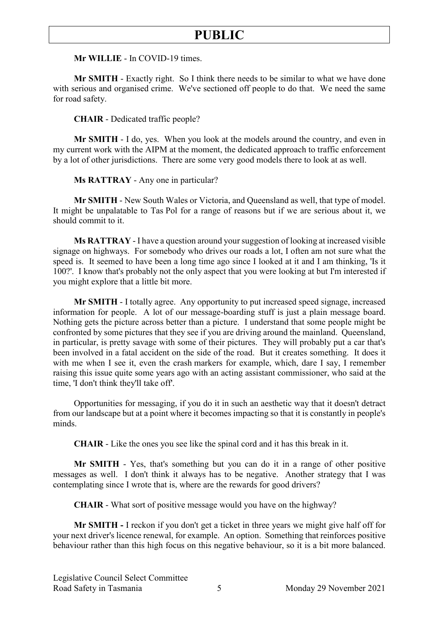**Mr WILLIE** - In COVID-19 times.

**Mr SMITH** - Exactly right. So I think there needs to be similar to what we have done with serious and organised crime. We've sectioned off people to do that. We need the same for road safety.

**CHAIR** - Dedicated traffic people?

**Mr SMITH** - I do, yes. When you look at the models around the country, and even in my current work with the AIPM at the moment, the dedicated approach to traffic enforcement by a lot of other jurisdictions. There are some very good models there to look at as well.

**Ms RATTRAY** - Any one in particular?

**Mr SMITH** - New South Wales or Victoria, and Queensland as well, that type of model. It might be unpalatable to Tas Pol for a range of reasons but if we are serious about it, we should commit to it.

**Ms RATTRAY** - I have a question around your suggestion of looking at increased visible signage on highways. For somebody who drives our roads a lot, I often am not sure what the speed is. It seemed to have been a long time ago since I looked at it and I am thinking, 'Is it 100?'. I know that's probably not the only aspect that you were looking at but I'm interested if you might explore that a little bit more.

**Mr SMITH** - I totally agree. Any opportunity to put increased speed signage, increased information for people. A lot of our message-boarding stuff is just a plain message board. Nothing gets the picture across better than a picture. I understand that some people might be confronted by some pictures that they see if you are driving around the mainland. Queensland, in particular, is pretty savage with some of their pictures. They will probably put a car that's been involved in a fatal accident on the side of the road. But it creates something. It does it with me when I see it, even the crash markers for example, which, dare I say, I remember raising this issue quite some years ago with an acting assistant commissioner, who said at the time, 'I don't think they'll take off'.

Opportunities for messaging, if you do it in such an aesthetic way that it doesn't detract from our landscape but at a point where it becomes impacting so that it is constantly in people's minds.

**CHAIR** - Like the ones you see like the spinal cord and it has this break in it.

**Mr SMITH** - Yes, that's something but you can do it in a range of other positive messages as well. I don't think it always has to be negative. Another strategy that I was contemplating since I wrote that is, where are the rewards for good drivers?

**CHAIR** - What sort of positive message would you have on the highway?

**Mr SMITH -** I reckon if you don't get a ticket in three years we might give half off for your next driver's licence renewal, for example. An option. Something that reinforces positive behaviour rather than this high focus on this negative behaviour, so it is a bit more balanced.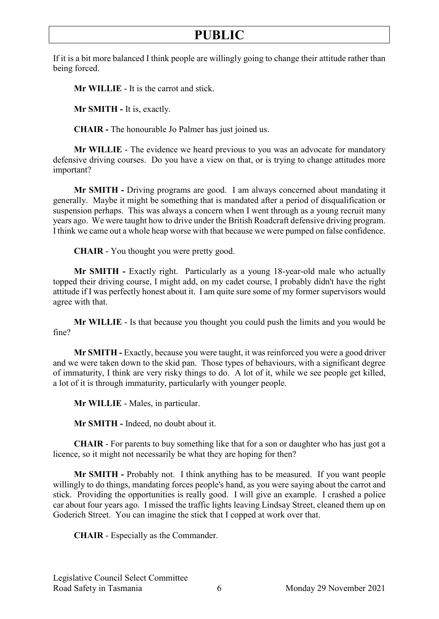If it is a bit more balanced I think people are willingly going to change their attitude rather than being forced.

**Mr WILLIE** - It is the carrot and stick.

**Mr SMITH -** It is, exactly.

**CHAIR -** The honourable Jo Palmer has just joined us.

**Mr WILLIE** - The evidence we heard previous to you was an advocate for mandatory defensive driving courses. Do you have a view on that, or is trying to change attitudes more important?

**Mr SMITH -** Driving programs are good. I am always concerned about mandating it generally. Maybe it might be something that is mandated after a period of disqualification or suspension perhaps. This was always a concern when I went through as a young recruit many years ago. We were taught how to drive under the British Roadcraft defensive driving program. I think we came out a whole heap worse with that because we were pumped on false confidence.

**CHAIR** - You thought you were pretty good.

**Mr SMITH -** Exactly right. Particularly as a young 18-year-old male who actually topped their driving course, I might add, on my cadet course, I probably didn't have the right attitude if I was perfectly honest about it. I am quite sure some of my former supervisors would agree with that.

**Mr WILLIE** - Is that because you thought you could push the limits and you would be fine?

**Mr SMITH -** Exactly, because you were taught, it was reinforced you were a good driver and we were taken down to the skid pan. Those types of behaviours, with a significant degree of immaturity, I think are very risky things to do. A lot of it, while we see people get killed, a lot of it is through immaturity, particularly with younger people.

**Mr WILLIE** - Males, in particular.

**Mr SMITH -** Indeed, no doubt about it.

**CHAIR** - For parents to buy something like that for a son or daughter who has just got a licence, so it might not necessarily be what they are hoping for then?

**Mr SMITH -** Probably not. I think anything has to be measured. If you want people willingly to do things, mandating forces people's hand, as you were saying about the carrot and stick. Providing the opportunities is really good. I will give an example. I crashed a police car about four years ago. I missed the traffic lights leaving Lindsay Street, cleaned them up on Goderich Street. You can imagine the stick that I copped at work over that.

**CHAIR** - Especially as the Commander.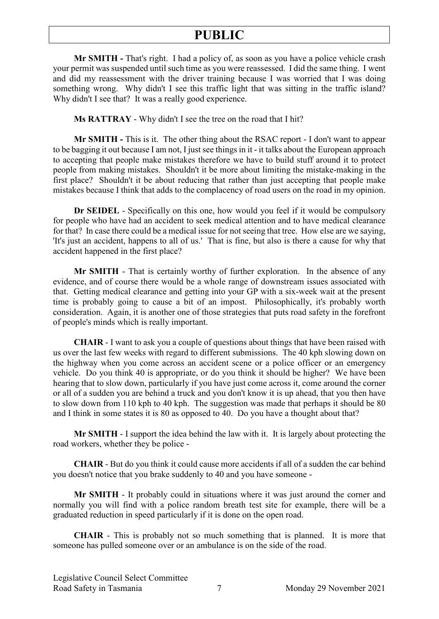**Mr SMITH -** That's right. I had a policy of, as soon as you have a police vehicle crash your permit was suspended until such time as you were reassessed. I did the same thing. I went and did my reassessment with the driver training because I was worried that I was doing something wrong. Why didn't I see this traffic light that was sitting in the traffic island? Why didn't I see that? It was a really good experience.

**Ms RATTRAY** - Why didn't I see the tree on the road that I hit?

**Mr SMITH -** This is it. The other thing about the RSAC report - I don't want to appear to be bagging it out because I am not, I just see things in it - it talks about the European approach to accepting that people make mistakes therefore we have to build stuff around it to protect people from making mistakes. Shouldn't it be more about limiting the mistake-making in the first place? Shouldn't it be about reducing that rather than just accepting that people make mistakes because I think that adds to the complacency of road users on the road in my opinion.

**Dr SEIDEL** - Specifically on this one, how would you feel if it would be compulsory for people who have had an accident to seek medical attention and to have medical clearance for that? In case there could be a medical issue for not seeing that tree. How else are we saying, 'It's just an accident, happens to all of us.' That is fine, but also is there a cause for why that accident happened in the first place?

**Mr SMITH** - That is certainly worthy of further exploration. In the absence of any evidence, and of course there would be a whole range of downstream issues associated with that. Getting medical clearance and getting into your GP with a six-week wait at the present time is probably going to cause a bit of an impost. Philosophically, it's probably worth consideration. Again, it is another one of those strategies that puts road safety in the forefront of people's minds which is really important.

**CHAIR** - I want to ask you a couple of questions about things that have been raised with us over the last few weeks with regard to different submissions. The 40 kph slowing down on the highway when you come across an accident scene or a police officer or an emergency vehicle. Do you think 40 is appropriate, or do you think it should be higher? We have been hearing that to slow down, particularly if you have just come across it, come around the corner or all of a sudden you are behind a truck and you don't know it is up ahead, that you then have to slow down from 110 kph to 40 kph. The suggestion was made that perhaps it should be 80 and I think in some states it is 80 as opposed to 40. Do you have a thought about that?

**Mr SMITH** - I support the idea behind the law with it. It is largely about protecting the road workers, whether they be police -

**CHAIR** - But do you think it could cause more accidents if all of a sudden the car behind you doesn't notice that you brake suddenly to 40 and you have someone -

**Mr SMITH** - It probably could in situations where it was just around the corner and normally you will find with a police random breath test site for example, there will be a graduated reduction in speed particularly if it is done on the open road.

**CHAIR** - This is probably not so much something that is planned. It is more that someone has pulled someone over or an ambulance is on the side of the road.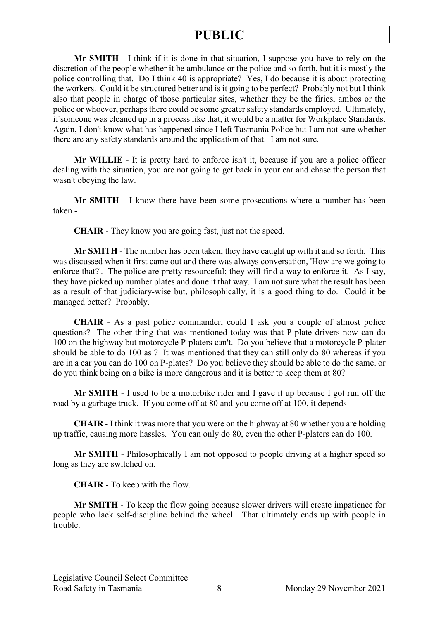**Mr SMITH** - I think if it is done in that situation, I suppose you have to rely on the discretion of the people whether it be ambulance or the police and so forth, but it is mostly the police controlling that. Do I think 40 is appropriate? Yes, I do because it is about protecting the workers. Could it be structured better and is it going to be perfect? Probably not but I think also that people in charge of those particular sites, whether they be the firies, ambos or the police or whoever, perhaps there could be some greater safety standards employed. Ultimately, if someone was cleaned up in a process like that, it would be a matter for Workplace Standards. Again, I don't know what has happened since I left Tasmania Police but I am not sure whether there are any safety standards around the application of that. I am not sure.

**Mr WILLIE** - It is pretty hard to enforce isn't it, because if you are a police officer dealing with the situation, you are not going to get back in your car and chase the person that wasn't obeying the law.

**Mr SMITH** - I know there have been some prosecutions where a number has been taken -

**CHAIR** - They know you are going fast, just not the speed.

**Mr SMITH** - The number has been taken, they have caught up with it and so forth. This was discussed when it first came out and there was always conversation, 'How are we going to enforce that?'. The police are pretty resourceful; they will find a way to enforce it. As I say, they have picked up number plates and done it that way. I am not sure what the result has been as a result of that judiciary-wise but, philosophically, it is a good thing to do. Could it be managed better? Probably.

**CHAIR** - As a past police commander, could I ask you a couple of almost police questions? The other thing that was mentioned today was that P-plate drivers now can do 100 on the highway but motorcycle P-platers can't. Do you believe that a motorcycle P-plater should be able to do 100 as ? It was mentioned that they can still only do 80 whereas if you are in a car you can do 100 on P-plates? Do you believe they should be able to do the same, or do you think being on a bike is more dangerous and it is better to keep them at 80?

**Mr SMITH** - I used to be a motorbike rider and I gave it up because I got run off the road by a garbage truck. If you come off at 80 and you come off at 100, it depends -

**CHAIR** - I think it was more that you were on the highway at 80 whether you are holding up traffic, causing more hassles. You can only do 80, even the other P-platers can do 100.

**Mr SMITH** - Philosophically I am not opposed to people driving at a higher speed so long as they are switched on.

**CHAIR** - To keep with the flow.

**Mr SMITH** - To keep the flow going because slower drivers will create impatience for people who lack self-discipline behind the wheel. That ultimately ends up with people in trouble.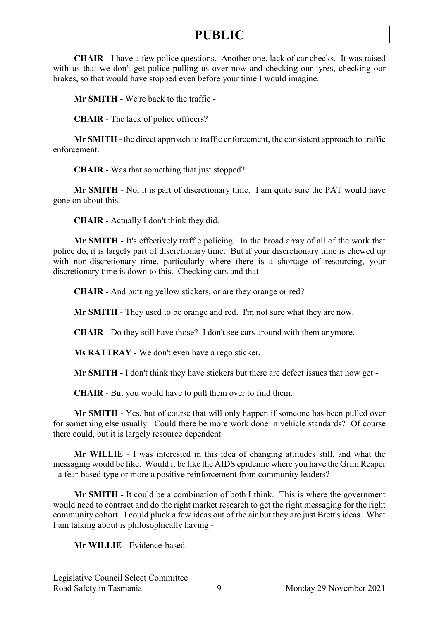**CHAIR** - I have a few police questions. Another one, lack of car checks. It was raised with us that we don't get police pulling us over now and checking our tyres, checking our brakes, so that would have stopped even before your time I would imagine.

**Mr SMITH** - We're back to the traffic -

**CHAIR** - The lack of police officers?

**Mr SMITH** - the direct approach to traffic enforcement, the consistent approach to traffic enforcement.

**CHAIR** - Was that something that just stopped?

**Mr SMITH** - No, it is part of discretionary time. I am quite sure the PAT would have gone on about this.

**CHAIR** - Actually I don't think they did.

**Mr SMITH** - It's effectively traffic policing. In the broad array of all of the work that police do, it is largely part of discretionary time. But if your discretionary time is chewed up with non-discretionary time, particularly where there is a shortage of resourcing, your discretionary time is down to this. Checking cars and that -

**CHAIR** - And putting yellow stickers, or are they orange or red?

**Mr SMITH** - They used to be orange and red. I'm not sure what they are now.

**CHAIR** - Do they still have those? I don't see cars around with them anymore.

**Ms RATTRAY** - We don't even have a rego sticker.

**Mr SMITH** - I don't think they have stickers but there are defect issues that now get -

**CHAIR** - But you would have to pull them over to find them.

**Mr SMITH** - Yes, but of course that will only happen if someone has been pulled over for something else usually. Could there be more work done in vehicle standards? Of course there could, but it is largely resource dependent.

**Mr WILLIE** - I was interested in this idea of changing attitudes still, and what the messaging would be like. Would it be like the AIDS epidemic where you have the Grim Reaper - a fear-based type or more a positive reinforcement from community leaders?

**Mr SMITH** - It could be a combination of both I think. This is where the government would need to contract and do the right market research to get the right messaging for the right community cohort. I could pluck a few ideas out of the air but they are just Brett's ideas. What I am talking about is philosophically having -

**Mr WILLIE** - Evidence-based.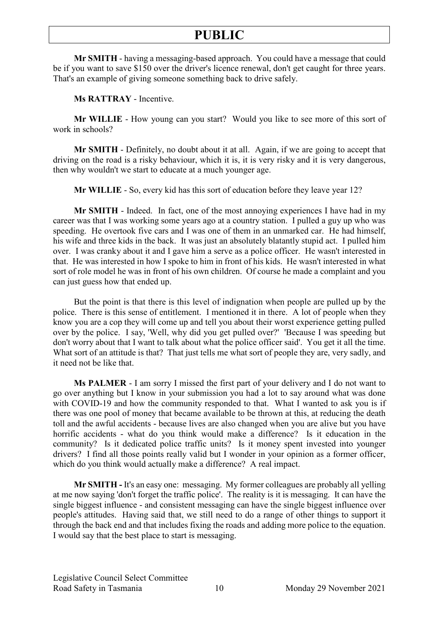**Mr SMITH** - having a messaging-based approach. You could have a message that could be if you want to save \$150 over the driver's licence renewal, don't get caught for three years. That's an example of giving someone something back to drive safely.

**Ms RATTRAY** - Incentive.

**Mr WILLIE** - How young can you start? Would you like to see more of this sort of work in schools?

**Mr SMITH** - Definitely, no doubt about it at all. Again, if we are going to accept that driving on the road is a risky behaviour, which it is, it is very risky and it is very dangerous, then why wouldn't we start to educate at a much younger age.

**Mr WILLIE** - So, every kid has this sort of education before they leave year 12?

**Mr SMITH** - Indeed. In fact, one of the most annoying experiences I have had in my career was that I was working some years ago at a country station. I pulled a guy up who was speeding. He overtook five cars and I was one of them in an unmarked car. He had himself, his wife and three kids in the back. It was just an absolutely blatantly stupid act. I pulled him over. I was cranky about it and I gave him a serve as a police officer. He wasn't interested in that. He was interested in how I spoke to him in front of his kids. He wasn't interested in what sort of role model he was in front of his own children. Of course he made a complaint and you can just guess how that ended up.

But the point is that there is this level of indignation when people are pulled up by the police. There is this sense of entitlement. I mentioned it in there. A lot of people when they know you are a cop they will come up and tell you about their worst experience getting pulled over by the police. I say, 'Well, why did you get pulled over?' 'Because I was speeding but don't worry about that I want to talk about what the police officer said'. You get it all the time. What sort of an attitude is that? That just tells me what sort of people they are, very sadly, and it need not be like that.

**Ms PALMER** - I am sorry I missed the first part of your delivery and I do not want to go over anything but I know in your submission you had a lot to say around what was done with COVID-19 and how the community responded to that. What I wanted to ask you is if there was one pool of money that became available to be thrown at this, at reducing the death toll and the awful accidents - because lives are also changed when you are alive but you have horrific accidents - what do you think would make a difference? Is it education in the community? Is it dedicated police traffic units? Is it money spent invested into younger drivers? I find all those points really valid but I wonder in your opinion as a former officer, which do you think would actually make a difference? A real impact.

**Mr SMITH -** It's an easy one: messaging. My former colleagues are probably all yelling at me now saying 'don't forget the traffic police'. The reality is it is messaging. It can have the single biggest influence - and consistent messaging can have the single biggest influence over people's attitudes. Having said that, we still need to do a range of other things to support it through the back end and that includes fixing the roads and adding more police to the equation. I would say that the best place to start is messaging.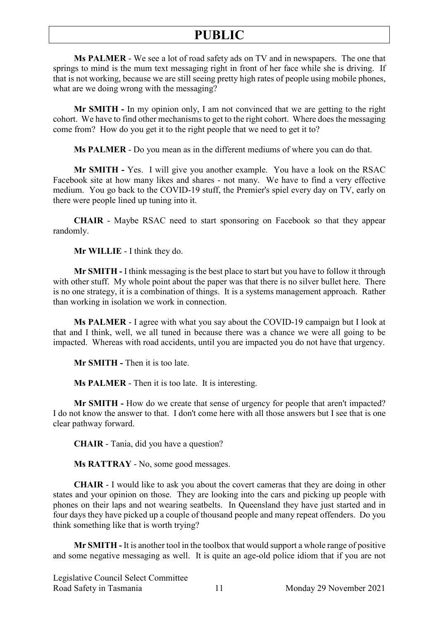**Ms PALMER** - We see a lot of road safety ads on TV and in newspapers. The one that springs to mind is the mum text messaging right in front of her face while she is driving. If that is not working, because we are still seeing pretty high rates of people using mobile phones, what are we doing wrong with the messaging?

**Mr SMITH -** In my opinion only, I am not convinced that we are getting to the right cohort. We have to find other mechanisms to get to the right cohort. Where does the messaging come from? How do you get it to the right people that we need to get it to?

**Ms PALMER** - Do you mean as in the different mediums of where you can do that.

**Mr SMITH -** Yes. I will give you another example. You have a look on the RSAC Facebook site at how many likes and shares - not many. We have to find a very effective medium. You go back to the COVID-19 stuff, the Premier's spiel every day on TV, early on there were people lined up tuning into it.

**CHAIR** - Maybe RSAC need to start sponsoring on Facebook so that they appear randomly.

**Mr WILLIE** - I think they do.

**Mr SMITH -** I think messaging is the best place to start but you have to follow it through with other stuff. My whole point about the paper was that there is no silver bullet here. There is no one strategy, it is a combination of things. It is a systems management approach. Rather than working in isolation we work in connection.

**Ms PALMER** - I agree with what you say about the COVID-19 campaign but I look at that and I think, well, we all tuned in because there was a chance we were all going to be impacted. Whereas with road accidents, until you are impacted you do not have that urgency.

**Mr SMITH -** Then it is too late.

**Ms PALMER** - Then it is too late. It is interesting.

**Mr SMITH -** How do we create that sense of urgency for people that aren't impacted? I do not know the answer to that. I don't come here with all those answers but I see that is one clear pathway forward.

**CHAIR** - Tania, did you have a question?

**Ms RATTRAY** - No, some good messages.

**CHAIR** - I would like to ask you about the covert cameras that they are doing in other states and your opinion on those. They are looking into the cars and picking up people with phones on their laps and not wearing seatbelts. In Queensland they have just started and in four days they have picked up a couple of thousand people and many repeat offenders. Do you think something like that is worth trying?

**Mr SMITH -** It is another tool in the toolbox that would support a whole range of positive and some negative messaging as well. It is quite an age-old police idiom that if you are not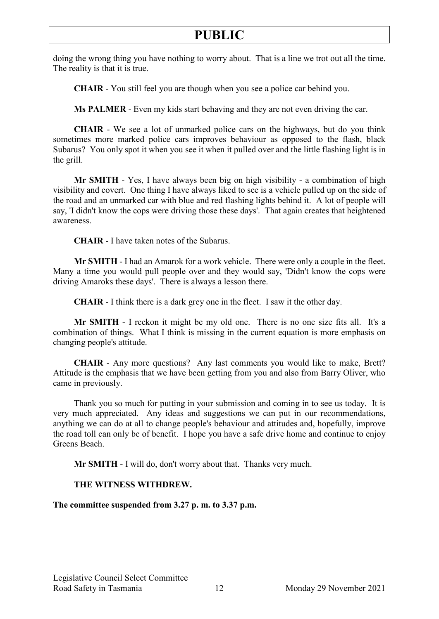doing the wrong thing you have nothing to worry about. That is a line we trot out all the time. The reality is that it is true.

**CHAIR** - You still feel you are though when you see a police car behind you.

**Ms PALMER** - Even my kids start behaving and they are not even driving the car.

**CHAIR** - We see a lot of unmarked police cars on the highways, but do you think sometimes more marked police cars improves behaviour as opposed to the flash, black Subarus? You only spot it when you see it when it pulled over and the little flashing light is in the grill.

**Mr SMITH** - Yes, I have always been big on high visibility - a combination of high visibility and covert. One thing I have always liked to see is a vehicle pulled up on the side of the road and an unmarked car with blue and red flashing lights behind it. A lot of people will say, 'I didn't know the cops were driving those these days'. That again creates that heightened awareness.

**CHAIR** - I have taken notes of the Subarus.

**Mr SMITH** - I had an Amarok for a work vehicle. There were only a couple in the fleet. Many a time you would pull people over and they would say, 'Didn't know the cops were driving Amaroks these days'. There is always a lesson there.

**CHAIR** - I think there is a dark grey one in the fleet. I saw it the other day.

**Mr SMITH** - I reckon it might be my old one. There is no one size fits all. It's a combination of things. What I think is missing in the current equation is more emphasis on changing people's attitude.

**CHAIR** - Any more questions? Any last comments you would like to make, Brett? Attitude is the emphasis that we have been getting from you and also from Barry Oliver, who came in previously.

Thank you so much for putting in your submission and coming in to see us today. It is very much appreciated. Any ideas and suggestions we can put in our recommendations, anything we can do at all to change people's behaviour and attitudes and, hopefully, improve the road toll can only be of benefit. I hope you have a safe drive home and continue to enjoy Greens Beach.

**Mr SMITH** - I will do, don't worry about that. Thanks very much.

#### **THE WITNESS WITHDREW.**

**The committee suspended from 3.27 p. m. to 3.37 p.m.**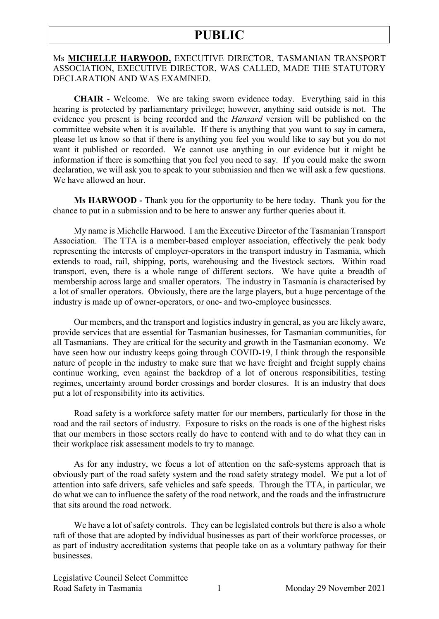#### Ms **MICHELLE HARWOOD,** EXECUTIVE DIRECTOR, TASMANIAN TRANSPORT ASSOCIATION, EXECUTIVE DIRECTOR, WAS CALLED, MADE THE STATUTORY DECLARATION AND WAS EXAMINED.

**CHAIR** - Welcome. We are taking sworn evidence today. Everything said in this hearing is protected by parliamentary privilege; however, anything said outside is not. The evidence you present is being recorded and the *Hansard* version will be published on the committee website when it is available. If there is anything that you want to say in camera, please let us know so that if there is anything you feel you would like to say but you do not want it published or recorded. We cannot use anything in our evidence but it might be information if there is something that you feel you need to say. If you could make the sworn declaration, we will ask you to speak to your submission and then we will ask a few questions. We have allowed an hour.

**Ms HARWOOD -** Thank you for the opportunity to be here today. Thank you for the chance to put in a submission and to be here to answer any further queries about it.

My name is Michelle Harwood. I am the Executive Director of the Tasmanian Transport Association. The TTA is a member-based employer association, effectively the peak body representing the interests of employer-operators in the transport industry in Tasmania, which extends to road, rail, shipping, ports, warehousing and the livestock sectors. Within road transport, even, there is a whole range of different sectors. We have quite a breadth of membership across large and smaller operators. The industry in Tasmania is characterised by a lot of smaller operators. Obviously, there are the large players, but a huge percentage of the industry is made up of owner-operators, or one- and two-employee businesses.

Our members, and the transport and logistics industry in general, as you are likely aware, provide services that are essential for Tasmanian businesses, for Tasmanian communities, for all Tasmanians. They are critical for the security and growth in the Tasmanian economy. We have seen how our industry keeps going through COVID-19, I think through the responsible nature of people in the industry to make sure that we have freight and freight supply chains continue working, even against the backdrop of a lot of onerous responsibilities, testing regimes, uncertainty around border crossings and border closures. It is an industry that does put a lot of responsibility into its activities.

Road safety is a workforce safety matter for our members, particularly for those in the road and the rail sectors of industry. Exposure to risks on the roads is one of the highest risks that our members in those sectors really do have to contend with and to do what they can in their workplace risk assessment models to try to manage.

As for any industry, we focus a lot of attention on the safe-systems approach that is obviously part of the road safety system and the road safety strategy model. We put a lot of attention into safe drivers, safe vehicles and safe speeds. Through the TTA, in particular, we do what we can to influence the safety of the road network, and the roads and the infrastructure that sits around the road network.

We have a lot of safety controls. They can be legislated controls but there is also a whole raft of those that are adopted by individual businesses as part of their workforce processes, or as part of industry accreditation systems that people take on as a voluntary pathway for their businesses.

Legislative Council Select Committee Road Safety in Tasmania 1 Monday 29 November 2021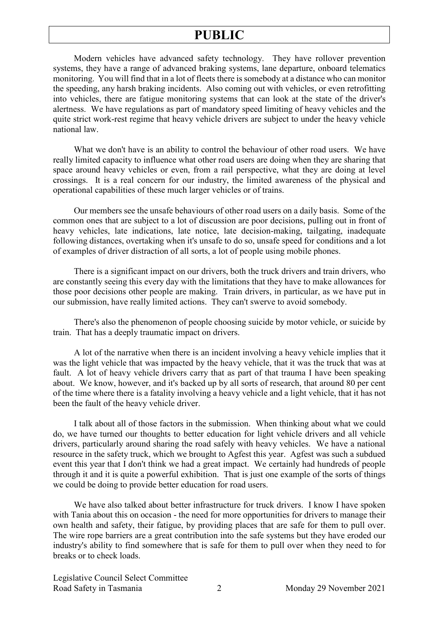Modern vehicles have advanced safety technology. They have rollover prevention systems, they have a range of advanced braking systems, lane departure, onboard telematics monitoring. You will find that in a lot of fleets there is somebody at a distance who can monitor the speeding, any harsh braking incidents. Also coming out with vehicles, or even retrofitting into vehicles, there are fatigue monitoring systems that can look at the state of the driver's alertness. We have regulations as part of mandatory speed limiting of heavy vehicles and the quite strict work-rest regime that heavy vehicle drivers are subject to under the heavy vehicle national law.

What we don't have is an ability to control the behaviour of other road users. We have really limited capacity to influence what other road users are doing when they are sharing that space around heavy vehicles or even, from a rail perspective, what they are doing at level crossings. It is a real concern for our industry, the limited awareness of the physical and operational capabilities of these much larger vehicles or of trains.

Our members see the unsafe behaviours of other road users on a daily basis. Some of the common ones that are subject to a lot of discussion are poor decisions, pulling out in front of heavy vehicles, late indications, late notice, late decision-making, tailgating, inadequate following distances, overtaking when it's unsafe to do so, unsafe speed for conditions and a lot of examples of driver distraction of all sorts, a lot of people using mobile phones.

There is a significant impact on our drivers, both the truck drivers and train drivers, who are constantly seeing this every day with the limitations that they have to make allowances for those poor decisions other people are making. Train drivers, in particular, as we have put in our submission, have really limited actions. They can't swerve to avoid somebody.

There's also the phenomenon of people choosing suicide by motor vehicle, or suicide by train. That has a deeply traumatic impact on drivers.

A lot of the narrative when there is an incident involving a heavy vehicle implies that it was the light vehicle that was impacted by the heavy vehicle, that it was the truck that was at fault. A lot of heavy vehicle drivers carry that as part of that trauma I have been speaking about. We know, however, and it's backed up by all sorts of research, that around 80 per cent of the time where there is a fatality involving a heavy vehicle and a light vehicle, that it has not been the fault of the heavy vehicle driver.

I talk about all of those factors in the submission. When thinking about what we could do, we have turned our thoughts to better education for light vehicle drivers and all vehicle drivers, particularly around sharing the road safely with heavy vehicles. We have a national resource in the safety truck, which we brought to Agfest this year. Agfest was such a subdued event this year that I don't think we had a great impact. We certainly had hundreds of people through it and it is quite a powerful exhibition. That is just one example of the sorts of things we could be doing to provide better education for road users.

We have also talked about better infrastructure for truck drivers. I know I have spoken with Tania about this on occasion - the need for more opportunities for drivers to manage their own health and safety, their fatigue, by providing places that are safe for them to pull over. The wire rope barriers are a great contribution into the safe systems but they have eroded our industry's ability to find somewhere that is safe for them to pull over when they need to for breaks or to check loads.

Legislative Council Select Committee Road Safety in Tasmania 2 2 Monday 29 November 2021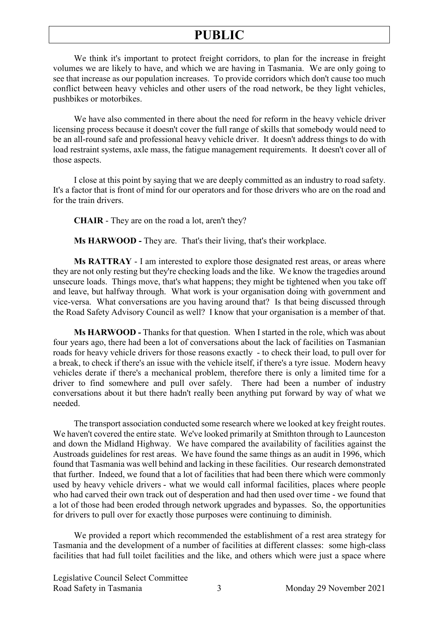We think it's important to protect freight corridors, to plan for the increase in freight volumes we are likely to have, and which we are having in Tasmania. We are only going to see that increase as our population increases. To provide corridors which don't cause too much conflict between heavy vehicles and other users of the road network, be they light vehicles, pushbikes or motorbikes.

We have also commented in there about the need for reform in the heavy vehicle driver licensing process because it doesn't cover the full range of skills that somebody would need to be an all-round safe and professional heavy vehicle driver. It doesn't address things to do with load restraint systems, axle mass, the fatigue management requirements. It doesn't cover all of those aspects.

I close at this point by saying that we are deeply committed as an industry to road safety. It's a factor that is front of mind for our operators and for those drivers who are on the road and for the train drivers.

**CHAIR** - They are on the road a lot, aren't they?

**Ms HARWOOD -** They are. That's their living, that's their workplace.

**Ms RATTRAY** - I am interested to explore those designated rest areas, or areas where they are not only resting but they're checking loads and the like. We know the tragedies around unsecure loads. Things move, that's what happens; they might be tightened when you take off and leave, but halfway through. What work is your organisation doing with government and vice-versa. What conversations are you having around that? Is that being discussed through the Road Safety Advisory Council as well? I know that your organisation is a member of that.

**Ms HARWOOD -** Thanks for that question. When I started in the role, which was about four years ago, there had been a lot of conversations about the lack of facilities on Tasmanian roads for heavy vehicle drivers for those reasons exactly - to check their load, to pull over for a break, to check if there's an issue with the vehicle itself, if there's a tyre issue. Modern heavy vehicles derate if there's a mechanical problem, therefore there is only a limited time for a driver to find somewhere and pull over safely. There had been a number of industry conversations about it but there hadn't really been anything put forward by way of what we needed.

The transport association conducted some research where we looked at key freight routes. We haven't covered the entire state. We've looked primarily at Smithton through to Launceston and down the Midland Highway. We have compared the availability of facilities against the Austroads guidelines for rest areas. We have found the same things as an audit in 1996, which found that Tasmania was well behind and lacking in these facilities. Our research demonstrated that further. Indeed, we found that a lot of facilities that had been there which were commonly used by heavy vehicle drivers - what we would call informal facilities, places where people who had carved their own track out of desperation and had then used over time - we found that a lot of those had been eroded through network upgrades and bypasses. So, the opportunities for drivers to pull over for exactly those purposes were continuing to diminish.

We provided a report which recommended the establishment of a rest area strategy for Tasmania and the development of a number of facilities at different classes: some high-class facilities that had full toilet facilities and the like, and others which were just a space where

Legislative Council Select Committee Road Safety in Tasmania 3 Monday 29 November 2021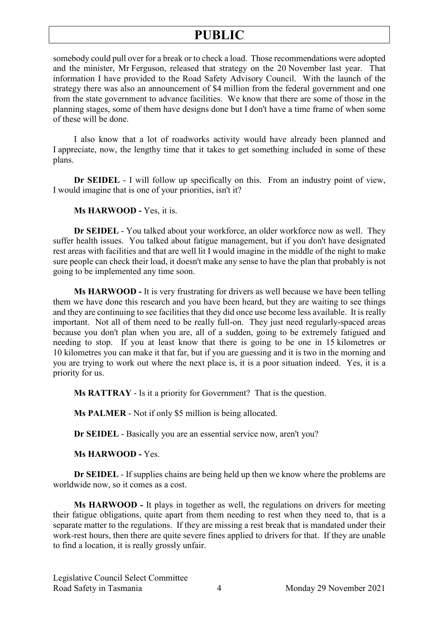somebody could pull over for a break or to check a load. Those recommendations were adopted and the minister, Mr Ferguson, released that strategy on the 20 November last year. That information I have provided to the Road Safety Advisory Council. With the launch of the strategy there was also an announcement of \$4 million from the federal government and one from the state government to advance facilities. We know that there are some of those in the planning stages, some of them have designs done but I don't have a time frame of when some of these will be done.

I also know that a lot of roadworks activity would have already been planned and I appreciate, now, the lengthy time that it takes to get something included in some of these plans.

**Dr SEIDEL** - I will follow up specifically on this. From an industry point of view, I would imagine that is one of your priorities, isn't it?

**Ms HARWOOD -** Yes, it is.

**Dr SEIDEL** - You talked about your workforce, an older workforce now as well. They suffer health issues. You talked about fatigue management, but if you don't have designated rest areas with facilities and that are well lit I would imagine in the middle of the night to make sure people can check their load, it doesn't make any sense to have the plan that probably is not going to be implemented any time soon.

**Ms HARWOOD -** It is very frustrating for drivers as well because we have been telling them we have done this research and you have been heard, but they are waiting to see things and they are continuing to see facilities that they did once use become less available. It is really important. Not all of them need to be really full-on. They just need regularly-spaced areas because you don't plan when you are, all of a sudden, going to be extremely fatigued and needing to stop. If you at least know that there is going to be one in 15 kilometres or 10 kilometres you can make it that far, but if you are guessing and it is two in the morning and you are trying to work out where the next place is, it is a poor situation indeed. Yes, it is a priority for us.

**Ms RATTRAY** - Is it a priority for Government? That is the question.

**Ms PALMER** - Not if only \$5 million is being allocated.

**Dr SEIDEL** - Basically you are an essential service now, aren't you?

**Ms HARWOOD -** Yes.

**Dr SEIDEL** - If supplies chains are being held up then we know where the problems are worldwide now, so it comes as a cost.

**Ms HARWOOD -** It plays in together as well, the regulations on drivers for meeting their fatigue obligations, quite apart from them needing to rest when they need to, that is a separate matter to the regulations. If they are missing a rest break that is mandated under their work-rest hours, then there are quite severe fines applied to drivers for that. If they are unable to find a location, it is really grossly unfair.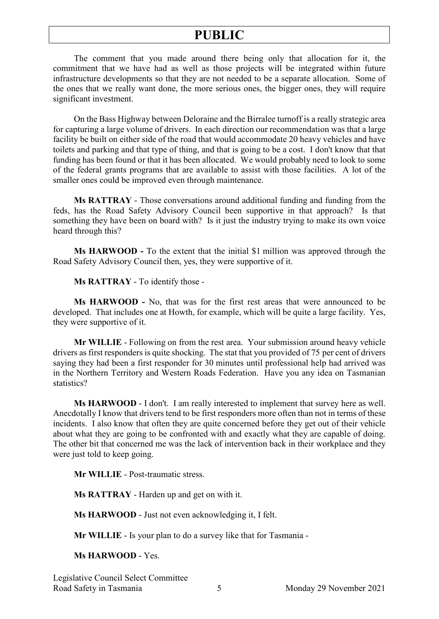The comment that you made around there being only that allocation for it, the commitment that we have had as well as those projects will be integrated within future infrastructure developments so that they are not needed to be a separate allocation. Some of the ones that we really want done, the more serious ones, the bigger ones, they will require significant investment.

On the Bass Highway between Deloraine and the Birralee turnoff is a really strategic area for capturing a large volume of drivers. In each direction our recommendation was that a large facility be built on either side of the road that would accommodate 20 heavy vehicles and have toilets and parking and that type of thing, and that is going to be a cost. I don't know that that funding has been found or that it has been allocated. We would probably need to look to some of the federal grants programs that are available to assist with those facilities. A lot of the smaller ones could be improved even through maintenance.

**Ms RATTRAY** - Those conversations around additional funding and funding from the feds, has the Road Safety Advisory Council been supportive in that approach? Is that something they have been on board with? Is it just the industry trying to make its own voice heard through this?

**Ms HARWOOD -** To the extent that the initial \$1 million was approved through the Road Safety Advisory Council then, yes, they were supportive of it.

**Ms RATTRAY** - To identify those -

**Ms HARWOOD -** No, that was for the first rest areas that were announced to be developed. That includes one at Howth, for example, which will be quite a large facility. Yes, they were supportive of it.

**Mr WILLIE** - Following on from the rest area. Your submission around heavy vehicle drivers as first responders is quite shocking. The stat that you provided of 75 per cent of drivers saying they had been a first responder for 30 minutes until professional help had arrived was in the Northern Territory and Western Roads Federation. Have you any idea on Tasmanian statistics?

**Ms HARWOOD** - I don't. I am really interested to implement that survey here as well. Anecdotally I know that drivers tend to be first responders more often than not in terms of these incidents. I also know that often they are quite concerned before they get out of their vehicle about what they are going to be confronted with and exactly what they are capable of doing. The other bit that concerned me was the lack of intervention back in their workplace and they were just told to keep going.

**Mr WILLIE** - Post-traumatic stress.

**Ms RATTRAY** - Harden up and get on with it.

**Ms HARWOOD** - Just not even acknowledging it, I felt.

**Mr WILLIE** - Is your plan to do a survey like that for Tasmania -

**Ms HARWOOD** - Yes.

Legislative Council Select Committee Road Safety in Tasmania 5 Monday 29 November 2021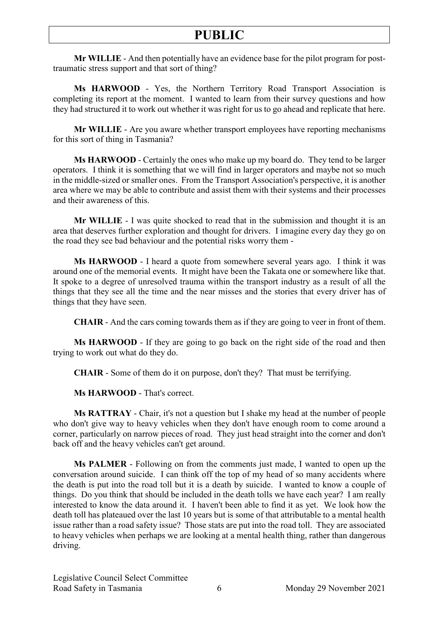**Mr WILLIE** - And then potentially have an evidence base for the pilot program for posttraumatic stress support and that sort of thing?

**Ms HARWOOD** - Yes, the Northern Territory Road Transport Association is completing its report at the moment. I wanted to learn from their survey questions and how they had structured it to work out whether it was right for us to go ahead and replicate that here.

**Mr WILLIE** - Are you aware whether transport employees have reporting mechanisms for this sort of thing in Tasmania?

**Ms HARWOOD** - Certainly the ones who make up my board do. They tend to be larger operators. I think it is something that we will find in larger operators and maybe not so much in the middle-sized or smaller ones. From the Transport Association's perspective, it is another area where we may be able to contribute and assist them with their systems and their processes and their awareness of this.

**Mr WILLIE** - I was quite shocked to read that in the submission and thought it is an area that deserves further exploration and thought for drivers. I imagine every day they go on the road they see bad behaviour and the potential risks worry them -

**Ms HARWOOD** - I heard a quote from somewhere several years ago. I think it was around one of the memorial events. It might have been the Takata one or somewhere like that. It spoke to a degree of unresolved trauma within the transport industry as a result of all the things that they see all the time and the near misses and the stories that every driver has of things that they have seen.

**CHAIR** - And the cars coming towards them as if they are going to veer in front of them.

**Ms HARWOOD** - If they are going to go back on the right side of the road and then trying to work out what do they do.

**CHAIR** - Some of them do it on purpose, don't they? That must be terrifying.

**Ms HARWOOD** - That's correct.

**Ms RATTRAY** - Chair, it's not a question but I shake my head at the number of people who don't give way to heavy vehicles when they don't have enough room to come around a corner, particularly on narrow pieces of road. They just head straight into the corner and don't back off and the heavy vehicles can't get around.

**Ms PALMER** - Following on from the comments just made, I wanted to open up the conversation around suicide. I can think off the top of my head of so many accidents where the death is put into the road toll but it is a death by suicide. I wanted to know a couple of things. Do you think that should be included in the death tolls we have each year? I am really interested to know the data around it. I haven't been able to find it as yet. We look how the death toll has plateaued over the last 10 years but is some of that attributable to a mental health issue rather than a road safety issue? Those stats are put into the road toll. They are associated to heavy vehicles when perhaps we are looking at a mental health thing, rather than dangerous driving.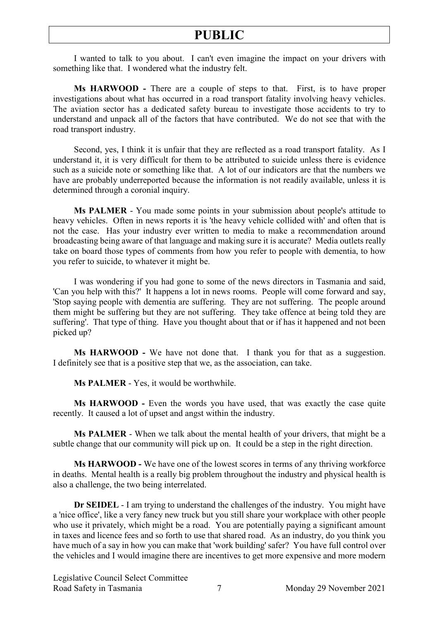I wanted to talk to you about. I can't even imagine the impact on your drivers with something like that. I wondered what the industry felt.

**Ms HARWOOD -** There are a couple of steps to that. First, is to have proper investigations about what has occurred in a road transport fatality involving heavy vehicles. The aviation sector has a dedicated safety bureau to investigate those accidents to try to understand and unpack all of the factors that have contributed. We do not see that with the road transport industry.

Second, yes, I think it is unfair that they are reflected as a road transport fatality. As I understand it, it is very difficult for them to be attributed to suicide unless there is evidence such as a suicide note or something like that. A lot of our indicators are that the numbers we have are probably underreported because the information is not readily available, unless it is determined through a coronial inquiry.

**Ms PALMER** - You made some points in your submission about people's attitude to heavy vehicles. Often in news reports it is 'the heavy vehicle collided with' and often that is not the case. Has your industry ever written to media to make a recommendation around broadcasting being aware of that language and making sure it is accurate? Media outlets really take on board those types of comments from how you refer to people with dementia, to how you refer to suicide, to whatever it might be.

I was wondering if you had gone to some of the news directors in Tasmania and said, 'Can you help with this?' It happens a lot in news rooms. People will come forward and say, 'Stop saying people with dementia are suffering. They are not suffering. The people around them might be suffering but they are not suffering. They take offence at being told they are suffering'. That type of thing. Have you thought about that or if has it happened and not been picked up?

**Ms HARWOOD -** We have not done that. I thank you for that as a suggestion. I definitely see that is a positive step that we, as the association, can take.

**Ms PALMER** - Yes, it would be worthwhile.

**Ms HARWOOD -** Even the words you have used, that was exactly the case quite recently. It caused a lot of upset and angst within the industry.

**Ms PALMER** - When we talk about the mental health of your drivers, that might be a subtle change that our community will pick up on. It could be a step in the right direction.

**Ms HARWOOD -** We have one of the lowest scores in terms of any thriving workforce in deaths. Mental health is a really big problem throughout the industry and physical health is also a challenge, the two being interrelated.

**Dr SEIDEL** - I am trying to understand the challenges of the industry. You might have a 'nice office', like a very fancy new truck but you still share your workplace with other people who use it privately, which might be a road. You are potentially paying a significant amount in taxes and licence fees and so forth to use that shared road. As an industry, do you think you have much of a say in how you can make that 'work building' safer? You have full control over the vehicles and I would imagine there are incentives to get more expensive and more modern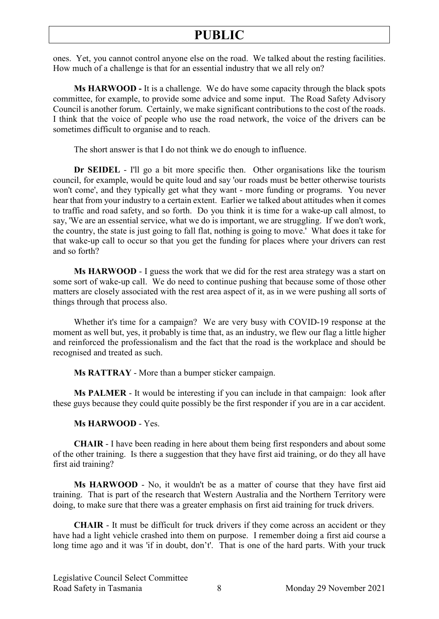ones. Yet, you cannot control anyone else on the road. We talked about the resting facilities. How much of a challenge is that for an essential industry that we all rely on?

**Ms HARWOOD -** It is a challenge. We do have some capacity through the black spots committee, for example, to provide some advice and some input. The Road Safety Advisory Council is another forum. Certainly, we make significant contributions to the cost of the roads. I think that the voice of people who use the road network, the voice of the drivers can be sometimes difficult to organise and to reach.

The short answer is that I do not think we do enough to influence.

**Dr SEIDEL** - I'll go a bit more specific then. Other organisations like the tourism council, for example, would be quite loud and say 'our roads must be better otherwise tourists won't come', and they typically get what they want - more funding or programs. You never hear that from your industry to a certain extent. Earlier we talked about attitudes when it comes to traffic and road safety, and so forth. Do you think it is time for a wake-up call almost, to say, 'We are an essential service, what we do is important, we are struggling. If we don't work, the country, the state is just going to fall flat, nothing is going to move.' What does it take for that wake-up call to occur so that you get the funding for places where your drivers can rest and so forth?

**Ms HARWOOD** - I guess the work that we did for the rest area strategy was a start on some sort of wake-up call. We do need to continue pushing that because some of those other matters are closely associated with the rest area aspect of it, as in we were pushing all sorts of things through that process also.

Whether it's time for a campaign? We are very busy with COVID-19 response at the moment as well but, yes, it probably is time that, as an industry, we flew our flag a little higher and reinforced the professionalism and the fact that the road is the workplace and should be recognised and treated as such.

**Ms RATTRAY** - More than a bumper sticker campaign.

**Ms PALMER** - It would be interesting if you can include in that campaign: look after these guys because they could quite possibly be the first responder if you are in a car accident.

**Ms HARWOOD** - Yes.

**CHAIR** - I have been reading in here about them being first responders and about some of the other training. Is there a suggestion that they have first aid training, or do they all have first aid training?

**Ms HARWOOD** - No, it wouldn't be as a matter of course that they have first aid training. That is part of the research that Western Australia and the Northern Territory were doing, to make sure that there was a greater emphasis on first aid training for truck drivers.

**CHAIR** - It must be difficult for truck drivers if they come across an accident or they have had a light vehicle crashed into them on purpose. I remember doing a first aid course a long time ago and it was 'if in doubt, don't'. That is one of the hard parts. With your truck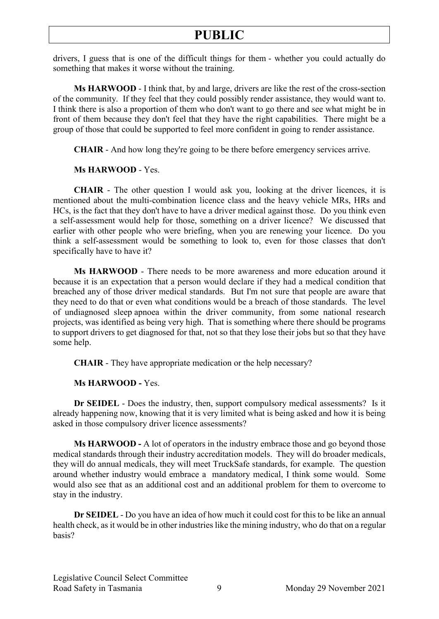drivers, I guess that is one of the difficult things for them - whether you could actually do something that makes it worse without the training.

**Ms HARWOOD** - I think that, by and large, drivers are like the rest of the cross-section of the community. If they feel that they could possibly render assistance, they would want to. I think there is also a proportion of them who don't want to go there and see what might be in front of them because they don't feel that they have the right capabilities. There might be a group of those that could be supported to feel more confident in going to render assistance.

**CHAIR** - And how long they're going to be there before emergency services arrive.

#### **Ms HARWOOD** - Yes.

**CHAIR** - The other question I would ask you, looking at the driver licences, it is mentioned about the multi-combination licence class and the heavy vehicle MRs, HRs and HCs, is the fact that they don't have to have a driver medical against those. Do you think even a self-assessment would help for those, something on a driver licence? We discussed that earlier with other people who were briefing, when you are renewing your licence. Do you think a self-assessment would be something to look to, even for those classes that don't specifically have to have it?

**Ms HARWOOD** - There needs to be more awareness and more education around it because it is an expectation that a person would declare if they had a medical condition that breached any of those driver medical standards. But I'm not sure that people are aware that they need to do that or even what conditions would be a breach of those standards. The level of undiagnosed sleep apnoea within the driver community, from some national research projects, was identified as being very high. That is something where there should be programs to support drivers to get diagnosed for that, not so that they lose their jobs but so that they have some help.

**CHAIR** - They have appropriate medication or the help necessary?

#### **Ms HARWOOD -** Yes.

**Dr SEIDEL** - Does the industry, then, support compulsory medical assessments? Is it already happening now, knowing that it is very limited what is being asked and how it is being asked in those compulsory driver licence assessments?

**Ms HARWOOD -** A lot of operators in the industry embrace those and go beyond those medical standards through their industry accreditation models. They will do broader medicals, they will do annual medicals, they will meet TruckSafe standards, for example. The question around whether industry would embrace a mandatory medical, I think some would. Some would also see that as an additional cost and an additional problem for them to overcome to stay in the industry.

**Dr SEIDEL** - Do you have an idea of how much it could cost for this to be like an annual health check, as it would be in other industries like the mining industry, who do that on a regular basis?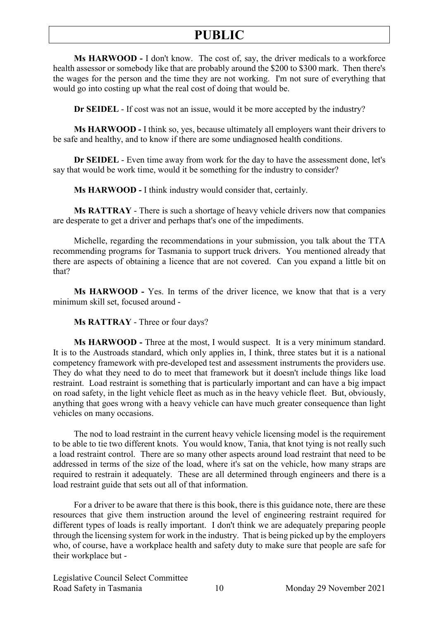**Ms HARWOOD -** I don't know. The cost of, say, the driver medicals to a workforce health assessor or somebody like that are probably around the \$200 to \$300 mark. Then there's the wages for the person and the time they are not working. I'm not sure of everything that would go into costing up what the real cost of doing that would be.

**Dr SEIDEL** - If cost was not an issue, would it be more accepted by the industry?

**Ms HARWOOD -** I think so, yes, because ultimately all employers want their drivers to be safe and healthy, and to know if there are some undiagnosed health conditions.

**Dr SEIDEL** - Even time away from work for the day to have the assessment done, let's say that would be work time, would it be something for the industry to consider?

**Ms HARWOOD -** I think industry would consider that, certainly.

**Ms RATTRAY** - There is such a shortage of heavy vehicle drivers now that companies are desperate to get a driver and perhaps that's one of the impediments.

Michelle, regarding the recommendations in your submission, you talk about the TTA recommending programs for Tasmania to support truck drivers. You mentioned already that there are aspects of obtaining a licence that are not covered. Can you expand a little bit on that?

**Ms HARWOOD -** Yes. In terms of the driver licence, we know that that is a very minimum skill set, focused around -

**Ms RATTRAY** - Three or four days?

**Ms HARWOOD -** Three at the most, I would suspect. It is a very minimum standard. It is to the Austroads standard, which only applies in, I think, three states but it is a national competency framework with pre-developed test and assessment instruments the providers use. They do what they need to do to meet that framework but it doesn't include things like load restraint. Load restraint is something that is particularly important and can have a big impact on road safety, in the light vehicle fleet as much as in the heavy vehicle fleet. But, obviously, anything that goes wrong with a heavy vehicle can have much greater consequence than light vehicles on many occasions.

The nod to load restraint in the current heavy vehicle licensing model is the requirement to be able to tie two different knots. You would know, Tania, that knot tying is not really such a load restraint control. There are so many other aspects around load restraint that need to be addressed in terms of the size of the load, where it's sat on the vehicle, how many straps are required to restrain it adequately. These are all determined through engineers and there is a load restraint guide that sets out all of that information.

For a driver to be aware that there is this book, there is this guidance note, there are these resources that give them instruction around the level of engineering restraint required for different types of loads is really important. I don't think we are adequately preparing people through the licensing system for work in the industry. That is being picked up by the employers who, of course, have a workplace health and safety duty to make sure that people are safe for their workplace but -

Legislative Council Select Committee Road Safety in Tasmania 10 Monday 29 November 2021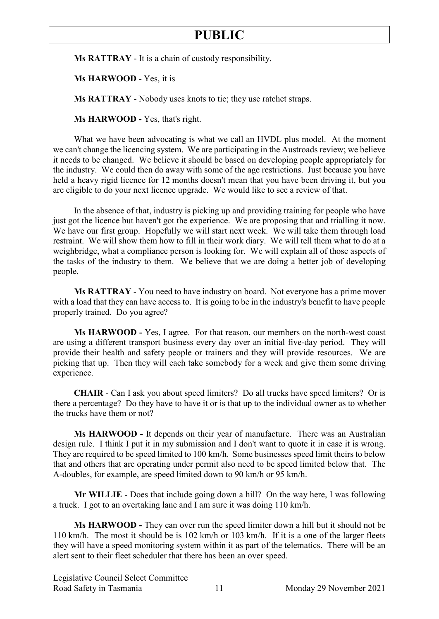**Ms RATTRAY** - It is a chain of custody responsibility.

**Ms HARWOOD -** Yes, it is

**Ms RATTRAY** - Nobody uses knots to tie; they use ratchet straps.

**Ms HARWOOD -** Yes, that's right.

What we have been advocating is what we call an HVDL plus model. At the moment we can't change the licencing system. We are participating in the Austroads review; we believe it needs to be changed. We believe it should be based on developing people appropriately for the industry. We could then do away with some of the age restrictions. Just because you have held a heavy rigid licence for 12 months doesn't mean that you have been driving it, but you are eligible to do your next licence upgrade. We would like to see a review of that.

In the absence of that, industry is picking up and providing training for people who have just got the licence but haven't got the experience. We are proposing that and trialling it now. We have our first group. Hopefully we will start next week. We will take them through load restraint. We will show them how to fill in their work diary. We will tell them what to do at a weighbridge, what a compliance person is looking for. We will explain all of those aspects of the tasks of the industry to them. We believe that we are doing a better job of developing people.

**Ms RATTRAY** - You need to have industry on board. Not everyone has a prime mover with a load that they can have access to. It is going to be in the industry's benefit to have people properly trained. Do you agree?

**Ms HARWOOD -** Yes, I agree. For that reason, our members on the north-west coast are using a different transport business every day over an initial five-day period. They will provide their health and safety people or trainers and they will provide resources. We are picking that up. Then they will each take somebody for a week and give them some driving experience.

**CHAIR** - Can I ask you about speed limiters? Do all trucks have speed limiters? Or is there a percentage? Do they have to have it or is that up to the individual owner as to whether the trucks have them or not?

**Ms HARWOOD -** It depends on their year of manufacture. There was an Australian design rule. I think I put it in my submission and I don't want to quote it in case it is wrong. They are required to be speed limited to 100 km/h. Some businesses speed limit theirs to below that and others that are operating under permit also need to be speed limited below that. The A-doubles, for example, are speed limited down to 90 km/h or 95 km/h.

**Mr WILLIE** - Does that include going down a hill? On the way here, I was following a truck. I got to an overtaking lane and I am sure it was doing 110 km/h.

**Ms HARWOOD -** They can over run the speed limiter down a hill but it should not be 110 km/h. The most it should be is 102 km/h or 103 km/h. If it is a one of the larger fleets they will have a speed monitoring system within it as part of the telematics. There will be an alert sent to their fleet scheduler that there has been an over speed.

Legislative Council Select Committee Road Safety in Tasmania 11 Monday 29 November 2021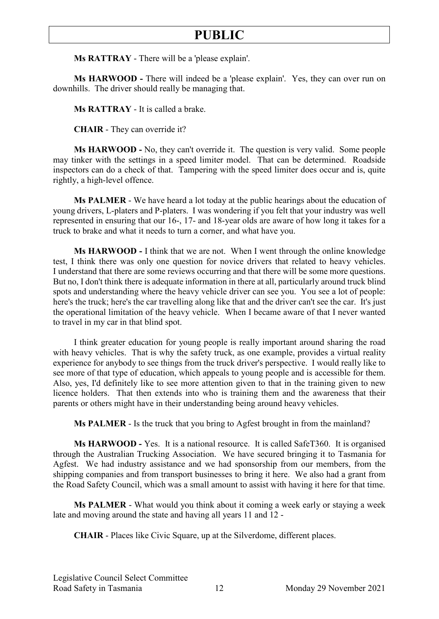**Ms RATTRAY** - There will be a 'please explain'.

**Ms HARWOOD -** There will indeed be a 'please explain'. Yes, they can over run on downhills. The driver should really be managing that.

**Ms RATTRAY** - It is called a brake.

**CHAIR** - They can override it?

**Ms HARWOOD -** No, they can't override it.The question is very valid. Some people may tinker with the settings in a speed limiter model. That can be determined. Roadside inspectors can do a check of that. Tampering with the speed limiter does occur and is, quite rightly, a high-level offence.

**Ms PALMER** - We have heard a lot today at the public hearings about the education of young drivers, L-platers and P-platers. I was wondering if you felt that your industry was well represented in ensuring that our 16-, 17- and 18-year olds are aware of how long it takes for a truck to brake and what it needs to turn a corner, and what have you.

**Ms HARWOOD -** I think that we are not. When I went through the online knowledge test, I think there was only one question for novice drivers that related to heavy vehicles. I understand that there are some reviews occurring and that there will be some more questions. But no, I don't think there is adequate information in there at all, particularly around truck blind spots and understanding where the heavy vehicle driver can see you. You see a lot of people: here's the truck; here's the car travelling along like that and the driver can't see the car. It's just the operational limitation of the heavy vehicle. When I became aware of that I never wanted to travel in my car in that blind spot.

I think greater education for young people is really important around sharing the road with heavy vehicles. That is why the safety truck, as one example, provides a virtual reality experience for anybody to see things from the truck driver's perspective. I would really like to see more of that type of education, which appeals to young people and is accessible for them. Also, yes, I'd definitely like to see more attention given to that in the training given to new licence holders. That then extends into who is training them and the awareness that their parents or others might have in their understanding being around heavy vehicles.

**Ms PALMER** - Is the truck that you bring to Agfest brought in from the mainland?

**Ms HARWOOD -** Yes. It is a national resource. It is called SafeT360. It is organised through the Australian Trucking Association. We have secured bringing it to Tasmania for Agfest. We had industry assistance and we had sponsorship from our members, from the shipping companies and from transport businesses to bring it here. We also had a grant from the Road Safety Council, which was a small amount to assist with having it here for that time.

**Ms PALMER** - What would you think about it coming a week early or staying a week late and moving around the state and having all years 11 and 12 -

**CHAIR** - Places like Civic Square, up at the Silverdome, different places.

Legislative Council Select Committee Road Safety in Tasmania 12 Monday 29 November 2021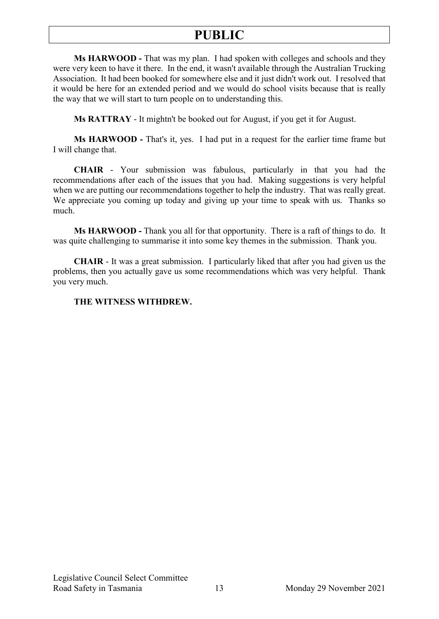**Ms HARWOOD -** That was my plan. I had spoken with colleges and schools and they were very keen to have it there. In the end, it wasn't available through the Australian Trucking Association. It had been booked for somewhere else and it just didn't work out. I resolved that it would be here for an extended period and we would do school visits because that is really the way that we will start to turn people on to understanding this.

**Ms RATTRAY** - It mightn't be booked out for August, if you get it for August.

**Ms HARWOOD -** That's it, yes. I had put in a request for the earlier time frame but I will change that.

**CHAIR** - Your submission was fabulous, particularly in that you had the recommendations after each of the issues that you had. Making suggestions is very helpful when we are putting our recommendations together to help the industry. That was really great. We appreciate you coming up today and giving up your time to speak with us. Thanks so much.

**Ms HARWOOD -** Thank you all for that opportunity. There is a raft of things to do. It was quite challenging to summarise it into some key themes in the submission. Thank you.

**CHAIR** - It was a great submission. I particularly liked that after you had given us the problems, then you actually gave us some recommendations which was very helpful. Thank you very much.

#### **THE WITNESS WITHDREW.**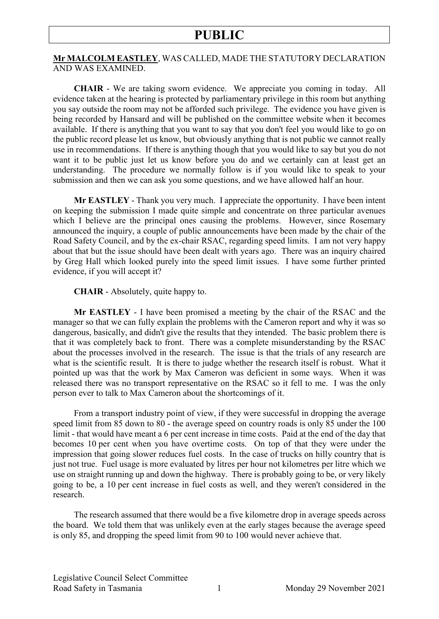#### **Mr MALCOLM EASTLEY**, WAS CALLED, MADE THE STATUTORY DECLARATION AND WAS EXAMINED.

**CHAIR** - We are taking sworn evidence. We appreciate you coming in today. All evidence taken at the hearing is protected by parliamentary privilege in this room but anything you say outside the room may not be afforded such privilege. The evidence you have given is being recorded by Hansard and will be published on the committee website when it becomes available. If there is anything that you want to say that you don't feel you would like to go on the public record please let us know, but obviously anything that is not public we cannot really use in recommendations. If there is anything though that you would like to say but you do not want it to be public just let us know before you do and we certainly can at least get an understanding. The procedure we normally follow is if you would like to speak to your submission and then we can ask you some questions, and we have allowed half an hour.

**Mr EASTLEY** - Thank you very much. I appreciate the opportunity. I have been intent on keeping the submission I made quite simple and concentrate on three particular avenues which I believe are the principal ones causing the problems. However, since Rosemary announced the inquiry, a couple of public announcements have been made by the chair of the Road Safety Council, and by the ex-chair RSAC, regarding speed limits. I am not very happy about that but the issue should have been dealt with years ago. There was an inquiry chaired by Greg Hall which looked purely into the speed limit issues. I have some further printed evidence, if you will accept it?

**CHAIR** - Absolutely, quite happy to.

**Mr EASTLEY** - I have been promised a meeting by the chair of the RSAC and the manager so that we can fully explain the problems with the Cameron report and why it was so dangerous, basically, and didn't give the results that they intended. The basic problem there is that it was completely back to front. There was a complete misunderstanding by the RSAC about the processes involved in the research. The issue is that the trials of any research are what is the scientific result. It is there to judge whether the research itself is robust. What it pointed up was that the work by Max Cameron was deficient in some ways. When it was released there was no transport representative on the RSAC so it fell to me. I was the only person ever to talk to Max Cameron about the shortcomings of it.

From a transport industry point of view, if they were successful in dropping the average speed limit from 85 down to 80 - the average speed on country roads is only 85 under the 100 limit - that would have meant a 6 per cent increase in time costs. Paid at the end of the day that becomes 10 per cent when you have overtime costs. On top of that they were under the impression that going slower reduces fuel costs. In the case of trucks on hilly country that is just not true. Fuel usage is more evaluated by litres per hour not kilometres per litre which we use on straight running up and down the highway. There is probably going to be, or very likely going to be, a 10 per cent increase in fuel costs as well, and they weren't considered in the research.

The research assumed that there would be a five kilometre drop in average speeds across the board. We told them that was unlikely even at the early stages because the average speed is only 85, and dropping the speed limit from 90 to 100 would never achieve that.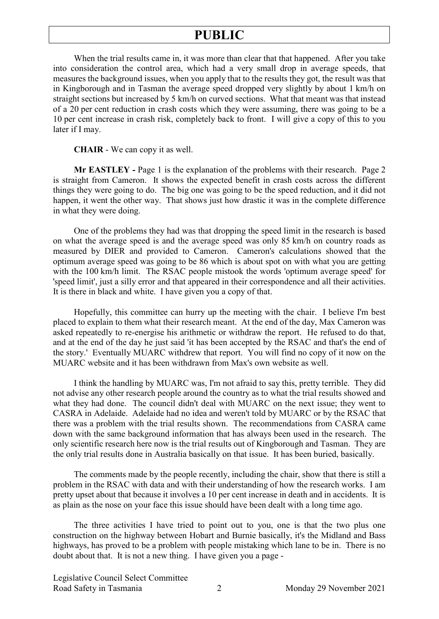When the trial results came in, it was more than clear that that happened. After you take into consideration the control area, which had a very small drop in average speeds, that measures the background issues, when you apply that to the results they got, the result was that in Kingborough and in Tasman the average speed dropped very slightly by about 1 km/h on straight sections but increased by 5 km/h on curved sections. What that meant was that instead of a 20 per cent reduction in crash costs which they were assuming, there was going to be a 10 per cent increase in crash risk, completely back to front. I will give a copy of this to you later if I may.

**CHAIR** - We can copy it as well.

**Mr EASTLEY** - Page 1 is the explanation of the problems with their research. Page 2 is straight from Cameron. It shows the expected benefit in crash costs across the different things they were going to do. The big one was going to be the speed reduction, and it did not happen, it went the other way. That shows just how drastic it was in the complete difference in what they were doing.

One of the problems they had was that dropping the speed limit in the research is based on what the average speed is and the average speed was only 85 km/h on country roads as measured by DIER and provided to Cameron. Cameron's calculations showed that the optimum average speed was going to be 86 which is about spot on with what you are getting with the 100 km/h limit. The RSAC people mistook the words 'optimum average speed' for 'speed limit', just a silly error and that appeared in their correspondence and all their activities. It is there in black and white. I have given you a copy of that.

Hopefully, this committee can hurry up the meeting with the chair. I believe I'm best placed to explain to them what their research meant. At the end of the day, Max Cameron was asked repeatedly to re-energise his arithmetic or withdraw the report. He refused to do that, and at the end of the day he just said 'it has been accepted by the RSAC and that's the end of the story.' Eventually MUARC withdrew that report. You will find no copy of it now on the MUARC website and it has been withdrawn from Max's own website as well.

I think the handling by MUARC was, I'm not afraid to say this, pretty terrible. They did not advise any other research people around the country as to what the trial results showed and what they had done. The council didn't deal with MUARC on the next issue; they went to CASRA in Adelaide. Adelaide had no idea and weren't told by MUARC or by the RSAC that there was a problem with the trial results shown. The recommendations from CASRA came down with the same background information that has always been used in the research. The only scientific research here now is the trial results out of Kingborough and Tasman. They are the only trial results done in Australia basically on that issue. It has been buried, basically.

The comments made by the people recently, including the chair, show that there is still a problem in the RSAC with data and with their understanding of how the research works. I am pretty upset about that because it involves a 10 per cent increase in death and in accidents. It is as plain as the nose on your face this issue should have been dealt with a long time ago.

The three activities I have tried to point out to you, one is that the two plus one construction on the highway between Hobart and Burnie basically, it's the Midland and Bass highways, has proved to be a problem with people mistaking which lane to be in. There is no doubt about that. It is not a new thing. I have given you a page -

Legislative Council Select Committee Road Safety in Tasmania 2 2 Monday 29 November 2021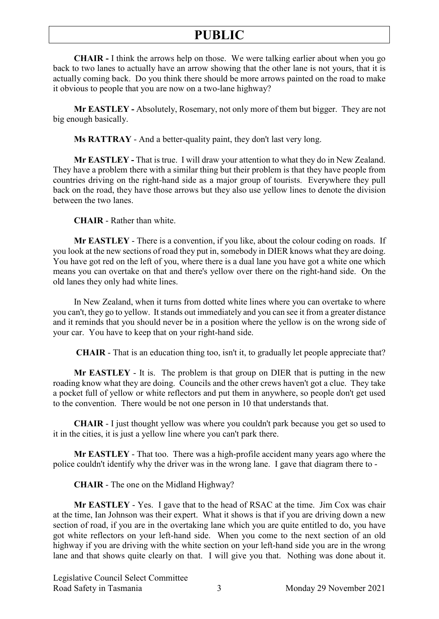**CHAIR -** I think the arrows help on those. We were talking earlier about when you go back to two lanes to actually have an arrow showing that the other lane is not yours, that it is actually coming back. Do you think there should be more arrows painted on the road to make it obvious to people that you are now on a two-lane highway?

**Mr EASTLEY -** Absolutely, Rosemary, not only more of them but bigger. They are not big enough basically.

**Ms RATTRAY** - And a better-quality paint, they don't last very long.

**Mr EASTLEY -** That is true.I will draw your attention to what they do in New Zealand. They have a problem there with a similar thing but their problem is that they have people from countries driving on the right-hand side as a major group of tourists. Everywhere they pull back on the road, they have those arrows but they also use yellow lines to denote the division between the two lanes.

**CHAIR** - Rather than white.

**Mr EASTLEY** - There is a convention, if you like, about the colour coding on roads. If you look at the new sections of road they put in, somebody in DIER knows what they are doing. You have got red on the left of you, where there is a dual lane you have got a white one which means you can overtake on that and there's yellow over there on the right-hand side. On the old lanes they only had white lines.

In New Zealand, when it turns from dotted white lines where you can overtake to where you can't, they go to yellow. It stands out immediately and you can see it from a greater distance and it reminds that you should never be in a position where the yellow is on the wrong side of your car. You have to keep that on your right-hand side.

**CHAIR** - That is an education thing too, isn't it, to gradually let people appreciate that?

**Mr EASTLEY** - It is. The problem is that group on DIER that is putting in the new roading know what they are doing. Councils and the other crews haven't got a clue. They take a pocket full of yellow or white reflectors and put them in anywhere, so people don't get used to the convention. There would be not one person in 10 that understands that.

**CHAIR** - I just thought yellow was where you couldn't park because you get so used to it in the cities, it is just a yellow line where you can't park there.

**Mr EASTLEY** - That too. There was a high-profile accident many years ago where the police couldn't identify why the driver was in the wrong lane. I gave that diagram there to -

**CHAIR** - The one on the Midland Highway?

**Mr EASTLEY** - Yes. I gave that to the head of RSAC at the time. Jim Cox was chair at the time, Ian Johnson was their expert. What it shows is that if you are driving down a new section of road, if you are in the overtaking lane which you are quite entitled to do, you have got white reflectors on your left-hand side. When you come to the next section of an old highway if you are driving with the white section on your left-hand side you are in the wrong lane and that shows quite clearly on that. I will give you that. Nothing was done about it.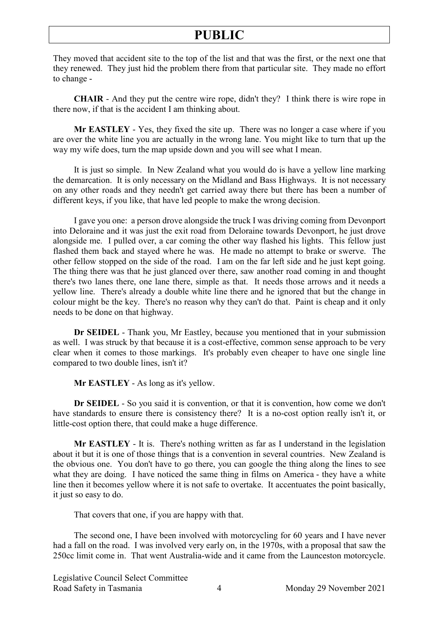They moved that accident site to the top of the list and that was the first, or the next one that they renewed. They just hid the problem there from that particular site. They made no effort to change -

**CHAIR** - And they put the centre wire rope, didn't they? I think there is wire rope in there now, if that is the accident I am thinking about.

**Mr EASTLEY** - Yes, they fixed the site up. There was no longer a case where if you are over the white line you are actually in the wrong lane. You might like to turn that up the way my wife does, turn the map upside down and you will see what I mean.

It is just so simple. In New Zealand what you would do is have a yellow line marking the demarcation. It is only necessary on the Midland and Bass Highways. It is not necessary on any other roads and they needn't get carried away there but there has been a number of different keys, if you like, that have led people to make the wrong decision.

I gave you one: a person drove alongside the truck I was driving coming from Devonport into Deloraine and it was just the exit road from Deloraine towards Devonport, he just drove alongside me. I pulled over, a car coming the other way flashed his lights. This fellow just flashed them back and stayed where he was. He made no attempt to brake or swerve. The other fellow stopped on the side of the road. I am on the far left side and he just kept going. The thing there was that he just glanced over there, saw another road coming in and thought there's two lanes there, one lane there, simple as that. It needs those arrows and it needs a yellow line. There's already a double white line there and he ignored that but the change in colour might be the key. There's no reason why they can't do that. Paint is cheap and it only needs to be done on that highway.

**Dr SEIDEL** - Thank you, Mr Eastley, because you mentioned that in your submission as well. I was struck by that because it is a cost-effective, common sense approach to be very clear when it comes to those markings. It's probably even cheaper to have one single line compared to two double lines, isn't it?

**Mr EASTLEY** - As long as it's yellow.

**Dr SEIDEL** - So you said it is convention, or that it is convention, how come we don't have standards to ensure there is consistency there? It is a no-cost option really isn't it, or little-cost option there, that could make a huge difference.

**Mr EASTLEY** - It is. There's nothing written as far as I understand in the legislation about it but it is one of those things that is a convention in several countries. New Zealand is the obvious one. You don't have to go there, you can google the thing along the lines to see what they are doing. I have noticed the same thing in films on America - they have a white line then it becomes yellow where it is not safe to overtake. It accentuates the point basically, it just so easy to do.

That covers that one, if you are happy with that.

The second one, I have been involved with motorcycling for 60 years and I have never had a fall on the road. I was involved very early on, in the 1970s, with a proposal that saw the 250cc limit come in. That went Australia-wide and it came from the Launceston motorcycle.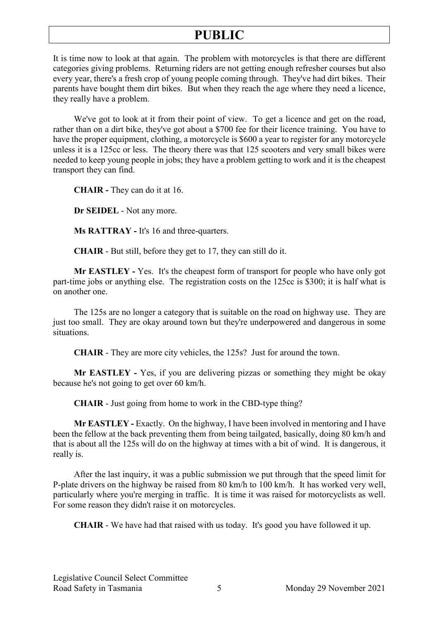It is time now to look at that again. The problem with motorcycles is that there are different categories giving problems. Returning riders are not getting enough refresher courses but also every year, there's a fresh crop of young people coming through. They've had dirt bikes. Their parents have bought them dirt bikes. But when they reach the age where they need a licence, they really have a problem.

We've got to look at it from their point of view. To get a licence and get on the road, rather than on a dirt bike, they've got about a \$700 fee for their licence training. You have to have the proper equipment, clothing, a motorcycle is \$600 a year to register for any motorcycle unless it is a 125cc or less. The theory there was that 125 scooters and very small bikes were needed to keep young people in jobs; they have a problem getting to work and it is the cheapest transport they can find.

**CHAIR -** They can do it at 16.

**Dr SEIDEL** - Not any more.

**Ms RATTRAY -** It's 16 and three-quarters.

**CHAIR** - But still, before they get to 17, they can still do it.

**Mr EASTLEY -** Yes.It's the cheapest form of transport for people who have only got part-time jobs or anything else. The registration costs on the 125cc is \$300; it is half what is on another one.

The 125s are no longer a category that is suitable on the road on highway use. They are just too small. They are okay around town but they're underpowered and dangerous in some situations.

**CHAIR** - They are more city vehicles, the 125s? Just for around the town.

**Mr EASTLEY -** Yes, if you are delivering pizzas or something they might be okay because he's not going to get over 60 km/h.

**CHAIR** - Just going from home to work in the CBD-type thing?

**Mr EASTLEY -** Exactly. On the highway, I have been involved in mentoring and I have been the fellow at the back preventing them from being tailgated, basically, doing 80 km/h and that is about all the 125s will do on the highway at times with a bit of wind. It is dangerous, it really is.

After the last inquiry, it was a public submission we put through that the speed limit for P-plate drivers on the highway be raised from 80 km/h to 100 km/h. It has worked very well, particularly where you're merging in traffic. It is time it was raised for motorcyclists as well. For some reason they didn't raise it on motorcycles.

**CHAIR** - We have had that raised with us today. It's good you have followed it up.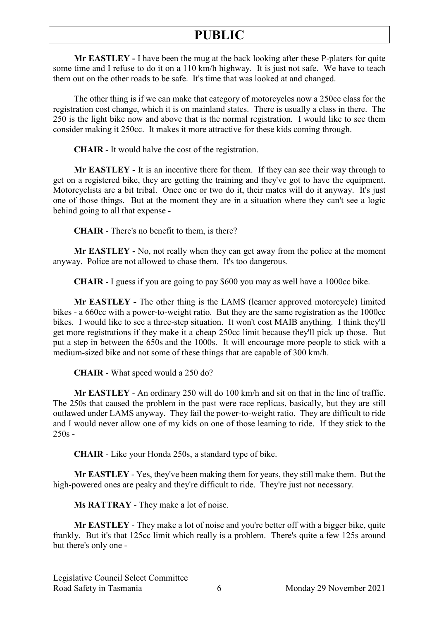**Mr EASTLEY -** I have been the mug at the back looking after these P-platers for quite some time and I refuse to do it on a 110 km/h highway. It is just not safe. We have to teach them out on the other roads to be safe. It's time that was looked at and changed.

The other thing is if we can make that category of motorcycles now a 250cc class for the registration cost change, which it is on mainland states. There is usually a class in there. The 250 is the light bike now and above that is the normal registration. I would like to see them consider making it 250cc. It makes it more attractive for these kids coming through.

**CHAIR -** It would halve the cost of the registration.

**Mr EASTLEY -** It is an incentive there for them. If they can see their way through to get on a registered bike, they are getting the training and they've got to have the equipment. Motorcyclists are a bit tribal. Once one or two do it, their mates will do it anyway. It's just one of those things. But at the moment they are in a situation where they can't see a logic behind going to all that expense -

**CHAIR** - There's no benefit to them, is there?

**Mr EASTLEY -** No, not really when they can get away from the police at the moment anyway. Police are not allowed to chase them. It's too dangerous.

**CHAIR** - I guess if you are going to pay \$600 you may as well have a 1000cc bike.

**Mr EASTLEY -** The other thing is the LAMS (learner approved motorcycle) limited bikes - a 660cc with a power-to-weight ratio. But they are the same registration as the 1000cc bikes. I would like to see a three-step situation. It won't cost MAIB anything. I think they'll get more registrations if they make it a cheap 250cc limit because they'll pick up those. But put a step in between the 650s and the 1000s. It will encourage more people to stick with a medium-sized bike and not some of these things that are capable of 300 km/h.

**CHAIR** - What speed would a 250 do?

**Mr EASTLEY** - An ordinary 250 will do 100 km/h and sit on that in the line of traffic. The 250s that caused the problem in the past were race replicas, basically, but they are still outlawed under LAMS anyway. They fail the power-to-weight ratio. They are difficult to ride and I would never allow one of my kids on one of those learning to ride. If they stick to the  $250s -$ 

**CHAIR** - Like your Honda 250s, a standard type of bike.

**Mr EASTLEY** - Yes, they've been making them for years, they still make them. But the high-powered ones are peaky and they're difficult to ride. They're just not necessary.

**Ms RATTRAY** - They make a lot of noise.

**Mr EASTLEY** - They make a lot of noise and you're better off with a bigger bike, quite frankly. But it's that 125cc limit which really is a problem. There's quite a few 125s around but there's only one -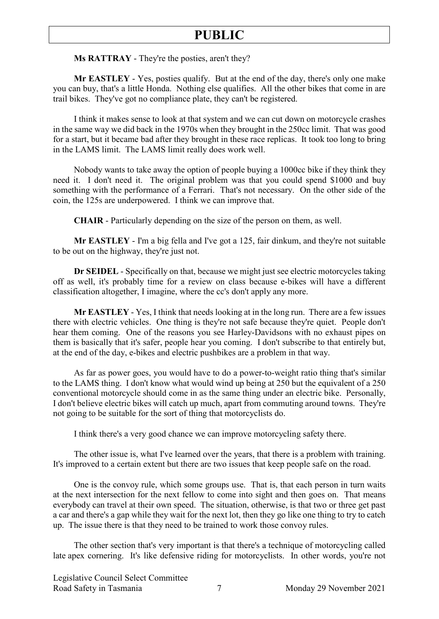**Ms RATTRAY** - They're the posties, aren't they?

**Mr EASTLEY** - Yes, posties qualify. But at the end of the day, there's only one make you can buy, that's a little Honda. Nothing else qualifies. All the other bikes that come in are trail bikes. They've got no compliance plate, they can't be registered.

I think it makes sense to look at that system and we can cut down on motorcycle crashes in the same way we did back in the 1970s when they brought in the 250cc limit. That was good for a start, but it became bad after they brought in these race replicas. It took too long to bring in the LAMS limit. The LAMS limit really does work well.

Nobody wants to take away the option of people buying a 1000cc bike if they think they need it. I don't need it. The original problem was that you could spend \$1000 and buy something with the performance of a Ferrari. That's not necessary. On the other side of the coin, the 125s are underpowered. I think we can improve that.

**CHAIR** - Particularly depending on the size of the person on them, as well.

**Mr EASTLEY** - I'm a big fella and I've got a 125, fair dinkum, and they're not suitable to be out on the highway, they're just not.

**Dr SEIDEL** - Specifically on that, because we might just see electric motorcycles taking off as well, it's probably time for a review on class because e-bikes will have a different classification altogether, I imagine, where the cc's don't apply any more.

**Mr EASTLEY** - Yes, I think that needs looking at in the long run. There are a few issues there with electric vehicles. One thing is they're not safe because they're quiet. People don't hear them coming. One of the reasons you see Harley-Davidsons with no exhaust pipes on them is basically that it's safer, people hear you coming. I don't subscribe to that entirely but, at the end of the day, e-bikes and electric pushbikes are a problem in that way.

As far as power goes, you would have to do a power-to-weight ratio thing that's similar to the LAMS thing. I don't know what would wind up being at 250 but the equivalent of a 250 conventional motorcycle should come in as the same thing under an electric bike. Personally, I don't believe electric bikes will catch up much, apart from commuting around towns. They're not going to be suitable for the sort of thing that motorcyclists do.

I think there's a very good chance we can improve motorcycling safety there.

The other issue is, what I've learned over the years, that there is a problem with training. It's improved to a certain extent but there are two issues that keep people safe on the road.

One is the convoy rule, which some groups use. That is, that each person in turn waits at the next intersection for the next fellow to come into sight and then goes on. That means everybody can travel at their own speed. The situation, otherwise, is that two or three get past a car and there's a gap while they wait for the next lot, then they go like one thing to try to catch up. The issue there is that they need to be trained to work those convoy rules.

The other section that's very important is that there's a technique of motorcycling called late apex cornering. It's like defensive riding for motorcyclists. In other words, you're not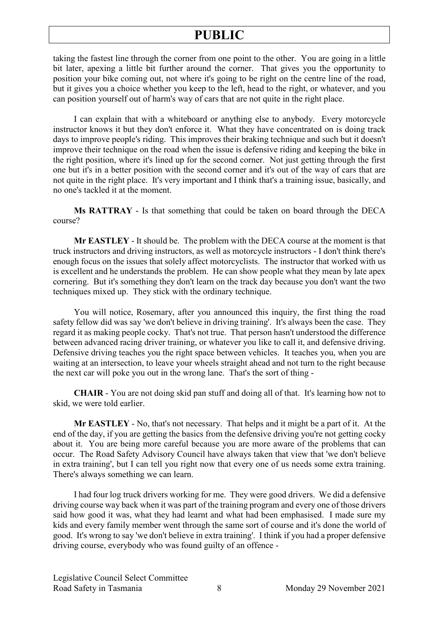taking the fastest line through the corner from one point to the other. You are going in a little bit later, apexing a little bit further around the corner. That gives you the opportunity to position your bike coming out, not where it's going to be right on the centre line of the road, but it gives you a choice whether you keep to the left, head to the right, or whatever, and you can position yourself out of harm's way of cars that are not quite in the right place.

I can explain that with a whiteboard or anything else to anybody. Every motorcycle instructor knows it but they don't enforce it. What they have concentrated on is doing track days to improve people's riding. This improves their braking technique and such but it doesn't improve their technique on the road when the issue is defensive riding and keeping the bike in the right position, where it's lined up for the second corner. Not just getting through the first one but it's in a better position with the second corner and it's out of the way of cars that are not quite in the right place. It's very important and I think that's a training issue, basically, and no one's tackled it at the moment.

**Ms RATTRAY** - Is that something that could be taken on board through the DECA course?

**Mr EASTLEY** - It should be. The problem with the DECA course at the moment is that truck instructors and driving instructors, as well as motorcycle instructors - I don't think there's enough focus on the issues that solely affect motorcyclists. The instructor that worked with us is excellent and he understands the problem. He can show people what they mean by late apex cornering. But it's something they don't learn on the track day because you don't want the two techniques mixed up. They stick with the ordinary technique.

You will notice, Rosemary, after you announced this inquiry, the first thing the road safety fellow did was say 'we don't believe in driving training'. It's always been the case. They regard it as making people cocky. That's not true. That person hasn't understood the difference between advanced racing driver training, or whatever you like to call it, and defensive driving. Defensive driving teaches you the right space between vehicles. It teaches you, when you are waiting at an intersection, to leave your wheels straight ahead and not turn to the right because the next car will poke you out in the wrong lane. That's the sort of thing -

**CHAIR** - You are not doing skid pan stuff and doing all of that. It's learning how not to skid, we were told earlier.

**Mr EASTLEY** - No, that's not necessary. That helps and it might be a part of it. At the end of the day, if you are getting the basics from the defensive driving you're not getting cocky about it. You are being more careful because you are more aware of the problems that can occur. The Road Safety Advisory Council have always taken that view that 'we don't believe in extra training', but I can tell you right now that every one of us needs some extra training. There's always something we can learn.

I had four log truck drivers working for me. They were good drivers. We did a defensive driving course way back when it was part of the training program and every one of those drivers said how good it was, what they had learnt and what had been emphasised. I made sure my kids and every family member went through the same sort of course and it's done the world of good. It's wrong to say 'we don't believe in extra training'. I think if you had a proper defensive driving course, everybody who was found guilty of an offence -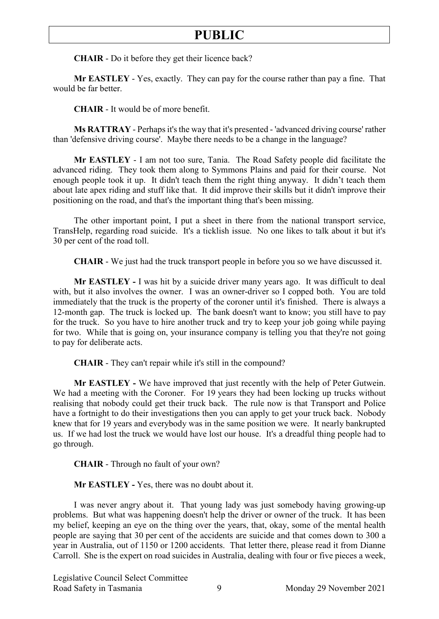**CHAIR** - Do it before they get their licence back?

**Mr EASTLEY** - Yes, exactly. They can pay for the course rather than pay a fine. That would be far better.

**CHAIR** - It would be of more benefit.

**Ms RATTRAY** - Perhaps it's the way that it's presented - 'advanced driving course' rather than 'defensive driving course'. Maybe there needs to be a change in the language?

**Mr EASTLEY** - I am not too sure, Tania. The Road Safety people did facilitate the advanced riding. They took them along to Symmons Plains and paid for their course. Not enough people took it up. It didn't teach them the right thing anyway. It didn't teach them about late apex riding and stuff like that. It did improve their skills but it didn't improve their positioning on the road, and that's the important thing that's been missing.

The other important point, I put a sheet in there from the national transport service, TransHelp, regarding road suicide. It's a ticklish issue. No one likes to talk about it but it's 30 per cent of the road toll.

**CHAIR** - We just had the truck transport people in before you so we have discussed it.

**Mr EASTLEY -** I was hit by a suicide driver many years ago. It was difficult to deal with, but it also involves the owner. I was an owner-driver so I copped both. You are told immediately that the truck is the property of the coroner until it's finished. There is always a 12-month gap. The truck is locked up. The bank doesn't want to know; you still have to pay for the truck. So you have to hire another truck and try to keep your job going while paying for two. While that is going on, your insurance company is telling you that they're not going to pay for deliberate acts.

**CHAIR** - They can't repair while it's still in the compound?

**Mr EASTLEY -** We have improved that just recently with the help of Peter Gutwein. We had a meeting with the Coroner. For 19 years they had been locking up trucks without realising that nobody could get their truck back. The rule now is that Transport and Police have a fortnight to do their investigations then you can apply to get your truck back. Nobody knew that for 19 years and everybody was in the same position we were. It nearly bankrupted us. If we had lost the truck we would have lost our house. It's a dreadful thing people had to go through.

**CHAIR** - Through no fault of your own?

**Mr EASTLEY -** Yes, there was no doubt about it.

I was never angry about it. That young lady was just somebody having growing-up problems. But what was happening doesn't help the driver or owner of the truck. It has been my belief, keeping an eye on the thing over the years, that, okay, some of the mental health people are saying that 30 per cent of the accidents are suicide and that comes down to 300 a year in Australia, out of 1150 or 1200 accidents. That letter there, please read it from Dianne Carroll. She is the expert on road suicides in Australia, dealing with four or five pieces a week,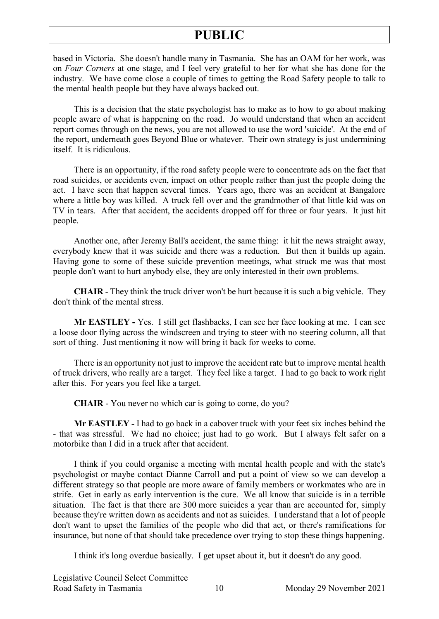based in Victoria. She doesn't handle many in Tasmania. She has an OAM for her work, was on *Four Corners* at one stage, and I feel very grateful to her for what she has done for the industry. We have come close a couple of times to getting the Road Safety people to talk to the mental health people but they have always backed out.

This is a decision that the state psychologist has to make as to how to go about making people aware of what is happening on the road. Jo would understand that when an accident report comes through on the news, you are not allowed to use the word 'suicide'. At the end of the report, underneath goes Beyond Blue or whatever. Their own strategy is just undermining itself. It is ridiculous.

There is an opportunity, if the road safety people were to concentrate ads on the fact that road suicides, or accidents even, impact on other people rather than just the people doing the act. I have seen that happen several times. Years ago, there was an accident at Bangalore where a little boy was killed. A truck fell over and the grandmother of that little kid was on TV in tears. After that accident, the accidents dropped off for three or four years. It just hit people.

Another one, after Jeremy Ball's accident, the same thing: it hit the news straight away, everybody knew that it was suicide and there was a reduction. But then it builds up again. Having gone to some of these suicide prevention meetings, what struck me was that most people don't want to hurt anybody else, they are only interested in their own problems.

**CHAIR** - They think the truck driver won't be hurt because it is such a big vehicle. They don't think of the mental stress.

**Mr EASTLEY -** Yes.I still get flashbacks, I can see her face looking at me. I can see a loose door flying across the windscreen and trying to steer with no steering column, all that sort of thing. Just mentioning it now will bring it back for weeks to come.

There is an opportunity not just to improve the accident rate but to improve mental health of truck drivers, who really are a target. They feel like a target. I had to go back to work right after this. For years you feel like a target.

**CHAIR** - You never no which car is going to come, do you?

**Mr EASTLEY -** I had to go back in a cabover truck with your feet six inches behind the - that was stressful. We had no choice; just had to go work. But I always felt safer on a motorbike than I did in a truck after that accident.

I think if you could organise a meeting with mental health people and with the state's psychologist or maybe contact Dianne Carroll and put a point of view so we can develop a different strategy so that people are more aware of family members or workmates who are in strife. Get in early as early intervention is the cure. We all know that suicide is in a terrible situation. The fact is that there are 300 more suicides a year than are accounted for, simply because they're written down as accidents and not as suicides. I understand that a lot of people don't want to upset the families of the people who did that act, or there's ramifications for insurance, but none of that should take precedence over trying to stop these things happening.

I think it's long overdue basically. I get upset about it, but it doesn't do any good.

Legislative Council Select Committee Road Safety in Tasmania 10 Monday 29 November 2021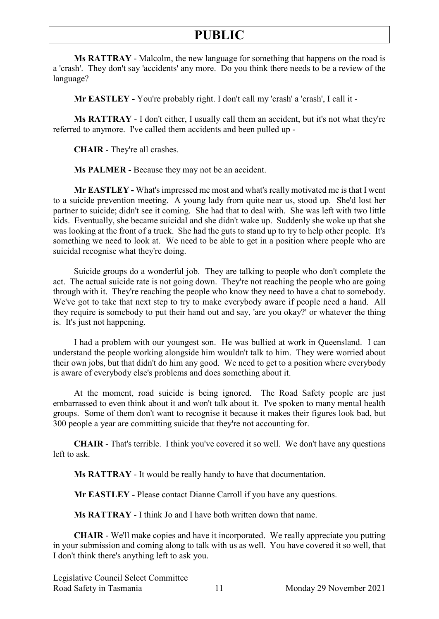**Ms RATTRAY** - Malcolm, the new language for something that happens on the road is a 'crash'. They don't say 'accidents' any more. Do you think there needs to be a review of the language?

**Mr EASTLEY -** You're probably right. I don't call my 'crash' a 'crash', I call it -

**Ms RATTRAY** - I don't either, I usually call them an accident, but it's not what they're referred to anymore. I've called them accidents and been pulled up -

**CHAIR** - They're all crashes.

**Ms PALMER -** Because they may not be an accident.

**Mr EASTLEY -** What's impressed me most and what's really motivated me is that I went to a suicide prevention meeting. A young lady from quite near us, stood up. She'd lost her partner to suicide; didn't see it coming. She had that to deal with. She was left with two little kids. Eventually, she became suicidal and she didn't wake up. Suddenly she woke up that she was looking at the front of a truck. She had the guts to stand up to try to help other people. It's something we need to look at. We need to be able to get in a position where people who are suicidal recognise what they're doing.

Suicide groups do a wonderful job. They are talking to people who don't complete the act. The actual suicide rate is not going down. They're not reaching the people who are going through with it. They're reaching the people who know they need to have a chat to somebody. We've got to take that next step to try to make everybody aware if people need a hand. All they require is somebody to put their hand out and say, 'are you okay?' or whatever the thing is. It's just not happening.

I had a problem with our youngest son. He was bullied at work in Queensland. I can understand the people working alongside him wouldn't talk to him. They were worried about their own jobs, but that didn't do him any good. We need to get to a position where everybody is aware of everybody else's problems and does something about it.

At the moment, road suicide is being ignored. The Road Safety people are just embarrassed to even think about it and won't talk about it. I've spoken to many mental health groups. Some of them don't want to recognise it because it makes their figures look bad, but 300 people a year are committing suicide that they're not accounting for.

**CHAIR** - That's terrible. I think you've covered it so well. We don't have any questions left to ask.

**Ms RATTRAY** - It would be really handy to have that documentation.

**Mr EASTLEY -** Please contact Dianne Carroll if you have any questions.

**Ms RATTRAY** - I think Jo and I have both written down that name.

**CHAIR** - We'll make copies and have it incorporated. We really appreciate you putting in your submission and coming along to talk with us as well. You have covered it so well, that I don't think there's anything left to ask you.

Legislative Council Select Committee Road Safety in Tasmania 11 Monday 29 November 2021